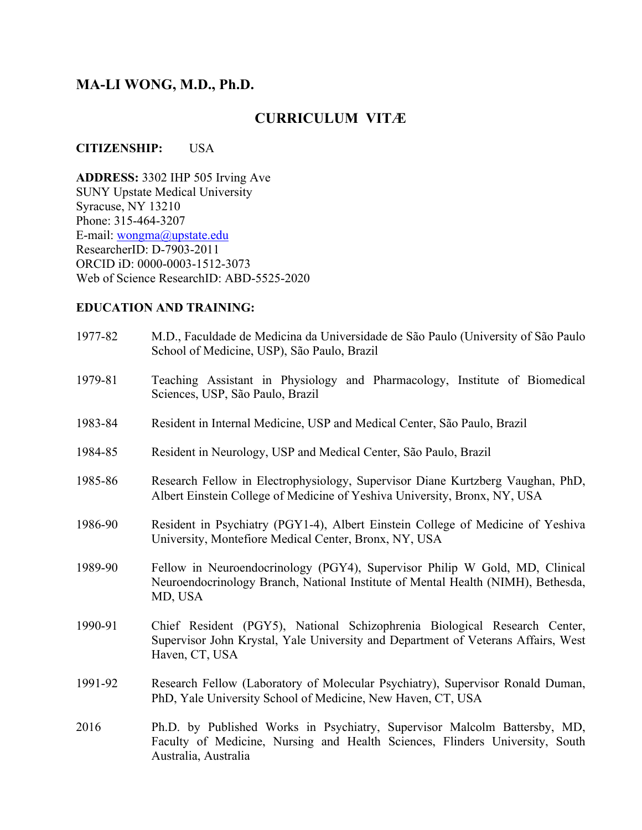# **MA-LI WONG, M.D., Ph.D.**

# **CURRICULUM VITÆ**

#### **CITIZENSHIP:** USA

**ADDRESS:** 3302 IHP 505 Irving Ave SUNY Upstate Medical University Syracuse, NY 13210 Phone: 315-464-3207 E-mail: wongma@upstate.edu ResearcherID: D-7903-2011 ORCID iD: 0000-0003-1512-3073 Web of Science ResearchID: ABD-5525-2020

# **EDUCATION AND TRAINING:**

| 1977-82 | M.D., Faculdade de Medicina da Universidade de São Paulo (University of São Paulo<br>School of Medicine, USP), São Paulo, Brazil                                                  |
|---------|-----------------------------------------------------------------------------------------------------------------------------------------------------------------------------------|
| 1979-81 | Teaching Assistant in Physiology and Pharmacology, Institute of Biomedical<br>Sciences, USP, São Paulo, Brazil                                                                    |
| 1983-84 | Resident in Internal Medicine, USP and Medical Center, São Paulo, Brazil                                                                                                          |
| 1984-85 | Resident in Neurology, USP and Medical Center, São Paulo, Brazil                                                                                                                  |
| 1985-86 | Research Fellow in Electrophysiology, Supervisor Diane Kurtzberg Vaughan, PhD,<br>Albert Einstein College of Medicine of Yeshiva University, Bronx, NY, USA                       |
| 1986-90 | Resident in Psychiatry (PGY1-4), Albert Einstein College of Medicine of Yeshiva<br>University, Montefiore Medical Center, Bronx, NY, USA                                          |
| 1989-90 | Fellow in Neuroendocrinology (PGY4), Supervisor Philip W Gold, MD, Clinical<br>Neuroendocrinology Branch, National Institute of Mental Health (NIMH), Bethesda,<br>MD, USA        |
| 1990-91 | Chief Resident (PGY5), National Schizophrenia Biological Research Center,<br>Supervisor John Krystal, Yale University and Department of Veterans Affairs, West<br>Haven, CT, USA  |
| 1991-92 | Research Fellow (Laboratory of Molecular Psychiatry), Supervisor Ronald Duman,<br>PhD, Yale University School of Medicine, New Haven, CT, USA                                     |
| 2016    | Ph.D. by Published Works in Psychiatry, Supervisor Malcolm Battersby, MD,<br>Faculty of Medicine, Nursing and Health Sciences, Flinders University, South<br>Australia, Australia |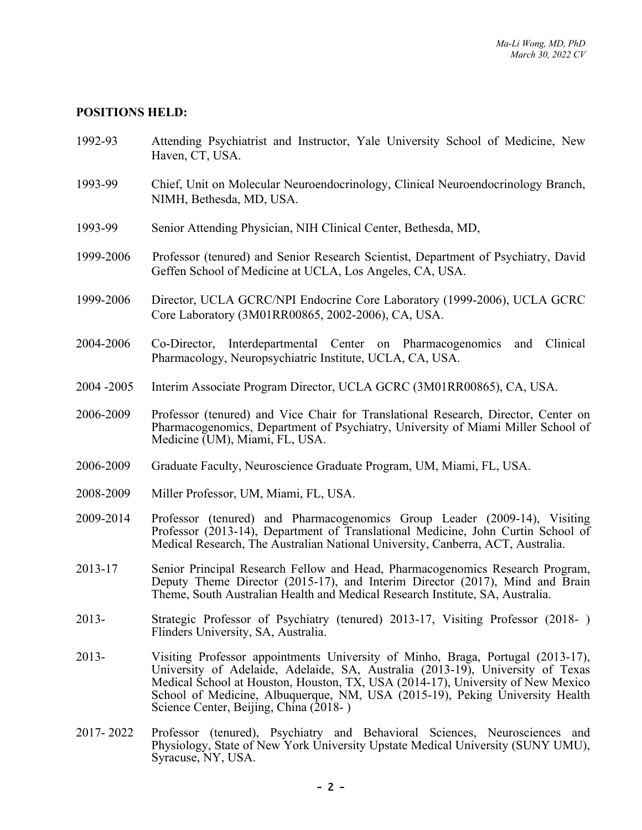#### **POSITIONS HELD:**

- 1992-93 Attending Psychiatrist and Instructor, Yale University School of Medicine, New Haven, CT, USA.
- 1993-99 Chief, Unit on Molecular Neuroendocrinology, Clinical Neuroendocrinology Branch, NIMH, Bethesda, MD, USA.
- 1993-99 Senior Attending Physician, NIH Clinical Center, Bethesda, MD,
- 1999-2006 Professor (tenured) and Senior Research Scientist, Department of Psychiatry, David Geffen School of Medicine at UCLA, Los Angeles, CA, USA.
- 1999-2006 Director, UCLA GCRC/NPI Endocrine Core Laboratory (1999-2006), UCLA GCRC Core Laboratory (3M01RR00865, 2002-2006), CA, USA.
- 2004-2006 Co-Director, Interdepartmental Center on Pharmacogenomics and Clinical Pharmacology, Neuropsychiatric Institute, UCLA, CA, USA.
- 2004 -2005 Interim Associate Program Director, UCLA GCRC (3M01RR00865), CA, USA.
- 2006-2009 Professor (tenured) and Vice Chair for Translational Research, Director, Center on Pharmacogenomics, Department of Psychiatry, University of Miami Miller School of Medicine (UM), Miami, FL, USA.
- 2006-2009 Graduate Faculty, Neuroscience Graduate Program, UM, Miami, FL, USA.
- 2008-2009 Miller Professor, UM, Miami, FL, USA.
- 2009-2014 Professor (tenured) and Pharmacogenomics Group Leader (2009-14), Visiting Professor (2013-14), Department of Translational Medicine, John Curtin School of Medical Research, The Australian National University, Canberra, ACT, Australia.
- 2013-17 Senior Principal Research Fellow and Head, Pharmacogenomics Research Program, Deputy Theme Director (2015-17), and Interim Director (2017), Mind and Brain Theme, South Australian Health and Medical Research Institute, SA, Australia.
- 2013- Strategic Professor of Psychiatry (tenured) 2013-17, Visiting Professor (2018- ) Flinders University, SA, Australia.
- 2013- Visiting Professor appointments University of Minho, Braga, Portugal (2013-17), University of Adelaide, Adelaide, SA, Australia (2013-19), University of Texas Medical School at Houston, Houston, TX, USA (2014-17), University of New Mexico School of Medicine, Albuquerque, NM, USA (2015-19), Peking University Health Science Center, Beijing, China (2018-)
- 2017- 2022 Professor (tenured), Psychiatry and Behavioral Sciences, Neurosciences and Physiology, State of New York University Upstate Medical University (SUNY UMU), Syracuse, NY, USA.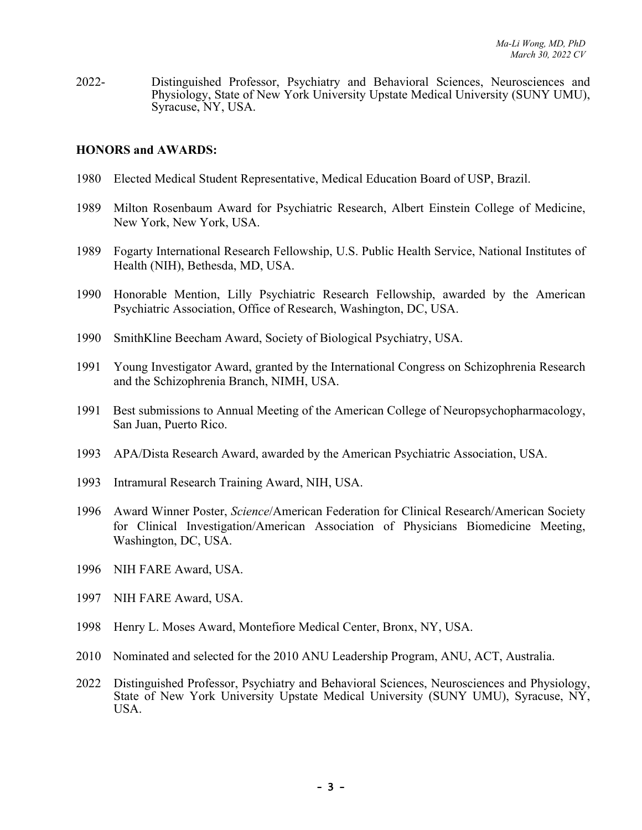2022- Distinguished Professor, Psychiatry and Behavioral Sciences, Neurosciences and Physiology, State of New York University Upstate Medical University (SUNY UMU), Syracuse, NY, USA.

#### **HONORS and AWARDS:**

- 1980 Elected Medical Student Representative, Medical Education Board of USP, Brazil.
- 1989 Milton Rosenbaum Award for Psychiatric Research, Albert Einstein College of Medicine, New York, New York, USA.
- 1989 Fogarty International Research Fellowship, U.S. Public Health Service, National Institutes of Health (NIH), Bethesda, MD, USA.
- 1990 Honorable Mention, Lilly Psychiatric Research Fellowship, awarded by the American Psychiatric Association, Office of Research, Washington, DC, USA.
- 1990 SmithKline Beecham Award, Society of Biological Psychiatry, USA.
- 1991 Young Investigator Award, granted by the International Congress on Schizophrenia Research and the Schizophrenia Branch, NIMH, USA.
- 1991 Best submissions to Annual Meeting of the American College of Neuropsychopharmacology, San Juan, Puerto Rico.
- 1993 APA/Dista Research Award, awarded by the American Psychiatric Association, USA.
- 1993 Intramural Research Training Award, NIH, USA.
- 1996 Award Winner Poster, *Science*/American Federation for Clinical Research/American Society for Clinical Investigation/American Association of Physicians Biomedicine Meeting, Washington, DC, USA.
- 1996 NIH FARE Award, USA.
- 1997 NIH FARE Award, USA.
- 1998 Henry L. Moses Award, Montefiore Medical Center, Bronx, NY, USA.
- 2010 Nominated and selected for the 2010 ANU Leadership Program, ANU, ACT, Australia.
- <sup>2022</sup> Distinguished Professor, Psychiatry and Behavioral Sciences, Neurosciences and Physiology, State of New York University Upstate Medical University (SUNY UMU), Syracuse, NY, USA.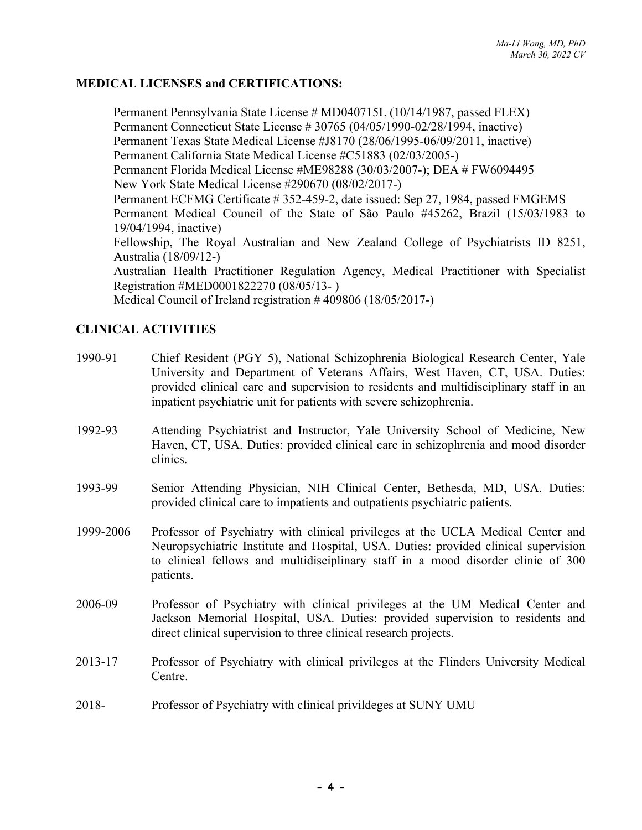### **MEDICAL LICENSES and CERTIFICATIONS:**

Permanent Pennsylvania State License # MD040715L (10/14/1987, passed FLEX) Permanent Connecticut State License # 30765 (04/05/1990-02/28/1994, inactive) Permanent Texas State Medical License #J8170 (28/06/1995-06/09/2011, inactive) Permanent California State Medical License #C51883 (02/03/2005-) Permanent Florida Medical License #ME98288 (30/03/2007-); DEA # FW6094495 New York State Medical License #290670 (08/02/2017-) Permanent ECFMG Certificate # 352-459-2, date issued: Sep 27, 1984, passed FMGEMS Permanent Medical Council of the State of São Paulo #45262, Brazil (15/03/1983 to 19/04/1994, inactive) Fellowship, The Royal Australian and New Zealand College of Psychiatrists ID 8251, Australia (18/09/12-) Australian Health Practitioner Regulation Agency, Medical Practitioner with Specialist Registration #MED0001822270 (08/05/13- ) Medical Council of Ireland registration # 409806 (18/05/2017-)

# **CLINICAL ACTIVITIES**

| 1990-91   | Chief Resident (PGY 5), National Schizophrenia Biological Research Center, Yale<br>University and Department of Veterans Affairs, West Haven, CT, USA. Duties:<br>provided clinical care and supervision to residents and multidisciplinary staff in an<br>inpatient psychiatric unit for patients with severe schizophrenia. |
|-----------|-------------------------------------------------------------------------------------------------------------------------------------------------------------------------------------------------------------------------------------------------------------------------------------------------------------------------------|
| 1992-93   | Attending Psychiatrist and Instructor, Yale University School of Medicine, New<br>Haven, CT, USA. Duties: provided clinical care in schizophrenia and mood disorder<br>clinics.                                                                                                                                               |
| 1993-99   | Senior Attending Physician, NIH Clinical Center, Bethesda, MD, USA. Duties:<br>provided clinical care to impatients and outpatients psychiatric patients.                                                                                                                                                                     |
| 1999-2006 | Professor of Psychiatry with clinical privileges at the UCLA Medical Center and<br>Neuropsychiatric Institute and Hospital, USA. Duties: provided clinical supervision<br>to clinical fellows and multidisciplinary staff in a mood disorder clinic of 300<br>patients.                                                       |
| 2006-09   | Professor of Psychiatry with clinical privileges at the UM Medical Center and<br>Jackson Memorial Hospital, USA. Duties: provided supervision to residents and<br>direct clinical supervision to three clinical research projects.                                                                                            |
| 2013-17   | Professor of Psychiatry with clinical privileges at the Flinders University Medical<br>Centre.                                                                                                                                                                                                                                |
| 2018-     | Professor of Psychiatry with clinical privil deges at SUNY UMU                                                                                                                                                                                                                                                                |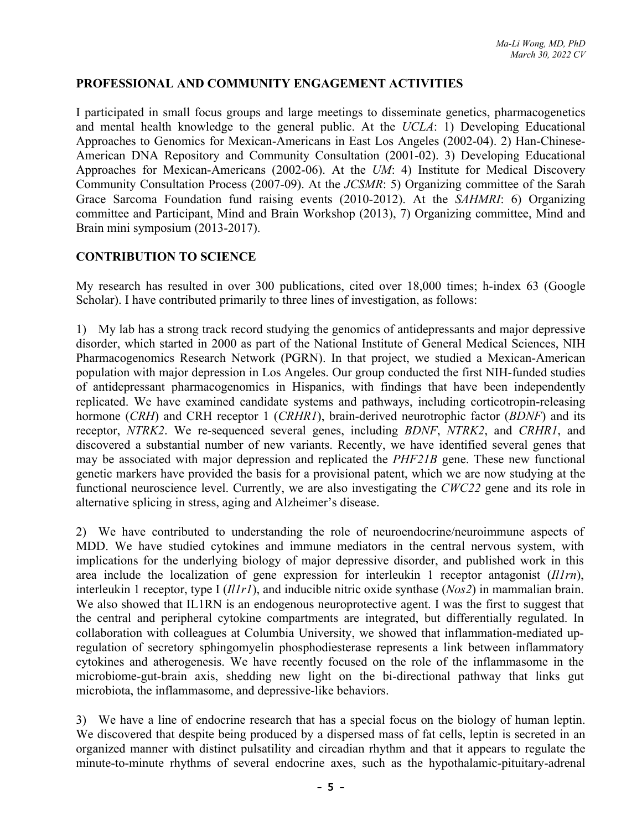# **PROFESSIONAL AND COMMUNITY ENGAGEMENT ACTIVITIES**

I participated in small focus groups and large meetings to disseminate genetics, pharmacogenetics and mental health knowledge to the general public. At the *UCLA*: 1) Developing Educational Approaches to Genomics for Mexican-Americans in East Los Angeles (2002-04). 2) Han-Chinese-American DNA Repository and Community Consultation (2001-02). 3) Developing Educational Approaches for Mexican-Americans (2002-06). At the *UM*: 4) Institute for Medical Discovery Community Consultation Process (2007-09). At the *JCSMR*: 5) Organizing committee of the Sarah Grace Sarcoma Foundation fund raising events (2010-2012). At the *SAHMRI*: 6) Organizing committee and Participant, Mind and Brain Workshop (2013), 7) Organizing committee, Mind and Brain mini symposium (2013-2017).

# **CONTRIBUTION TO SCIENCE**

My research has resulted in over 300 publications, cited over 18,000 times; h-index 63 (Google Scholar). I have contributed primarily to three lines of investigation, as follows:

1) My lab has a strong track record studying the genomics of antidepressants and major depressive disorder, which started in 2000 as part of the National Institute of General Medical Sciences, NIH Pharmacogenomics Research Network (PGRN). In that project, we studied a Mexican-American population with major depression in Los Angeles. Our group conducted the first NIH-funded studies of antidepressant pharmacogenomics in Hispanics, with findings that have been independently replicated. We have examined candidate systems and pathways, including corticotropin-releasing hormone (*CRH*) and CRH receptor 1 (*CRHR1*), brain-derived neurotrophic factor (*BDNF*) and its receptor, *NTRK2*. We re-sequenced several genes, including *BDNF*, *NTRK2*, and *CRHR1*, and discovered a substantial number of new variants. Recently, we have identified several genes that may be associated with major depression and replicated the *PHF21B* gene. These new functional genetic markers have provided the basis for a provisional patent, which we are now studying at the functional neuroscience level. Currently, we are also investigating the *CWC22* gene and its role in alternative splicing in stress, aging and Alzheimer's disease.

2) We have contributed to understanding the role of neuroendocrine/neuroimmune aspects of MDD. We have studied cytokines and immune mediators in the central nervous system, with implications for the underlying biology of major depressive disorder, and published work in this area include the localization of gene expression for interleukin 1 receptor antagonist (*Il1rn*), interleukin 1 receptor, type I (*Il1r1*), and inducible nitric oxide synthase (*Nos2*) in mammalian brain. We also showed that IL1RN is an endogenous neuroprotective agent. I was the first to suggest that the central and peripheral cytokine compartments are integrated, but differentially regulated. In collaboration with colleagues at Columbia University, we showed that inflammation-mediated upregulation of secretory sphingomyelin phosphodiesterase represents a link between inflammatory cytokines and atherogenesis. We have recently focused on the role of the inflammasome in the microbiome-gut-brain axis, shedding new light on the bi-directional pathway that links gut microbiota, the inflammasome, and depressive-like behaviors.

3) We have a line of endocrine research that has a special focus on the biology of human leptin. We discovered that despite being produced by a dispersed mass of fat cells, leptin is secreted in an organized manner with distinct pulsatility and circadian rhythm and that it appears to regulate the minute-to-minute rhythms of several endocrine axes, such as the hypothalamic-pituitary-adrenal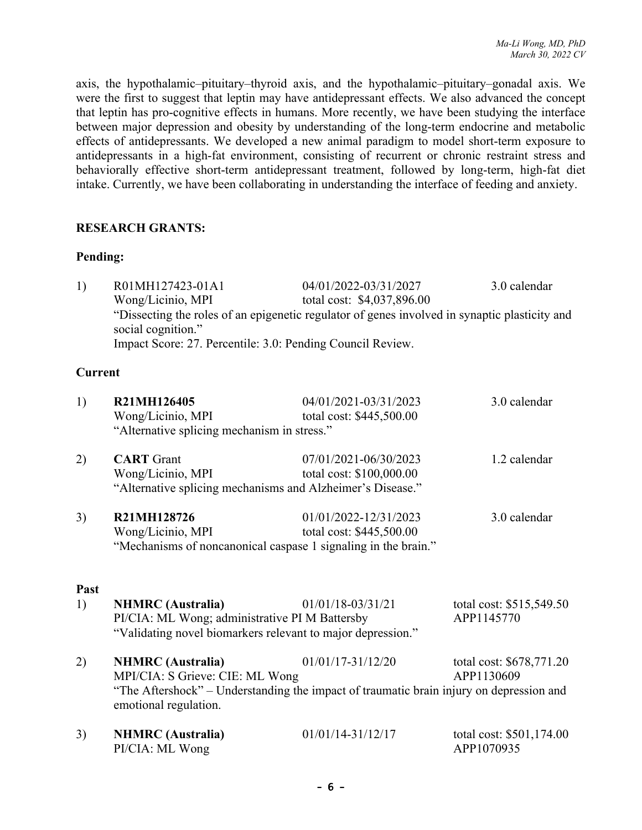axis, the hypothalamic–pituitary–thyroid axis, and the hypothalamic–pituitary–gonadal axis. We were the first to suggest that leptin may have antidepressant effects. We also advanced the concept that leptin has pro-cognitive effects in humans. More recently, we have been studying the interface between major depression and obesity by understanding of the long-term endocrine and metabolic effects of antidepressants. We developed a new animal paradigm to model short-term exposure to antidepressants in a high-fat environment, consisting of recurrent or chronic restraint stress and behaviorally effective short-term antidepressant treatment, followed by long-term, high-fat diet intake. Currently, we have been collaborating in understanding the interface of feeding and anxiety.

#### **RESEARCH GRANTS:**

#### **Pending:**

| 1) | R01MH127423-01A1                                                                                                    | 04/01/2022-03/31/2027      | 3.0 calendar |  |
|----|---------------------------------------------------------------------------------------------------------------------|----------------------------|--------------|--|
|    | Wong/Licinio, MPI                                                                                                   | total cost: \$4,037,896.00 |              |  |
|    | "Dissecting the roles of an epigenetic regulator of genes involved in synaptic plasticity and<br>social cognition." |                            |              |  |
|    | Impact Score: 27. Percentile: 3.0: Pending Council Review.                                                          |                            |              |  |

# **Current**

| 1)         | R21MH126405<br>Wong/Licinio, MPI<br>"Alternative splicing mechanism in stress."                                                                                                 | 04/01/2021-03/31/2023<br>total cost: \$445,500.00 | 3.0 calendar                           |
|------------|---------------------------------------------------------------------------------------------------------------------------------------------------------------------------------|---------------------------------------------------|----------------------------------------|
| 2)         | <b>CART</b> Grant<br>Wong/Licinio, MPI<br>"Alternative splicing mechanisms and Alzheimer's Disease."                                                                            | 07/01/2021-06/30/2023<br>total cost: \$100,000.00 | 1.2 calendar                           |
| 3)         | R21MH128726<br>Wong/Licinio, MPI<br>"Mechanisms of noncanonical caspase 1 signaling in the brain."                                                                              | 01/01/2022-12/31/2023<br>total cost: \$445,500.00 | 3.0 calendar                           |
| Past<br>1) | <b>NHMRC</b> (Australia)<br>PI/CIA: ML Wong; administrative PI M Battersby<br>"Validating novel biomarkers relevant to major depression."                                       | 01/01/18-03/31/21                                 | total cost: \$515,549.50<br>APP1145770 |
| 2)         | <b>NHMRC</b> (Australia)<br>MPI/CIA: S Grieve: CIE: ML Wong<br>"The Aftershock" – Understanding the impact of traumatic brain injury on depression and<br>emotional regulation. | $01/01/17 - 31/12/20$                             | total cost: \$678,771.20<br>APP1130609 |
| 3)         | <b>NHMRC</b> (Australia)<br>PI/CIA: ML Wong                                                                                                                                     | $01/01/14 - 31/12/17$                             | total cost: \$501,174.00<br>APP1070935 |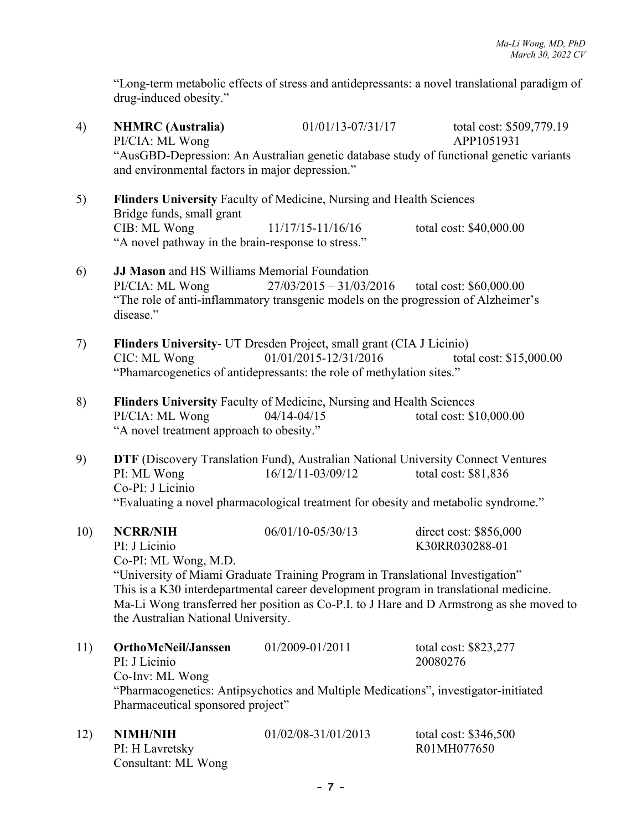"Long-term metabolic effects of stress and antidepressants: a novel translational paradigm of drug-induced obesity."

4) **NHMRC (Australia)** 01/01/13-07/31/17 total cost: \$509,779.19 PI/CIA: ML Wong APP1051931 "AusGBD-Depression: An Australian genetic database study of functional genetic variants and environmental factors in major depression." 5) **Flinders University** Faculty of Medicine, Nursing and Health Sciences Bridge funds, small grant CIB: ML Wong 11/17/15-11/16/16 total cost: \$40,000.00 "A novel pathway in the brain-response to stress." 6) **JJ Mason** and HS Williams Memorial Foundation PI/CIA: ML Wong  $27/03/2015 - 31/03/2016$  total cost: \$60,000.00 "The role of anti-inflammatory transgenic models on the progression of Alzheimer's disease." 7) **Flinders University**- UT Dresden Project, small grant (CIA J Licinio) CIC: ML Wong 01/01/2015-12/31/2016 total cost: \$15,000.00 "Phamarcogenetics of antidepressants: the role of methylation sites." 8) **Flinders University** Faculty of Medicine, Nursing and Health Sciences PI/CIA: ML Wong 04/14-04/15 total cost: \$10,000.00 "A novel treatment approach to obesity." 9) **DTF** (Discovery Translation Fund), Australian National University Connect Ventures PI: ML Wong 16/12/11-03/09/12 total cost: \$81,836 Co-PI: J Licinio "Evaluating a novel pharmacological treatment for obesity and metabolic syndrome." 10) **NCRR/NIH** 06/01/10-05/30/13 direct cost: \$856,000 PI: J Licinio K30RR030288-01 Co-PI: ML Wong, M.D. "University of Miami Graduate Training Program in Translational Investigation" This is a K30 interdepartmental career development program in translational medicine. Ma-Li Wong transferred her position as Co-P.I. to J Hare and D Armstrong as she moved to the Australian National University. 11) **OrthoMcNeil/Janssen** 01/2009-01/2011 total cost: \$823,277 PI: J Licinio 20080276 Co-Inv: ML Wong "Pharmacogenetics: Antipsychotics and Multiple Medications", investigator-initiated Pharmaceutical sponsored project" 12) **NIMH/NIH** 01/02/08-31/01/2013 total cost: \$346,500 PI: H Lavretsky R01MH077650 Consultant: ML Wong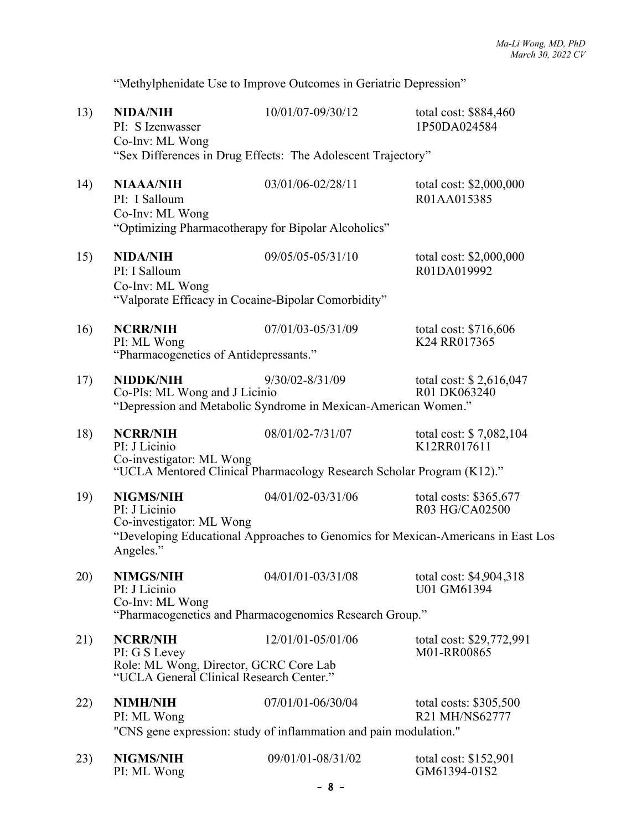"Methylphenidate Use to Improve Outcomes in Geriatric Depression"

| 13) | <b>NIDA/NIH</b><br>PI: S Izenwasser<br>Co-Inv: ML Wong                             | 10/01/07-09/30/12                                                                     | total cost: \$884,460<br>1P50DA024584                                            |  |
|-----|------------------------------------------------------------------------------------|---------------------------------------------------------------------------------------|----------------------------------------------------------------------------------|--|
|     |                                                                                    | "Sex Differences in Drug Effects: The Adolescent Trajectory"                          |                                                                                  |  |
| 14) | <b>NIAAA/NIH</b><br>PI: I Salloum<br>Co-Inv: ML Wong                               | 03/01/06-02/28/11<br>"Optimizing Pharmacotherapy for Bipolar Alcoholics"              | total cost: \$2,000,000<br>R01AA015385                                           |  |
|     |                                                                                    |                                                                                       |                                                                                  |  |
| 15) | <b>NIDA/NIH</b><br>PI: I Salloum<br>Co-Inv: ML Wong                                | 09/05/05-05/31/10                                                                     | total cost: \$2,000,000<br>R01DA019992                                           |  |
|     | "Valporate Efficacy in Cocaine-Bipolar Comorbidity"                                |                                                                                       |                                                                                  |  |
| 16) | <b>NCRR/NIH</b><br>PI: ML Wong<br>"Pharmacogenetics of Antidepressants."           | 07/01/03-05/31/09                                                                     | total cost: \$716,606<br>K24 RR017365                                            |  |
|     |                                                                                    |                                                                                       |                                                                                  |  |
| 17) | NIDDK/NIH<br>Co-PIs: ML Wong and J Licinio                                         | $9/30/02 - 8/31/09$<br>"Depression and Metabolic Syndrome in Mexican-American Women." | total cost: \$2,616,047<br>R01 DK063240                                          |  |
|     |                                                                                    |                                                                                       |                                                                                  |  |
| 18) | <b>NCRR/NIH</b><br>PI: J Licinio<br>Co-investigator: ML Wong                       | 08/01/02-7/31/07                                                                      | total cost: \$7,082,104<br>K12RR017611                                           |  |
|     |                                                                                    | "UCLA Mentored Clinical Pharmacology Research Scholar Program (K12)."                 |                                                                                  |  |
| 19) | <b>NIGMS/NIH</b><br>PI: J Licinio<br>Co-investigator: ML Wong                      | 04/01/02-03/31/06                                                                     | total costs: $$365,677$<br>R03 HG/CA02500                                        |  |
|     | Angeles."                                                                          |                                                                                       | "Developing Educational Approaches to Genomics for Mexican-Americans in East Los |  |
| 20) | <b>NIMGS/NIH</b><br>PI: J Licinio                                                  | 04/01/01-03/31/08                                                                     | total cost: \$4,904,318<br>U01 GM61394                                           |  |
|     | Co-Inv: ML Wong                                                                    | "Pharmacogenetics and Pharmacogenomics Research Group."                               |                                                                                  |  |
| 21) | <b>NCRR/NIH</b><br>PI: G S Levey                                                   | 12/01/01-05/01/06                                                                     | total cost: \$29,772,991<br>M01-RR00865                                          |  |
|     | Role: ML Wong, Director, GCRC Core Lab<br>"UCLA General Clinical Research Center." |                                                                                       |                                                                                  |  |
| 22) | <b>NIMH/NIH</b><br>PI: ML Wong                                                     | 07/01/01-06/30/04                                                                     | total costs: $$305,500$<br>R21 MH/NS62777                                        |  |
|     |                                                                                    | "CNS gene expression: study of inflammation and pain modulation."                     |                                                                                  |  |
| 23) | <b>NIGMS/NIH</b><br>PI: ML Wong                                                    | 09/01/01-08/31/02                                                                     | total cost: \$152,901<br>GM61394-01S2                                            |  |
|     |                                                                                    | $-8 -$                                                                                |                                                                                  |  |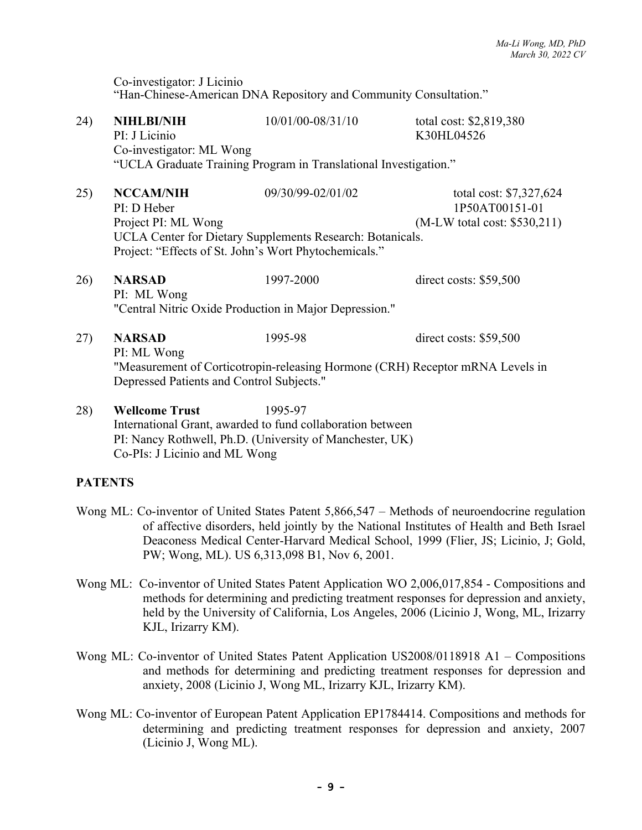Co-investigator: J Licinio "Han-Chinese-American DNA Repository and Community Consultation."

| 24) | <b>NIHLBI/NIH</b><br>PI: J Licinio<br>Co-investigator: ML Wong                                                                                                                                   | 10/01/00-08/31/10<br>"UCLA Graduate Training Program in Translational Investigation." | total cost: \$2,819,380<br>K30HL04526                                        |
|-----|--------------------------------------------------------------------------------------------------------------------------------------------------------------------------------------------------|---------------------------------------------------------------------------------------|------------------------------------------------------------------------------|
| 25) | <b>NCCAM/NIH</b><br>PI: D Heber<br>Project PI: ML Wong<br>Project: "Effects of St. John's Wort Phytochemicals."                                                                                  | 09/30/99-02/01/02<br>UCLA Center for Dietary Supplements Research: Botanicals.        | total cost: \$7,327,624<br>1P50AT00151-01<br>$(M-LW)$ total cost: \$530,211) |
| 26) | <b>NARSAD</b><br>PI: ML Wong<br>"Central Nitric Oxide Production in Major Depression."                                                                                                           | 1997-2000                                                                             | direct costs: \$59,500                                                       |
| 27) | <b>NARSAD</b><br>1995-98<br>direct costs: $$59,500$<br>PI: ML Wong<br>"Measurement of Corticotropin-releasing Hormone (CRH) Receptor mRNA Levels in<br>Depressed Patients and Control Subjects." |                                                                                       |                                                                              |
| 28) | <b>Wellcome Trust</b>                                                                                                                                                                            | 1995-97<br>International Grant, awarded to fund collaboration between                 |                                                                              |

PI: Nancy Rothwell, Ph.D. (University of Manchester, UK)

Co-PIs: J Licinio and ML Wong

# **PATENTS**

- Wong ML: Co-inventor of United States Patent 5,866,547 Methods of neuroendocrine regulation of affective disorders, held jointly by the National Institutes of Health and Beth Israel Deaconess Medical Center-Harvard Medical School, 1999 (Flier, JS; Licinio, J; Gold, PW; Wong, ML). US 6,313,098 B1, Nov 6, 2001.
- Wong ML: Co-inventor of United States Patent Application WO 2,006,017,854 Compositions and methods for determining and predicting treatment responses for depression and anxiety, held by the University of California, Los Angeles, 2006 (Licinio J, Wong, ML, Irizarry KJL, Irizarry KM).
- Wong ML: Co-inventor of United States Patent Application US2008/0118918 A1 Compositions and methods for determining and predicting treatment responses for depression and anxiety, 2008 (Licinio J, Wong ML, Irizarry KJL, Irizarry KM).
- Wong ML: Co-inventor of European Patent Application EP1784414. Compositions and methods for determining and predicting treatment responses for depression and anxiety, 2007 (Licinio J, Wong ML).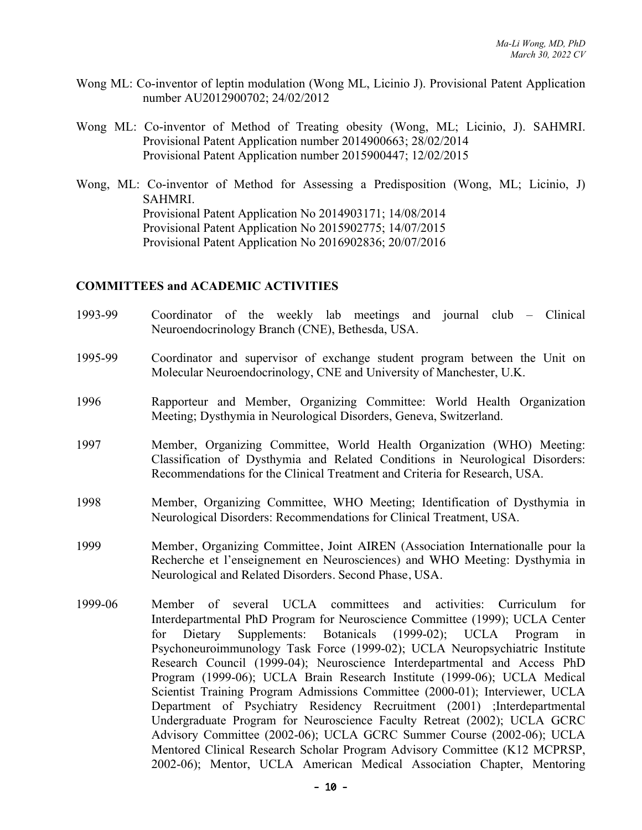- Wong ML: Co-inventor of leptin modulation (Wong ML, Licinio J). Provisional Patent Application number AU2012900702; 24/02/2012
- Wong ML: Co-inventor of Method of Treating obesity (Wong, ML; Licinio, J). SAHMRI. Provisional Patent Application number 2014900663; 28/02/2014 Provisional Patent Application number 2015900447; 12/02/2015
- Wong, ML: Co-inventor of Method for Assessing a Predisposition (Wong, ML; Licinio, J) SAHMRI. Provisional Patent Application No 2014903171; 14/08/2014 Provisional Patent Application No 2015902775; 14/07/2015 Provisional Patent Application No 2016902836; 20/07/2016

#### **COMMITTEES and ACADEMIC ACTIVITIES**

- 1993-99 Coordinator of the weekly lab meetings and journal club Clinical Neuroendocrinology Branch (CNE), Bethesda, USA.
- 1995-99 Coordinator and supervisor of exchange student program between the Unit on Molecular Neuroendocrinology, CNE and University of Manchester, U.K.
- 1996 Rapporteur and Member, Organizing Committee: World Health Organization Meeting; Dysthymia in Neurological Disorders, Geneva, Switzerland.
- 1997 Member, Organizing Committee, World Health Organization (WHO) Meeting: Classification of Dysthymia and Related Conditions in Neurological Disorders: Recommendations for the Clinical Treatment and Criteria for Research, USA.
- 1998 Member, Organizing Committee, WHO Meeting; Identification of Dysthymia in Neurological Disorders: Recommendations for Clinical Treatment, USA.
- 1999 Member, Organizing Committee, Joint AIREN (Association Internationalle pour la Recherche et l'enseignement en Neurosciences) and WHO Meeting: Dysthymia in Neurological and Related Disorders. Second Phase, USA.
- 1999-06 Member of several UCLA committees and activities: Curriculum for Interdepartmental PhD Program for Neuroscience Committee (1999); UCLA Center for Dietary Supplements: Botanicals (1999-02); UCLA Program in Psychoneuroimmunology Task Force (1999-02); UCLA Neuropsychiatric Institute Research Council (1999-04); Neuroscience Interdepartmental and Access PhD Program (1999-06); UCLA Brain Research Institute (1999-06); UCLA Medical Scientist Training Program Admissions Committee (2000-01); Interviewer, UCLA Department of Psychiatry Residency Recruitment (2001) ;Interdepartmental Undergraduate Program for Neuroscience Faculty Retreat (2002); UCLA GCRC Advisory Committee (2002-06); UCLA GCRC Summer Course (2002-06); UCLA Mentored Clinical Research Scholar Program Advisory Committee (K12 MCPRSP, 2002-06); Mentor, UCLA American Medical Association Chapter, Mentoring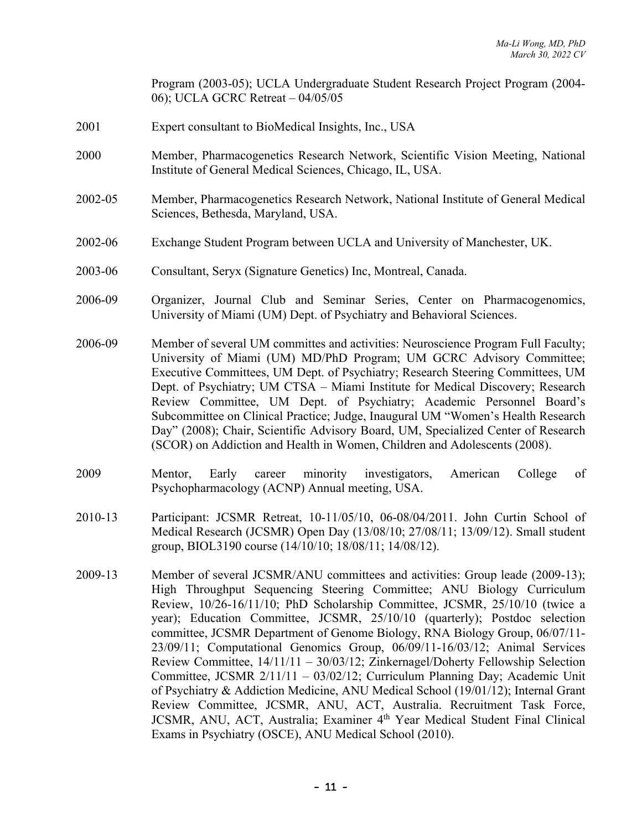Program (2003-05); UCLA Undergraduate Student Research Project Program (2004- 06); UCLA GCRC Retreat – 04/05/05

- 2001 Expert consultant to BioMedical Insights, Inc., USA
- 2000 Member, Pharmacogenetics Research Network, Scientific Vision Meeting, National Institute of General Medical Sciences, Chicago, IL, USA.
- 2002-05 Member, Pharmacogenetics Research Network, National Institute of General Medical Sciences, Bethesda, Maryland, USA.
- 2002-06 Exchange Student Program between UCLA and University of Manchester, UK.
- 2003-06 Consultant, Seryx (Signature Genetics) Inc, Montreal, Canada.
- 2006-09 Organizer, Journal Club and Seminar Series, Center on Pharmacogenomics, University of Miami (UM) Dept. of Psychiatry and Behavioral Sciences.
- 2006-09 Member of several UM committes and activities: Neuroscience Program Full Faculty; University of Miami (UM) MD/PhD Program; UM GCRC Advisory Committee; Executive Committees, UM Dept. of Psychiatry; Research Steering Committees, UM Dept. of Psychiatry; UM CTSA – Miami Institute for Medical Discovery; Research Review Committee, UM Dept. of Psychiatry; Academic Personnel Board's Subcommittee on Clinical Practice; Judge, Inaugural UM "Women's Health Research Day" (2008); Chair, Scientific Advisory Board, UM, Specialized Center of Research (SCOR) on Addiction and Health in Women, Children and Adolescents (2008).
- 2009 Mentor, Early career minority investigators, American College of Psychopharmacology (ACNP) Annual meeting, USA.
- 2010-13 Participant: JCSMR Retreat, 10-11/05/10, 06-08/04/2011. John Curtin School of Medical Research (JCSMR) Open Day (13/08/10; 27/08/11; 13/09/12). Small student group, BIOL3190 course (14/10/10; 18/08/11; 14/08/12).
- 2009-13 Member of several JCSMR/ANU committees and activities: Group leade (2009-13); High Throughput Sequencing Steering Committee; ANU Biology Curriculum Review, 10/26-16/11/10; PhD Scholarship Committee, JCSMR, 25/10/10 (twice a year); Education Committee, JCSMR, 25/10/10 (quarterly); Postdoc selection committee, JCSMR Department of Genome Biology, RNA Biology Group, 06/07/11- 23/09/11; Computational Genomics Group, 06/09/11-16/03/12; Animal Services Review Committee, 14/11/11 – 30/03/12; Zinkernagel/Doherty Fellowship Selection Committee, JCSMR 2/11/11 – 03/02/12; Curriculum Planning Day; Academic Unit of Psychiatry & Addiction Medicine, ANU Medical School (19/01/12); Internal Grant Review Committee, JCSMR, ANU, ACT, Australia. Recruitment Task Force, JCSMR, ANU, ACT, Australia; Examiner 4<sup>th</sup> Year Medical Student Final Clinical Exams in Psychiatry (OSCE), ANU Medical School (2010).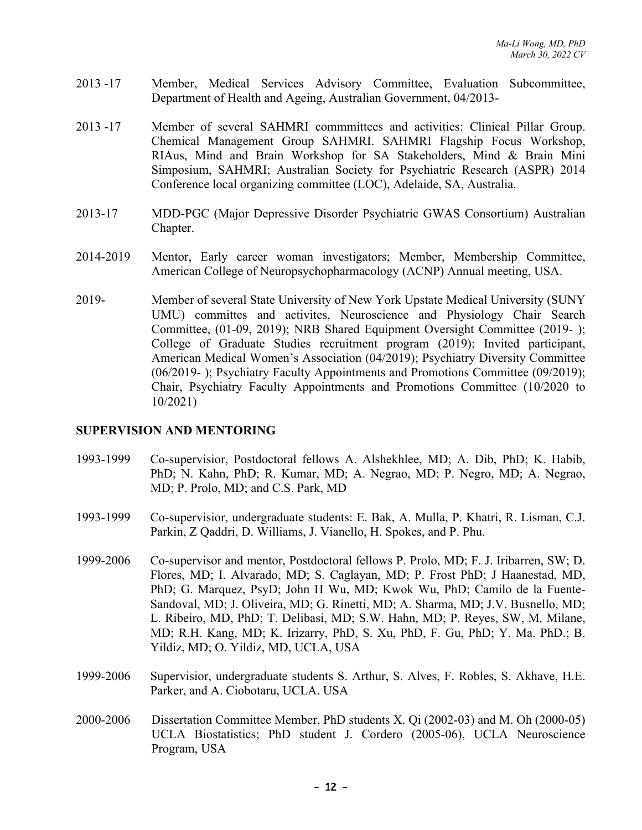- 2013 -17 Member, Medical Services Advisory Committee, Evaluation Subcommittee, Department of Health and Ageing, Australian Government, 04/2013-
- 2013 -17 Member of several SAHMRI commmittees and activities: Clinical Pillar Group. Chemical Management Group SAHMRI. SAHMRI Flagship Focus Workshop, RIAus, Mind and Brain Workshop for SA Stakeholders, Mind & Brain Mini Simposium, SAHMRI; Australian Society for Psychiatric Research (ASPR) 2014 Conference local organizing committee (LOC), Adelaide, SA, Australia.
- 2013-17 MDD-PGC (Major Depressive Disorder Psychiatric GWAS Consortium) Australian Chapter.
- 2014-2019 Mentor, Early career woman investigators; Member, Membership Committee, American College of Neuropsychopharmacology (ACNP) Annual meeting, USA.
- 2019- Member of several State University of New York Upstate Medical University (SUNY UMU) committes and activites, Neuroscience and Physiology Chair Search Committee, (01-09, 2019); NRB Shared Equipment Oversight Committee (2019- ); College of Graduate Studies recruitment program (2019); Invited participant, American Medical Women's Association (04/2019); Psychiatry Diversity Committee (06/2019- ); Psychiatry Faculty Appointments and Promotions Committee (09/2019); Chair, Psychiatry Faculty Appointments and Promotions Committee (10/2020 to 10/2021)

#### **SUPERVISION AND MENTORING**

- 1993-1999 Co-supervisior, Postdoctoral fellows A. Alshekhlee, MD; A. Dib, PhD; K. Habib, PhD; N. Kahn, PhD; R. Kumar, MD; A. Negrao, MD; P. Negro, MD; A. Negrao, MD; P. Prolo, MD; and C.S. Park, MD
- 1993-1999 Co-supervisior, undergraduate students: E. Bak, A. Mulla, P. Khatri, R. Lisman, C.J. Parkin, Z Qaddri, D. Williams, J. Vianello, H. Spokes, and P. Phu.
- 1999-2006 Co-supervisor and mentor, Postdoctoral fellows P. Prolo, MD; F. J. Iribarren, SW; D. Flores, MD; I. Alvarado, MD; S. Caglayan, MD; P. Frost PhD; J Haanestad, MD, PhD; G. Marquez, PsyD; John H Wu, MD; Kwok Wu, PhD; Camilo de la Fuente-Sandoval, MD; J. Oliveira, MD; G. Rinetti, MD; A. Sharma, MD; J.V. Busnello, MD; L. Ribeiro, MD, PhD; T. Delibasi, MD; S.W. Hahn, MD; P. Reyes, SW, M. Milane, MD; R.H. Kang, MD; K. Irizarry, PhD, S. Xu, PhD, F. Gu, PhD; Y. Ma. PhD.; B. Yildiz, MD; O. Yildiz, MD, UCLA, USA
- 1999-2006 Supervisior, undergraduate students S. Arthur, S. Alves, F. Robles, S. Akhave, H.E. Parker, and A. Ciobotaru, UCLA. USA
- 2000-2006 Dissertation Committee Member, PhD students X. Qi (2002-03) and M. Oh (2000-05) UCLA Biostatistics; PhD student J. Cordero (2005-06), UCLA Neuroscience Program, USA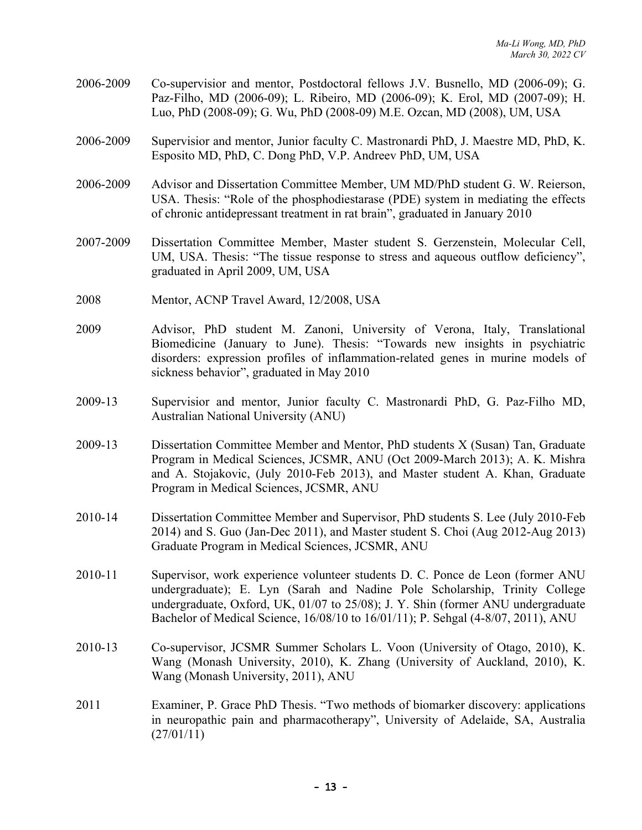- 2006-2009 Co-supervisior and mentor, Postdoctoral fellows J.V. Busnello, MD (2006-09); G. Paz-Filho, MD (2006-09); L. Ribeiro, MD (2006-09); K. Erol, MD (2007-09); H. Luo, PhD (2008-09); G. Wu, PhD (2008-09) M.E. Ozcan, MD (2008), UM, USA
- 2006-2009 Supervisior and mentor, Junior faculty C. Mastronardi PhD, J. Maestre MD, PhD, K. Esposito MD, PhD, C. Dong PhD, V.P. Andreev PhD, UM, USA
- 2006-2009 Advisor and Dissertation Committee Member, UM MD/PhD student G. W. Reierson, USA. Thesis: "Role of the phosphodiestarase (PDE) system in mediating the effects of chronic antidepressant treatment in rat brain", graduated in January 2010
- 2007-2009 Dissertation Committee Member, Master student S. Gerzenstein, Molecular Cell, UM, USA. Thesis: "The tissue response to stress and aqueous outflow deficiency", graduated in April 2009, UM, USA
- 2008 Mentor, ACNP Travel Award, 12/2008, USA
- 2009 Advisor, PhD student M. Zanoni, University of Verona, Italy, Translational Biomedicine (January to June). Thesis: "Towards new insights in psychiatric disorders: expression profiles of inflammation-related genes in murine models of sickness behavior", graduated in May 2010
- 2009-13 Supervisior and mentor, Junior faculty C. Mastronardi PhD, G. Paz-Filho MD, Australian National University (ANU)
- 2009-13 Dissertation Committee Member and Mentor, PhD students X (Susan) Tan, Graduate Program in Medical Sciences, JCSMR, ANU (Oct 2009-March 2013); A. K. Mishra and A. Stojakovic, (July 2010-Feb 2013), and Master student A. Khan, Graduate Program in Medical Sciences, JCSMR, ANU
- 2010-14 Dissertation Committee Member and Supervisor, PhD students S. Lee (July 2010-Feb 2014) and S. Guo (Jan-Dec 2011), and Master student S. Choi (Aug 2012-Aug 2013) Graduate Program in Medical Sciences, JCSMR, ANU
- 2010-11 Supervisor, work experience volunteer students D. C. Ponce de Leon (former ANU undergraduate); E. Lyn (Sarah and Nadine Pole Scholarship, Trinity College undergraduate, Oxford, UK, 01/07 to 25/08); J. Y. Shin (former ANU undergraduate Bachelor of Medical Science, 16/08/10 to 16/01/11); P. Sehgal (4-8/07, 2011), ANU
- 2010-13 Co-supervisor, JCSMR Summer Scholars L. Voon (University of Otago, 2010), K. Wang (Monash University, 2010), K. Zhang (University of Auckland, 2010), K. Wang (Monash University, 2011), ANU
- 2011 Examiner, P. Grace PhD Thesis. "Two methods of biomarker discovery: applications in neuropathic pain and pharmacotherapy", University of Adelaide, SA, Australia  $(27/01/11)$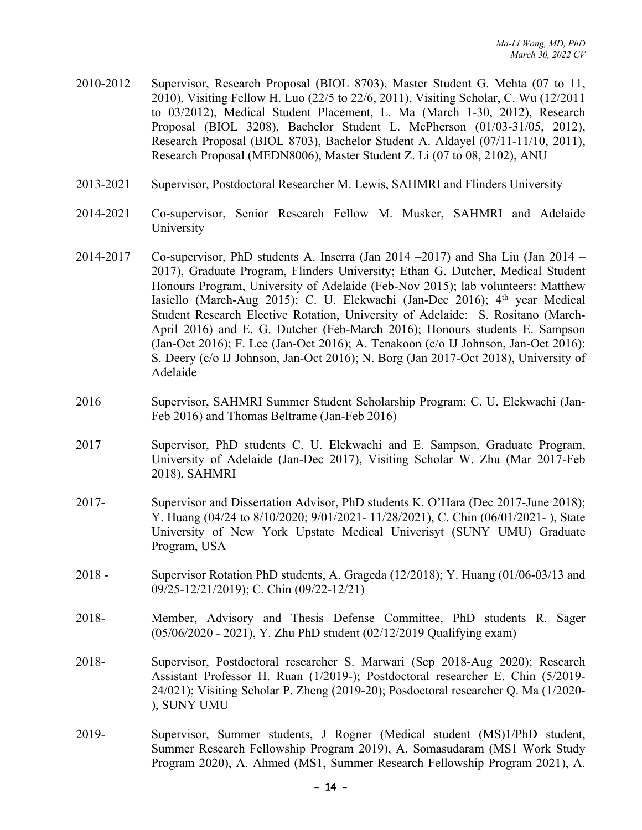- 2010-2012 Supervisor, Research Proposal (BIOL 8703), Master Student G. Mehta (07 to 11, 2010), Visiting Fellow H. Luo (22/5 to 22/6, 2011), Visiting Scholar, C. Wu (12/2011 to 03/2012), Medical Student Placement, L. Ma (March 1-30, 2012), Research Proposal (BIOL 3208), Bachelor Student L. McPherson (01/03-31/05, 2012), Research Proposal (BIOL 8703), Bachelor Student A. Aldayel (07/11-11/10, 2011), Research Proposal (MEDN8006), Master Student Z. Li (07 to 08, 2102), ANU
- 2013-2021 Supervisor, Postdoctoral Researcher M. Lewis, SAHMRI and Flinders University
- 2014-2021 Co-supervisor, Senior Research Fellow M. Musker, SAHMRI and Adelaide University
- 2014-2017 Co-supervisor, PhD students A. Inserra (Jan 2014 –2017) and Sha Liu (Jan 2014 2017), Graduate Program, Flinders University; Ethan G. Dutcher, Medical Student Honours Program, University of Adelaide (Feb-Nov 2015); lab volunteers: Matthew Iasiello (March-Aug 2015); C. U. Elekwachi (Jan-Dec 2016);  $4<sup>th</sup>$  year Medical Student Research Elective Rotation, University of Adelaide: S. Rositano (March-April 2016) and E. G. Dutcher (Feb-March 2016); Honours students E. Sampson (Jan-Oct 2016); F. Lee (Jan-Oct 2016); A. Tenakoon (c/o IJ Johnson, Jan-Oct 2016); S. Deery (c/o IJ Johnson, Jan-Oct 2016); N. Borg (Jan 2017-Oct 2018), University of Adelaide
- 2016 Supervisor, SAHMRI Summer Student Scholarship Program: C. U. Elekwachi (Jan-Feb 2016) and Thomas Beltrame (Jan-Feb 2016)
- 2017 Supervisor, PhD students C. U. Elekwachi and E. Sampson, Graduate Program, University of Adelaide (Jan-Dec 2017), Visiting Scholar W. Zhu (Mar 2017-Feb 2018), SAHMRI
- 2017- Supervisor and Dissertation Advisor, PhD students K. O'Hara (Dec 2017-June 2018); Y. Huang (04/24 to 8/10/2020; 9/01/2021- 11/28/2021), C. Chin (06/01/2021- ), State University of New York Upstate Medical Univerisyt (SUNY UMU) Graduate Program, USA
- 2018 Supervisor Rotation PhD students, A. Grageda (12/2018); Y. Huang (01/06-03/13 and 09/25-12/21/2019); C. Chin (09/22-12/21)
- 2018- Member, Advisory and Thesis Defense Committee, PhD students R. Sager (05/06/2020 - 2021), Y. Zhu PhD student (02/12/2019 Qualifying exam)
- 2018- Supervisor, Postdoctoral researcher S. Marwari (Sep 2018-Aug 2020); Research Assistant Professor H. Ruan (1/2019-); Postdoctoral researcher E. Chin (5/2019- 24/021); Visiting Scholar P. Zheng (2019-20); Posdoctoral researcher Q. Ma (1/2020- ), SUNY UMU
- 2019- Supervisor, Summer students, J Rogner (Medical student (MS)1/PhD student, Summer Research Fellowship Program 2019), A. Somasudaram (MS1 Work Study Program 2020), A. Ahmed (MS1, Summer Research Fellowship Program 2021), A.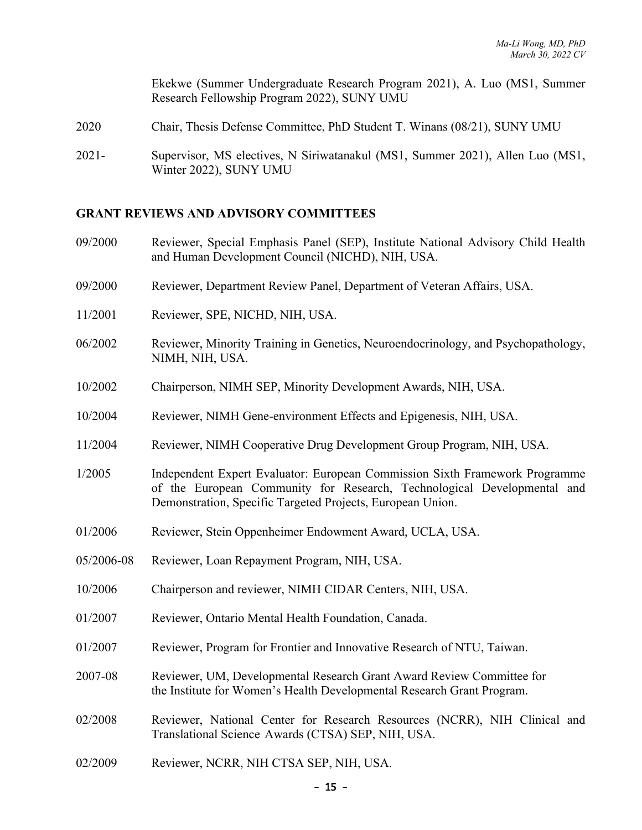Ekekwe (Summer Undergraduate Research Program 2021), A. Luo (MS1, Summer Research Fellowship Program 2022), SUNY UMU

- 2020 Chair, Thesis Defense Committee, PhD Student T. Winans (08/21), SUNY UMU
- 2021- Supervisor, MS electives, N Siriwatanakul (MS1, Summer 2021), Allen Luo (MS1, Winter 2022), SUNY UMU

#### **GRANT REVIEWS AND ADVISORY COMMITTEES**

- 09/2000 Reviewer, Special Emphasis Panel (SEP), Institute National Advisory Child Health and Human Development Council (NICHD), NIH, USA.
- 09/2000 Reviewer, Department Review Panel, Department of Veteran Affairs, USA.
- 11/2001 Reviewer, SPE, NICHD, NIH, USA.
- 06/2002 Reviewer, Minority Training in Genetics, Neuroendocrinology, and Psychopathology, NIMH, NIH, USA.
- 10/2002 Chairperson, NIMH SEP, Minority Development Awards, NIH, USA.
- 10/2004 Reviewer, NIMH Gene-environment Effects and Epigenesis, NIH, USA.
- 11/2004 Reviewer, NIMH Cooperative Drug Development Group Program, NIH, USA.
- 1/2005 Independent Expert Evaluator: European Commission Sixth Framework Programme of the European Community for Research, Technological Developmental and Demonstration, Specific Targeted Projects, European Union.
- 01/2006 Reviewer, Stein Oppenheimer Endowment Award, UCLA, USA.
- 05/2006-08 Reviewer, Loan Repayment Program, NIH, USA.
- 10/2006 Chairperson and reviewer, NIMH CIDAR Centers, NIH, USA.
- 01/2007 Reviewer, Ontario Mental Health Foundation, Canada.
- 01/2007 Reviewer, Program for Frontier and Innovative Research of NTU, Taiwan.
- 2007-08 Reviewer, UM, Developmental Research Grant Award Review Committee for the Institute for Women's Health Developmental Research Grant Program.
- 02/2008 Reviewer, National Center for Research Resources (NCRR), NIH Clinical and Translational Science Awards (CTSA) SEP, NIH, USA.
- 02/2009 Reviewer, NCRR, NIH CTSA SEP, NIH, USA.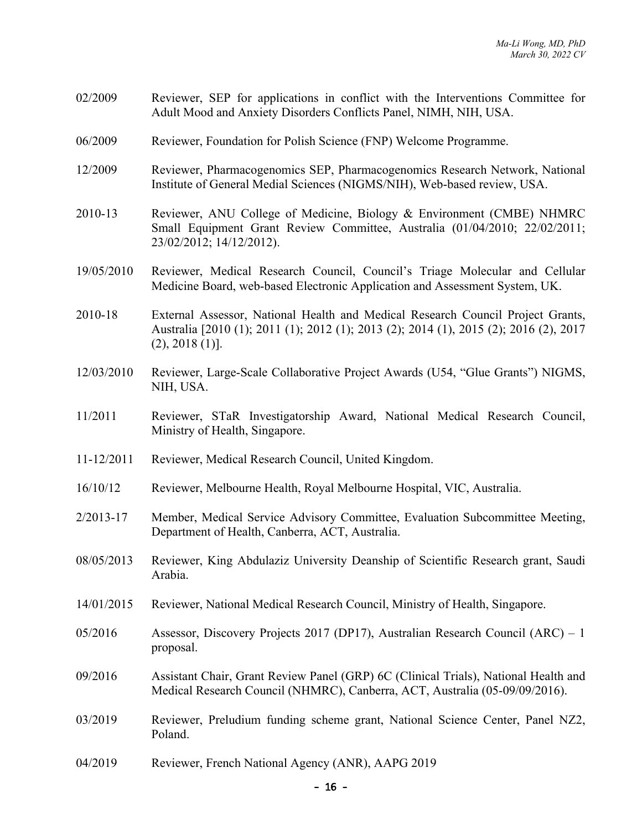- 02/2009 Reviewer, SEP for applications in conflict with the Interventions Committee for Adult Mood and Anxiety Disorders Conflicts Panel, NIMH, NIH, USA.
- 06/2009 Reviewer, Foundation for Polish Science (FNP) Welcome Programme.
- 12/2009 Reviewer, Pharmacogenomics SEP, Pharmacogenomics Research Network, National Institute of General Medial Sciences (NIGMS/NIH), Web-based review, USA.
- 2010-13 Reviewer, ANU College of Medicine, Biology & Environment (CMBE) NHMRC Small Equipment Grant Review Committee, Australia (01/04/2010; 22/02/2011; 23/02/2012; 14/12/2012).
- 19/05/2010 Reviewer, Medical Research Council, Council's Triage Molecular and Cellular Medicine Board, web-based Electronic Application and Assessment System, UK.

2010-18 External Assessor, National Health and Medical Research Council Project Grants, Australia [2010 (1); 2011 (1); 2012 (1); 2013 (2); 2014 (1), 2015 (2); 2016 (2), 2017 (2), 2018 (1)].

- 12/03/2010 Reviewer, Large-Scale Collaborative Project Awards (U54, "Glue Grants") NIGMS, NIH, USA.
- 11/2011 Reviewer, STaR Investigatorship Award, National Medical Research Council, Ministry of Health, Singapore.
- 11-12/2011 Reviewer, Medical Research Council, United Kingdom.
- 16/10/12 Reviewer, Melbourne Health, Royal Melbourne Hospital, VIC, Australia.
- 2/2013-17 Member, Medical Service Advisory Committee, Evaluation Subcommittee Meeting, Department of Health, Canberra, ACT, Australia.
- 08/05/2013 Reviewer, King Abdulaziz University Deanship of Scientific Research grant, Saudi Arabia.
- 14/01/2015 Reviewer, National Medical Research Council, Ministry of Health, Singapore.
- 05/2016 Assessor, Discovery Projects 2017 (DP17), Australian Research Council (ARC) 1 proposal.
- 09/2016 Assistant Chair, Grant Review Panel (GRP) 6C (Clinical Trials), National Health and Medical Research Council (NHMRC), Canberra, ACT, Australia (05-09/09/2016).
- 03/2019 Reviewer, Preludium funding scheme grant, National Science Center, Panel NZ2, Poland.
- 04/2019 Reviewer, French National Agency (ANR), AAPG 2019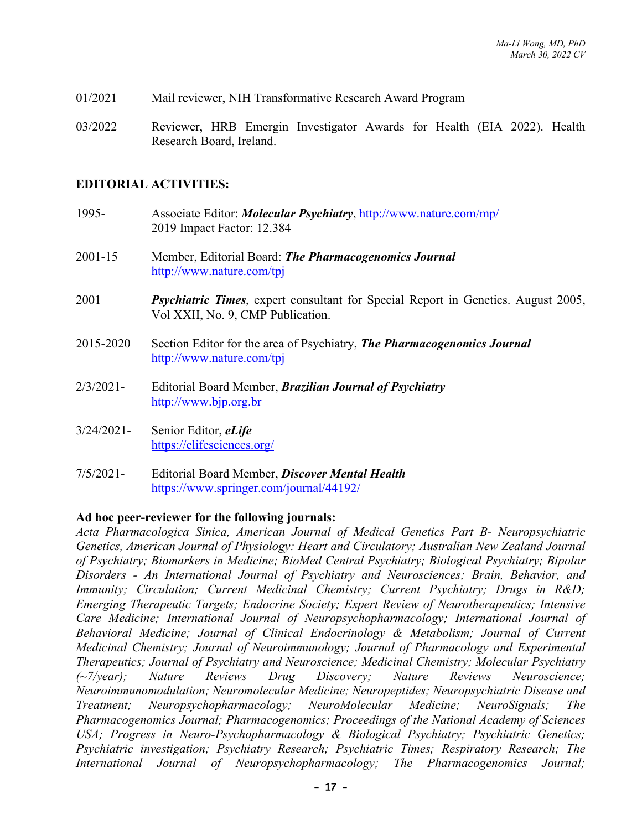- 01/2021 Mail reviewer, NIH Transformative Research Award Program
- 03/2022 Reviewer, HRB Emergin Investigator Awards for Health (EIA 2022). Health Research Board, Ireland.

#### **EDITORIAL ACTIVITIES:**

- 1995- Associate Editor: *Molecular Psychiatry*, http://www.nature.com/mp/ 2019 Impact Factor: 12.384
- 2001-15 Member, Editorial Board: *The Pharmacogenomics Journal* http://www.nature.com/tpj
- 2001 *Psychiatric Times*, expert consultant for Special Report in Genetics. August 2005, Vol XXII, No. 9, CMP Publication.
- 2015-2020 Section Editor for the area of Psychiatry, *The Pharmacogenomics Journal* http://www.nature.com/tpj
- 2/3/2021- Editorial Board Member, *Brazilian Journal of Psychiatry* http://www.bjp.org.br
- 3/24/2021- Senior Editor, *eLife* https://elifesciences.org/
- 7/5/2021- Editorial Board Member, *Discover Mental Health* https://www.springer.com/journal/44192/

#### **Ad hoc peer-reviewer for the following journals:**

*Acta Pharmacologica Sinica, American Journal of Medical Genetics Part B- Neuropsychiatric Genetics, American Journal of Physiology: Heart and Circulatory; Australian New Zealand Journal of Psychiatry; Biomarkers in Medicine; BioMed Central Psychiatry; Biological Psychiatry; Bipolar Disorders - An International Journal of Psychiatry and Neurosciences; Brain, Behavior, and Immunity; Circulation; Current Medicinal Chemistry; Current Psychiatry; Drugs in R&D; Emerging Therapeutic Targets; Endocrine Society; Expert Review of Neurotherapeutics; Intensive Care Medicine; International Journal of Neuropsychopharmacology; International Journal of Behavioral Medicine; Journal of Clinical Endocrinology & Metabolism; Journal of Current Medicinal Chemistry; Journal of Neuroimmunology; Journal of Pharmacology and Experimental Therapeutics; Journal of Psychiatry and Neuroscience; Medicinal Chemistry; Molecular Psychiatry (~7/year); Nature Reviews Drug Discovery; Nature Reviews Neuroscience; Neuroimmunomodulation; Neuromolecular Medicine; Neuropeptides; Neuropsychiatric Disease and Treatment; Neuropsychopharmacology; NeuroMolecular Medicine; NeuroSignals; The Pharmacogenomics Journal; Pharmacogenomics; Proceedings of the National Academy of Sciences USA; Progress in Neuro-Psychopharmacology & Biological Psychiatry; Psychiatric Genetics; Psychiatric investigation; Psychiatry Research; Psychiatric Times; Respiratory Research; The International Journal of Neuropsychopharmacology; The Pharmacogenomics Journal;*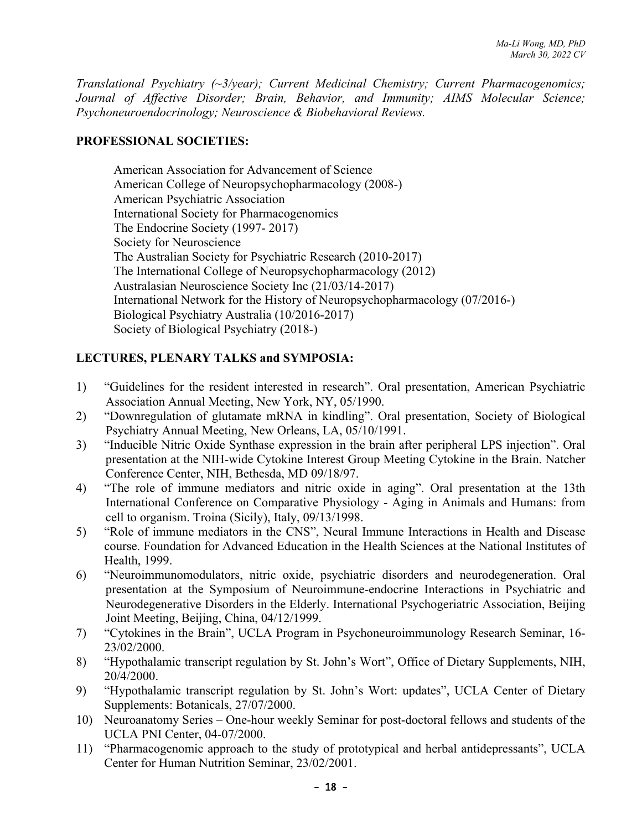*Translational Psychiatry (~3/year); Current Medicinal Chemistry; Current Pharmacogenomics; Journal of Affective Disorder; Brain, Behavior, and Immunity; AIMS Molecular Science; Psychoneuroendocrinology; Neuroscience & Biobehavioral Reviews.*

# **PROFESSIONAL SOCIETIES:**

American Association for Advancement of Science American College of Neuropsychopharmacology (2008-) American Psychiatric Association International Society for Pharmacogenomics The Endocrine Society (1997- 2017) Society for Neuroscience The Australian Society for Psychiatric Research (2010-2017) The International College of Neuropsychopharmacology (2012) Australasian Neuroscience Society Inc (21/03/14-2017) International Network for the History of Neuropsychopharmacology (07/2016-) Biological Psychiatry Australia (10/2016-2017) Society of Biological Psychiatry (2018-)

# **LECTURES, PLENARY TALKS and SYMPOSIA:**

- 1) "Guidelines for the resident interested in research". Oral presentation, American Psychiatric Association Annual Meeting, New York, NY, 05/1990.
- 2) "Downregulation of glutamate mRNA in kindling". Oral presentation, Society of Biological Psychiatry Annual Meeting, New Orleans, LA, 05/10/1991.
- 3) "Inducible Nitric Oxide Synthase expression in the brain after peripheral LPS injection". Oral presentation at the NIH-wide Cytokine Interest Group Meeting Cytokine in the Brain. Natcher Conference Center, NIH, Bethesda, MD 09/18/97.
- 4) "The role of immune mediators and nitric oxide in aging". Oral presentation at the 13th International Conference on Comparative Physiology - Aging in Animals and Humans: from cell to organism. Troina (Sicily), Italy, 09/13/1998.
- 5) "Role of immune mediators in the CNS", Neural Immune Interactions in Health and Disease course. Foundation for Advanced Education in the Health Sciences at the National Institutes of Health, 1999.
- 6) "Neuroimmunomodulators, nitric oxide, psychiatric disorders and neurodegeneration. Oral presentation at the Symposium of Neuroimmune-endocrine Interactions in Psychiatric and Neurodegenerative Disorders in the Elderly. International Psychogeriatric Association, Beijing Joint Meeting, Beijing, China, 04/12/1999.
- 7) "Cytokines in the Brain", UCLA Program in Psychoneuroimmunology Research Seminar, 16- 23/02/2000.
- 8) "Hypothalamic transcript regulation by St. John's Wort", Office of Dietary Supplements, NIH, 20/4/2000.
- 9) "Hypothalamic transcript regulation by St. John's Wort: updates", UCLA Center of Dietary Supplements: Botanicals, 27/07/2000.
- 10) Neuroanatomy Series One-hour weekly Seminar for post-doctoral fellows and students of the UCLA PNI Center, 04-07/2000.
- 11) "Pharmacogenomic approach to the study of prototypical and herbal antidepressants", UCLA Center for Human Nutrition Seminar, 23/02/2001.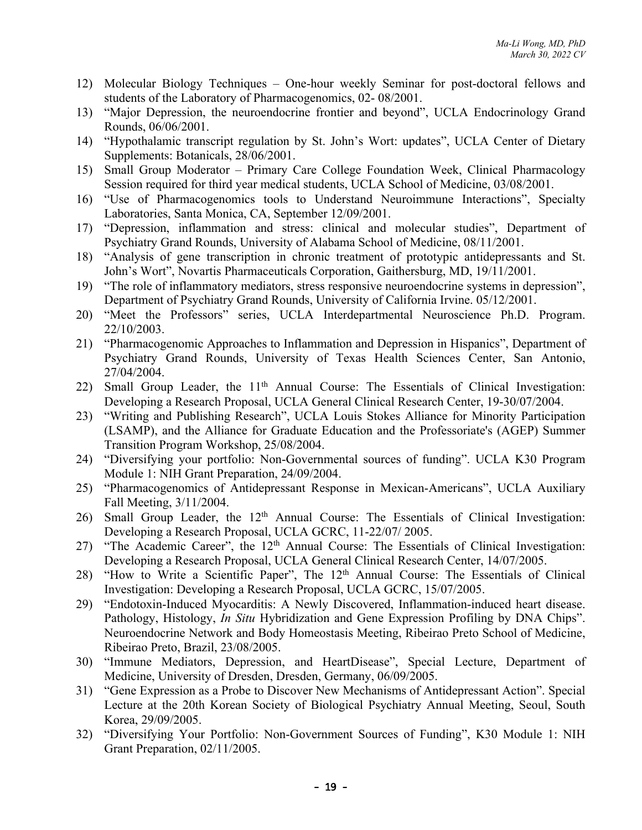- 12) Molecular Biology Techniques One-hour weekly Seminar for post-doctoral fellows and students of the Laboratory of Pharmacogenomics, 02- 08/2001.
- 13) "Major Depression, the neuroendocrine frontier and beyond", UCLA Endocrinology Grand Rounds, 06/06/2001.
- 14) "Hypothalamic transcript regulation by St. John's Wort: updates", UCLA Center of Dietary Supplements: Botanicals, 28/06/2001.
- 15) Small Group Moderator Primary Care College Foundation Week, Clinical Pharmacology Session required for third year medical students, UCLA School of Medicine, 03/08/2001.
- 16) "Use of Pharmacogenomics tools to Understand Neuroimmune Interactions", Specialty Laboratories, Santa Monica, CA, September 12/09/2001.
- 17) "Depression, inflammation and stress: clinical and molecular studies", Department of Psychiatry Grand Rounds, University of Alabama School of Medicine, 08/11/2001.
- 18) "Analysis of gene transcription in chronic treatment of prototypic antidepressants and St. John's Wort", Novartis Pharmaceuticals Corporation, Gaithersburg, MD, 19/11/2001.
- 19) "The role of inflammatory mediators, stress responsive neuroendocrine systems in depression", Department of Psychiatry Grand Rounds, University of California Irvine. 05/12/2001.
- 20) "Meet the Professors" series, UCLA Interdepartmental Neuroscience Ph.D. Program. 22/10/2003.
- 21) "Pharmacogenomic Approaches to Inflammation and Depression in Hispanics", Department of Psychiatry Grand Rounds, University of Texas Health Sciences Center, San Antonio, 27/04/2004.
- 22) Small Group Leader, the 11<sup>th</sup> Annual Course: The Essentials of Clinical Investigation: Developing a Research Proposal, UCLA General Clinical Research Center, 19-30/07/2004.
- 23) "Writing and Publishing Research", UCLA Louis Stokes Alliance for Minority Participation (LSAMP), and the Alliance for Graduate Education and the Professoriate's (AGEP) Summer Transition Program Workshop, 25/08/2004.
- 24) "Diversifying your portfolio: Non-Governmental sources of funding". UCLA K30 Program Module 1: NIH Grant Preparation, 24/09/2004.
- 25) "Pharmacogenomics of Antidepressant Response in Mexican-Americans", UCLA Auxiliary Fall Meeting, 3/11/2004.
- 26) Small Group Leader, the 12<sup>th</sup> Annual Course: The Essentials of Clinical Investigation: Developing a Research Proposal, UCLA GCRC, 11-22/07/ 2005.
- 27) "The Academic Career", the 12<sup>th</sup> Annual Course: The Essentials of Clinical Investigation: Developing a Research Proposal, UCLA General Clinical Research Center, 14/07/2005.
- 28) "How to Write a Scientific Paper", The 12th Annual Course: The Essentials of Clinical Investigation: Developing a Research Proposal, UCLA GCRC, 15/07/2005.
- 29) "Endotoxin-Induced Myocarditis: A Newly Discovered, Inflammation-induced heart disease. Pathology, Histology, *In Situ* Hybridization and Gene Expression Profiling by DNA Chips". Neuroendocrine Network and Body Homeostasis Meeting, Ribeirao Preto School of Medicine, Ribeirao Preto, Brazil, 23/08/2005.
- 30) "Immune Mediators, Depression, and HeartDisease", Special Lecture, Department of Medicine, University of Dresden, Dresden, Germany, 06/09/2005.
- 31) "Gene Expression as a Probe to Discover New Mechanisms of Antidepressant Action". Special Lecture at the 20th Korean Society of Biological Psychiatry Annual Meeting, Seoul, South Korea, 29/09/2005.
- 32) "Diversifying Your Portfolio: Non-Government Sources of Funding", K30 Module 1: NIH Grant Preparation, 02/11/2005.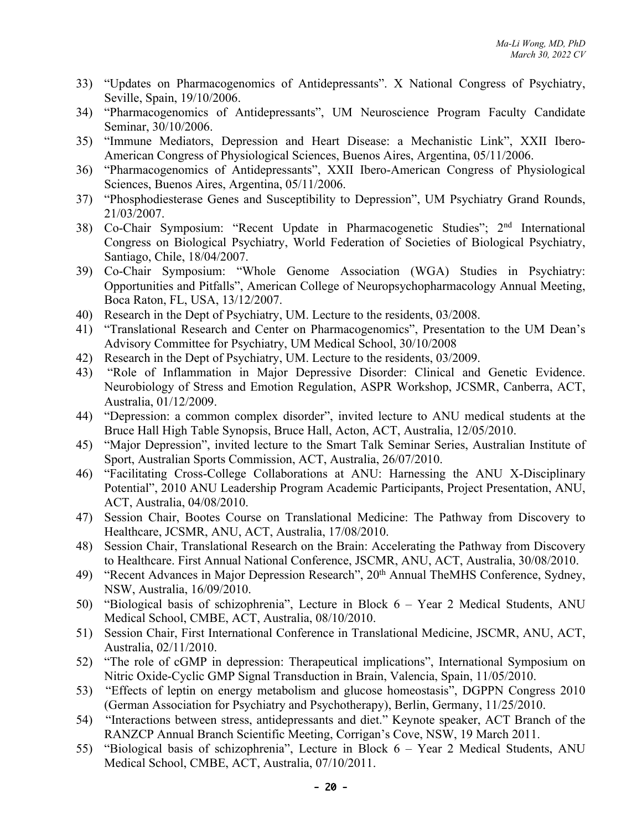- 33) "Updates on Pharmacogenomics of Antidepressants". X National Congress of Psychiatry, Seville, Spain, 19/10/2006.
- 34) "Pharmacogenomics of Antidepressants", UM Neuroscience Program Faculty Candidate Seminar, 30/10/2006.
- 35) "Immune Mediators, Depression and Heart Disease: a Mechanistic Link", XXII Ibero-American Congress of Physiological Sciences, Buenos Aires, Argentina, 05/11/2006.
- 36) "Pharmacogenomics of Antidepressants", XXII Ibero-American Congress of Physiological Sciences, Buenos Aires, Argentina, 05/11/2006.
- 37) "Phosphodiesterase Genes and Susceptibility to Depression", UM Psychiatry Grand Rounds, 21/03/2007.
- 38) Co-Chair Symposium: "Recent Update in Pharmacogenetic Studies"; 2nd International Congress on Biological Psychiatry, World Federation of Societies of Biological Psychiatry, Santiago, Chile, 18/04/2007.
- 39) Co-Chair Symposium: "Whole Genome Association (WGA) Studies in Psychiatry: Opportunities and Pitfalls", American College of Neuropsychopharmacology Annual Meeting, Boca Raton, FL, USA, 13/12/2007.
- 40) Research in the Dept of Psychiatry, UM. Lecture to the residents, 03/2008.
- 41) "Translational Research and Center on Pharmacogenomics", Presentation to the UM Dean's Advisory Committee for Psychiatry, UM Medical School, 30/10/2008
- 42) Research in the Dept of Psychiatry, UM. Lecture to the residents, 03/2009.
- 43) "Role of Inflammation in Major Depressive Disorder: Clinical and Genetic Evidence. Neurobiology of Stress and Emotion Regulation, ASPR Workshop, JCSMR, Canberra, ACT, Australia, 01/12/2009.
- 44) "Depression: a common complex disorder", invited lecture to ANU medical students at the Bruce Hall High Table Synopsis, Bruce Hall, Acton, ACT, Australia, 12/05/2010.
- 45) "Major Depression", invited lecture to the Smart Talk Seminar Series, Australian Institute of Sport, Australian Sports Commission, ACT, Australia, 26/07/2010.
- 46) "Facilitating Cross-College Collaborations at ANU: Harnessing the ANU X-Disciplinary Potential", 2010 ANU Leadership Program Academic Participants, Project Presentation, ANU, ACT, Australia, 04/08/2010.
- 47) Session Chair, Bootes Course on Translational Medicine: The Pathway from Discovery to Healthcare, JCSMR, ANU, ACT, Australia, 17/08/2010.
- 48) Session Chair, Translational Research on the Brain: Accelerating the Pathway from Discovery to Healthcare. First Annual National Conference, JSCMR, ANU, ACT, Australia, 30/08/2010.
- 49) "Recent Advances in Major Depression Research", 20<sup>th</sup> Annual TheMHS Conference, Sydney, NSW, Australia, 16/09/2010.
- 50) "Biological basis of schizophrenia", Lecture in Block 6 Year 2 Medical Students, ANU Medical School, CMBE, ACT, Australia, 08/10/2010.
- 51) Session Chair, First International Conference in Translational Medicine, JSCMR, ANU, ACT, Australia, 02/11/2010.
- 52) "The role of cGMP in depression: Therapeutical implications", International Symposium on Nitric Oxide-Cyclic GMP Signal Transduction in Brain, Valencia, Spain, 11/05/2010.
- 53) "Effects of leptin on energy metabolism and glucose homeostasis", DGPPN Congress 2010 (German Association for Psychiatry and Psychotherapy), Berlin, Germany, 11/25/2010.
- 54) "Interactions between stress, antidepressants and diet." Keynote speaker, ACT Branch of the RANZCP Annual Branch Scientific Meeting, Corrigan's Cove, NSW, 19 March 2011.
- 55) "Biological basis of schizophrenia", Lecture in Block 6 Year 2 Medical Students, ANU Medical School, CMBE, ACT, Australia, 07/10/2011.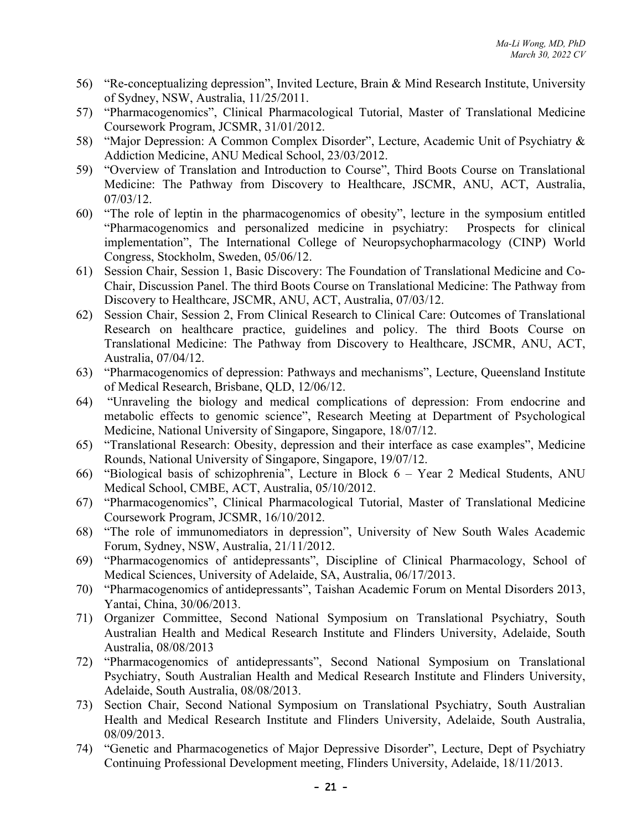- 56) "Re-conceptualizing depression", Invited Lecture, Brain & Mind Research Institute, University of Sydney, NSW, Australia, 11/25/2011.
- 57) "Pharmacogenomics", Clinical Pharmacological Tutorial, Master of Translational Medicine Coursework Program, JCSMR, 31/01/2012.
- 58) "Major Depression: A Common Complex Disorder", Lecture, Academic Unit of Psychiatry & Addiction Medicine, ANU Medical School, 23/03/2012.
- 59) "Overview of Translation and Introduction to Course", Third Boots Course on Translational Medicine: The Pathway from Discovery to Healthcare, JSCMR, ANU, ACT, Australia, 07/03/12.
- 60) "The role of leptin in the pharmacogenomics of obesity", lecture in the symposium entitled "Pharmacogenomics and personalized medicine in psychiatry: Prospects for clinical implementation", The International College of Neuropsychopharmacology (CINP) World Congress, Stockholm, Sweden, 05/06/12.
- 61) Session Chair, Session 1, Basic Discovery: The Foundation of Translational Medicine and Co-Chair, Discussion Panel. The third Boots Course on Translational Medicine: The Pathway from Discovery to Healthcare, JSCMR, ANU, ACT, Australia, 07/03/12.
- 62) Session Chair, Session 2, From Clinical Research to Clinical Care: Outcomes of Translational Research on healthcare practice, guidelines and policy. The third Boots Course on Translational Medicine: The Pathway from Discovery to Healthcare, JSCMR, ANU, ACT, Australia, 07/04/12.
- 63) "Pharmacogenomics of depression: Pathways and mechanisms", Lecture, Queensland Institute of Medical Research, Brisbane, QLD, 12/06/12.
- 64) "Unraveling the biology and medical complications of depression: From endocrine and metabolic effects to genomic science", Research Meeting at Department of Psychological Medicine, National University of Singapore, Singapore, 18/07/12.
- 65) "Translational Research: Obesity, depression and their interface as case examples", Medicine Rounds, National University of Singapore, Singapore, 19/07/12.
- 66) "Biological basis of schizophrenia", Lecture in Block 6 Year 2 Medical Students, ANU Medical School, CMBE, ACT, Australia, 05/10/2012.
- 67) "Pharmacogenomics", Clinical Pharmacological Tutorial, Master of Translational Medicine Coursework Program, JCSMR, 16/10/2012.
- 68) "The role of immunomediators in depression", University of New South Wales Academic Forum, Sydney, NSW, Australia, 21/11/2012.
- 69) "Pharmacogenomics of antidepressants", Discipline of Clinical Pharmacology, School of Medical Sciences, University of Adelaide, SA, Australia, 06/17/2013.
- 70) "Pharmacogenomics of antidepressants", Taishan Academic Forum on Mental Disorders 2013, Yantai, China, 30/06/2013.
- 71) Organizer Committee, Second National Symposium on Translational Psychiatry, South Australian Health and Medical Research Institute and Flinders University, Adelaide, South Australia, 08/08/2013
- 72) "Pharmacogenomics of antidepressants", Second National Symposium on Translational Psychiatry, South Australian Health and Medical Research Institute and Flinders University, Adelaide, South Australia, 08/08/2013.
- 73) Section Chair, Second National Symposium on Translational Psychiatry, South Australian Health and Medical Research Institute and Flinders University, Adelaide, South Australia, 08/09/2013.
- 74) "Genetic and Pharmacogenetics of Major Depressive Disorder", Lecture, Dept of Psychiatry Continuing Professional Development meeting, Flinders University, Adelaide, 18/11/2013.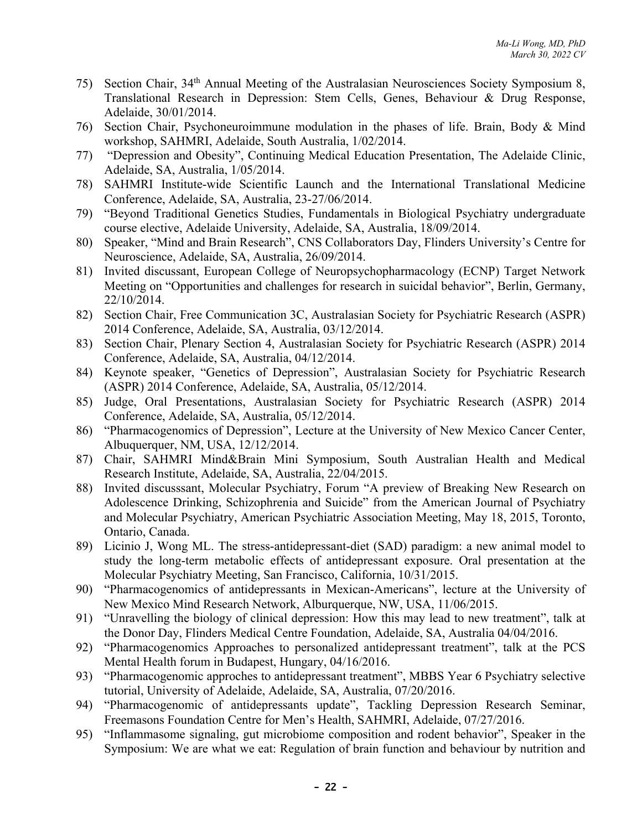- 75) Section Chair, 34th Annual Meeting of the Australasian Neurosciences Society Symposium 8, Translational Research in Depression: Stem Cells, Genes, Behaviour & Drug Response, Adelaide, 30/01/2014.
- 76) Section Chair, Psychoneuroimmune modulation in the phases of life. Brain, Body & Mind workshop, SAHMRI, Adelaide, South Australia, 1/02/2014.
- 77) "Depression and Obesity", Continuing Medical Education Presentation, The Adelaide Clinic, Adelaide, SA, Australia, 1/05/2014.
- 78) SAHMRI Institute-wide Scientific Launch and the International Translational Medicine Conference, Adelaide, SA, Australia, 23-27/06/2014.
- 79) "Beyond Traditional Genetics Studies, Fundamentals in Biological Psychiatry undergraduate course elective, Adelaide University, Adelaide, SA, Australia, 18/09/2014.
- 80) Speaker, "Mind and Brain Research", CNS Collaborators Day, Flinders University's Centre for Neuroscience, Adelaide, SA, Australia, 26/09/2014.
- 81) Invited discussant, European College of Neuropsychopharmacology (ECNP) Target Network Meeting on "Opportunities and challenges for research in suicidal behavior", Berlin, Germany, 22/10/2014.
- 82) Section Chair, Free Communication 3C, Australasian Society for Psychiatric Research (ASPR) 2014 Conference, Adelaide, SA, Australia, 03/12/2014.
- 83) Section Chair, Plenary Section 4, Australasian Society for Psychiatric Research (ASPR) 2014 Conference, Adelaide, SA, Australia, 04/12/2014.
- 84) Keynote speaker, "Genetics of Depression", Australasian Society for Psychiatric Research (ASPR) 2014 Conference, Adelaide, SA, Australia, 05/12/2014.
- 85) Judge, Oral Presentations, Australasian Society for Psychiatric Research (ASPR) 2014 Conference, Adelaide, SA, Australia, 05/12/2014.
- 86) "Pharmacogenomics of Depression", Lecture at the University of New Mexico Cancer Center, Albuquerquer, NM, USA, 12/12/2014.
- 87) Chair, SAHMRI Mind&Brain Mini Symposium, South Australian Health and Medical Research Institute, Adelaide, SA, Australia, 22/04/2015.
- 88) Invited discusssant, Molecular Psychiatry, Forum "A preview of Breaking New Research on Adolescence Drinking, Schizophrenia and Suicide" from the American Journal of Psychiatry and Molecular Psychiatry, American Psychiatric Association Meeting, May 18, 2015, Toronto, Ontario, Canada.
- 89) Licinio J, Wong ML. The stress-antidepressant-diet (SAD) paradigm: a new animal model to study the long-term metabolic effects of antidepressant exposure. Oral presentation at the Molecular Psychiatry Meeting, San Francisco, California, 10/31/2015.
- 90) "Pharmacogenomics of antidepressants in Mexican-Americans", lecture at the University of New Mexico Mind Research Network, Alburquerque, NW, USA, 11/06/2015.
- 91) "Unravelling the biology of clinical depression: How this may lead to new treatment", talk at the Donor Day, Flinders Medical Centre Foundation, Adelaide, SA, Australia 04/04/2016.
- 92) "Pharmacogenomics Approaches to personalized antidepressant treatment", talk at the PCS Mental Health forum in Budapest, Hungary, 04/16/2016.
- 93) "Pharmacogenomic approches to antidepressant treatment", MBBS Year 6 Psychiatry selective tutorial, University of Adelaide, Adelaide, SA, Australia, 07/20/2016.
- 94) "Pharmacogenomic of antidepressants update", Tackling Depression Research Seminar, Freemasons Foundation Centre for Men's Health, SAHMRI, Adelaide, 07/27/2016.
- 95) "Inflammasome signaling, gut microbiome composition and rodent behavior", Speaker in the Symposium: We are what we eat: Regulation of brain function and behaviour by nutrition and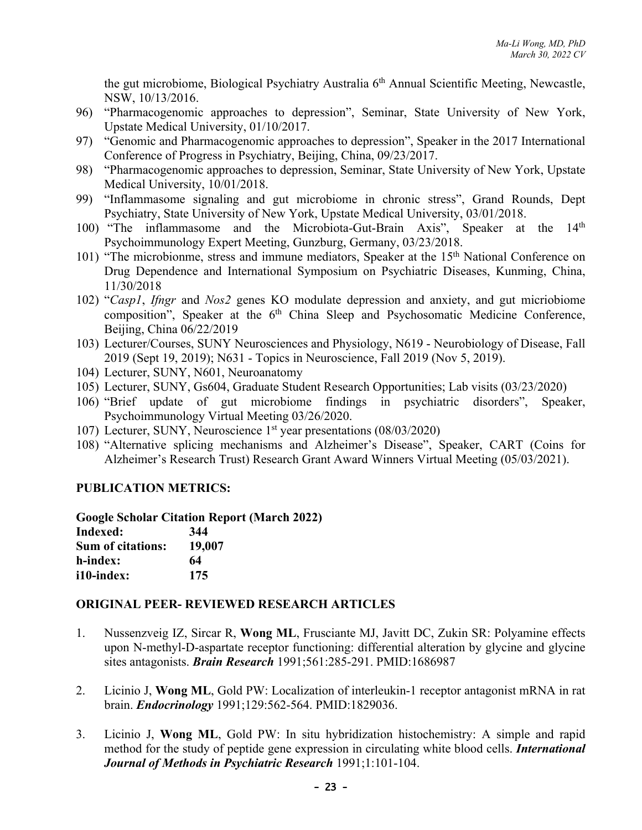the gut microbiome, Biological Psychiatry Australia 6<sup>th</sup> Annual Scientific Meeting, Newcastle, NSW, 10/13/2016.

- 96) "Pharmacogenomic approaches to depression", Seminar, State University of New York, Upstate Medical University, 01/10/2017.
- 97) "Genomic and Pharmacogenomic approaches to depression", Speaker in the 2017 International Conference of Progress in Psychiatry, Beijing, China, 09/23/2017.
- 98) "Pharmacogenomic approaches to depression, Seminar, State University of New York, Upstate Medical University, 10/01/2018.
- 99) "Inflammasome signaling and gut microbiome in chronic stress", Grand Rounds, Dept Psychiatry, State University of New York, Upstate Medical University, 03/01/2018.
- 100) "The inflammasome and the Microbiota-Gut-Brain Axis", Speaker at the 14th Psychoimmunology Expert Meeting, Gunzburg, Germany, 03/23/2018.
- 101) "The microbionme, stress and immune mediators, Speaker at the 15<sup>th</sup> National Conference on Drug Dependence and International Symposium on Psychiatric Diseases, Kunming, China, 11/30/2018
- 102) "*Casp1*, *Ifngr* and *Nos2* genes KO modulate depression and anxiety, and gut micriobiome composition", Speaker at the 6<sup>th</sup> China Sleep and Psychosomatic Medicine Conference, Beijing, China 06/22/2019
- 103) Lecturer/Courses, SUNY Neurosciences and Physiology, N619 Neurobiology of Disease, Fall 2019 (Sept 19, 2019); N631 - Topics in Neuroscience, Fall 2019 (Nov 5, 2019).
- 104) Lecturer, SUNY, N601, Neuroanatomy
- 105) Lecturer, SUNY, Gs604, Graduate Student Research Opportunities; Lab visits (03/23/2020)
- 106) "Brief update of gut microbiome findings in psychiatric disorders", Speaker, Psychoimmunology Virtual Meeting 03/26/2020.
- 107) Lecturer, SUNY, Neuroscience 1st year presentations (08/03/2020)
- 108) "Alternative splicing mechanisms and Alzheimer's Disease", Speaker, CART (Coins for Alzheimer's Research Trust) Research Grant Award Winners Virtual Meeting (05/03/2021).

#### **PUBLICATION METRICS:**

|  | <b>Google Scholar Citation Report (March 2022)</b> |  |  |
|--|----------------------------------------------------|--|--|
|  |                                                    |  |  |

| Indexed:                 | 344    |
|--------------------------|--------|
| <b>Sum of citations:</b> | 19,007 |
| h-index:                 | 64     |
| i10-index:               | 175    |

#### **ORIGINAL PEER- REVIEWED RESEARCH ARTICLES**

- 1. Nussenzveig IZ, Sircar R, **Wong ML**, Frusciante MJ, Javitt DC, Zukin SR: Polyamine effects upon N-methyl-D-aspartate receptor functioning: differential alteration by glycine and glycine sites antagonists. *Brain Research* 1991;561:285-291. PMID:1686987
- 2. Licinio J, **Wong ML**, Gold PW: Localization of interleukin-1 receptor antagonist mRNA in rat brain. *Endocrinology* 1991;129:562-564. PMID:1829036.
- 3. Licinio J, **Wong ML**, Gold PW: In situ hybridization histochemistry: A simple and rapid method for the study of peptide gene expression in circulating white blood cells. *International Journal of Methods in Psychiatric Research* 1991;1:101-104.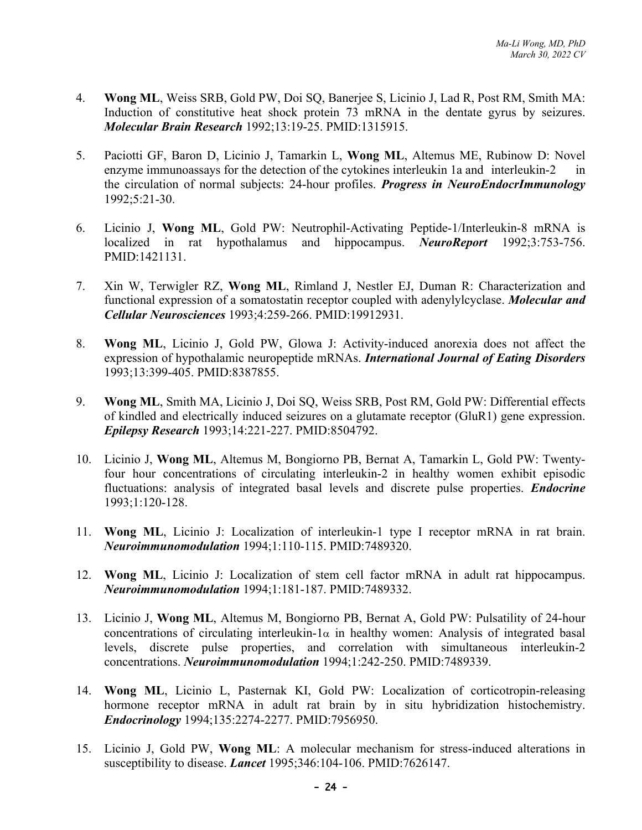- 4. **Wong ML**, Weiss SRB, Gold PW, Doi SQ, Banerjee S, Licinio J, Lad R, Post RM, Smith MA: Induction of constitutive heat shock protein 73 mRNA in the dentate gyrus by seizures. *Molecular Brain Research* 1992;13:19-25. PMID:1315915.
- 5. Paciotti GF, Baron D, Licinio J, Tamarkin L, **Wong ML**, Altemus ME, Rubinow D: Novel enzyme immunoassays for the detection of the cytokines interleukin 1a and interleukin-2 in the circulation of normal subjects: 24-hour profiles. *Progress in NeuroEndocrImmunology* 1992;5:21-30.
- 6. Licinio J, **Wong ML**, Gold PW: Neutrophil-Activating Peptide-1/Interleukin-8 mRNA is localized in rat hypothalamus and hippocampus. *NeuroReport* 1992;3:753-756. PMID:1421131.
- 7. Xin W, Terwigler RZ, **Wong ML**, Rimland J, Nestler EJ, Duman R: Characterization and functional expression of a somatostatin receptor coupled with adenylylcyclase. *Molecular and Cellular Neurosciences* 1993;4:259-266. PMID:19912931.
- 8. **Wong ML**, Licinio J, Gold PW, Glowa J: Activity-induced anorexia does not affect the expression of hypothalamic neuropeptide mRNAs. *International Journal of Eating Disorders* 1993;13:399-405. PMID:8387855.
- 9. **Wong ML**, Smith MA, Licinio J, Doi SQ, Weiss SRB, Post RM, Gold PW: Differential effects of kindled and electrically induced seizures on a glutamate receptor (GluR1) gene expression. *Epilepsy Research* 1993;14:221-227. PMID:8504792.
- 10. Licinio J, **Wong ML**, Altemus M, Bongiorno PB, Bernat A, Tamarkin L, Gold PW: Twentyfour hour concentrations of circulating interleukin-2 in healthy women exhibit episodic fluctuations: analysis of integrated basal levels and discrete pulse properties. *Endocrine* 1993;1:120-128.
- 11. **Wong ML**, Licinio J: Localization of interleukin-1 type I receptor mRNA in rat brain. *Neuroimmunomodulation* 1994;1:110-115. PMID:7489320.
- 12. **Wong ML**, Licinio J: Localization of stem cell factor mRNA in adult rat hippocampus. *Neuroimmunomodulation* 1994;1:181-187. PMID:7489332.
- 13. Licinio J, **Wong ML**, Altemus M, Bongiorno PB, Bernat A, Gold PW: Pulsatility of 24-hour concentrations of circulating interleukin- $1\alpha$  in healthy women: Analysis of integrated basal levels, discrete pulse properties, and correlation with simultaneous interleukin-2 concentrations. *Neuroimmunomodulation* 1994;1:242-250. PMID:7489339.
- 14. **Wong ML**, Licinio L, Pasternak KI, Gold PW: Localization of corticotropin-releasing hormone receptor mRNA in adult rat brain by in situ hybridization histochemistry. *Endocrinology* 1994;135:2274-2277. PMID:7956950.
- 15. Licinio J, Gold PW, **Wong ML**: A molecular mechanism for stress-induced alterations in susceptibility to disease. *Lancet* 1995;346:104-106. PMID:7626147.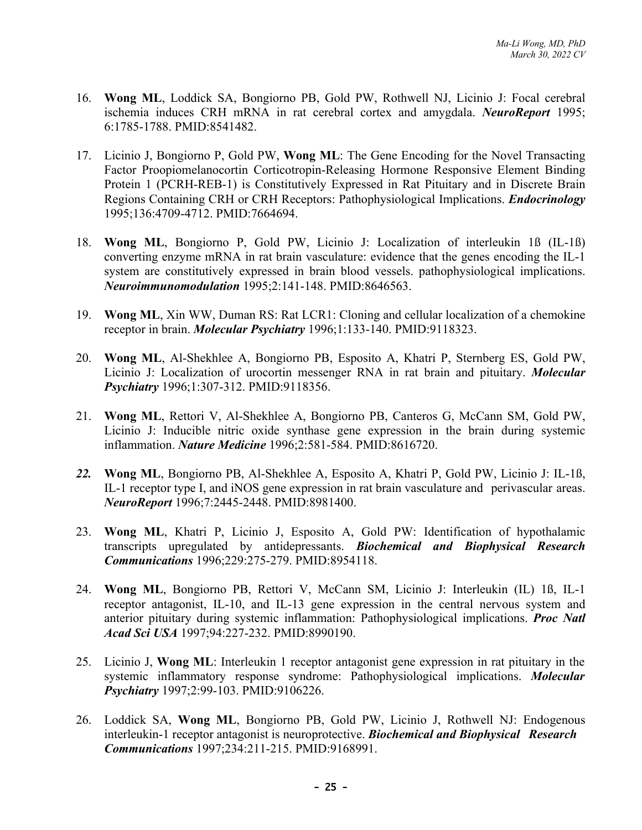- 16. **Wong ML**, Loddick SA, Bongiorno PB, Gold PW, Rothwell NJ, Licinio J: Focal cerebral ischemia induces CRH mRNA in rat cerebral cortex and amygdala. *NeuroReport* 1995; 6:1785-1788. PMID:8541482.
- 17. Licinio J, Bongiorno P, Gold PW, **Wong ML**: The Gene Encoding for the Novel Transacting Factor Proopiomelanocortin Corticotropin-Releasing Hormone Responsive Element Binding Protein 1 (PCRH-REB-1) is Constitutively Expressed in Rat Pituitary and in Discrete Brain Regions Containing CRH or CRH Receptors: Pathophysiological Implications. *Endocrinology* 1995;136:4709-4712. PMID:7664694.
- 18. **Wong ML**, Bongiorno P, Gold PW, Licinio J: Localization of interleukin 1ß (IL-1ß) converting enzyme mRNA in rat brain vasculature: evidence that the genes encoding the IL-1 system are constitutively expressed in brain blood vessels. pathophysiological implications. *Neuroimmunomodulation* 1995;2:141-148. PMID:8646563.
- 19. **Wong ML**, Xin WW, Duman RS: Rat LCR1: Cloning and cellular localization of a chemokine receptor in brain. *Molecular Psychiatry* 1996;1:133-140. PMID:9118323.
- 20. **Wong ML**, Al-Shekhlee A, Bongiorno PB, Esposito A, Khatri P, Sternberg ES, Gold PW, Licinio J: Localization of urocortin messenger RNA in rat brain and pituitary. *Molecular Psychiatry* 1996;1:307-312. PMID:9118356.
- 21. **Wong ML**, Rettori V, Al-Shekhlee A, Bongiorno PB, Canteros G, McCann SM, Gold PW, Licinio J: Inducible nitric oxide synthase gene expression in the brain during systemic inflammation. *Nature Medicine* 1996;2:581-584. PMID:8616720.
- *22.* **Wong ML**, Bongiorno PB, Al-Shekhlee A, Esposito A, Khatri P, Gold PW, Licinio J: IL-1ß, IL-1 receptor type I, and iNOS gene expression in rat brain vasculature and perivascular areas. *NeuroReport* 1996;7:2445-2448. PMID:8981400.
- 23. **Wong ML**, Khatri P, Licinio J, Esposito A, Gold PW: Identification of hypothalamic transcripts upregulated by antidepressants. *Biochemical and Biophysical Research Communications* 1996;229:275-279. PMID:8954118.
- 24. **Wong ML**, Bongiorno PB, Rettori V, McCann SM, Licinio J: Interleukin (IL) 1ß, IL-1 receptor antagonist, IL-10, and IL-13 gene expression in the central nervous system and anterior pituitary during systemic inflammation: Pathophysiological implications. *Proc Natl Acad Sci USA* 1997;94:227-232. PMID:8990190.
- 25. Licinio J, **Wong ML**: Interleukin 1 receptor antagonist gene expression in rat pituitary in the systemic inflammatory response syndrome: Pathophysiological implications. *Molecular Psychiatry* 1997;2:99-103. PMID:9106226.
- 26. Loddick SA, **Wong ML**, Bongiorno PB, Gold PW, Licinio J, Rothwell NJ: Endogenous interleukin-1 receptor antagonist is neuroprotective. *Biochemical and Biophysical Research Communications* 1997;234:211-215. PMID:9168991.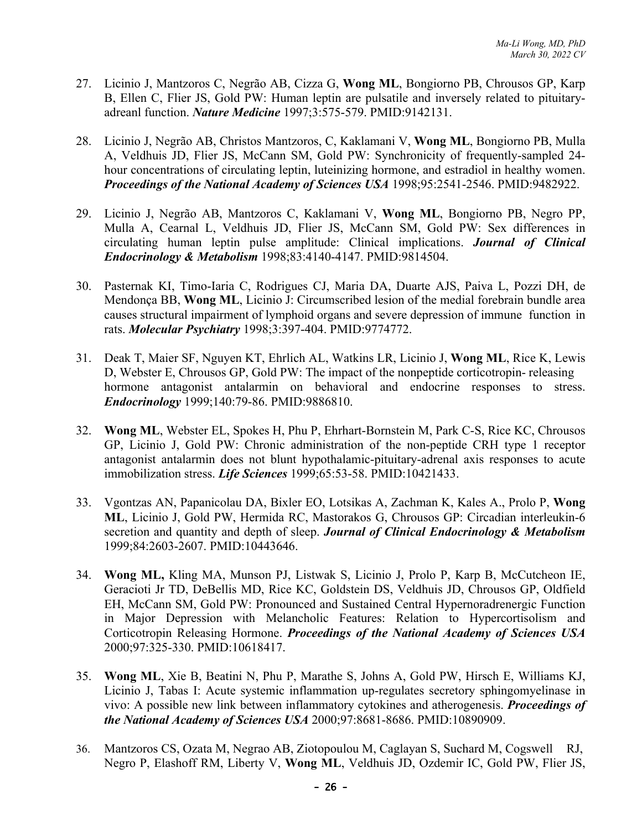- 27. Licinio J, Mantzoros C, Negrão AB, Cizza G, **Wong ML**, Bongiorno PB, Chrousos GP, Karp B, Ellen C, Flier JS, Gold PW: Human leptin are pulsatile and inversely related to pituitaryadreanl function. *Nature Medicine* 1997;3:575-579. PMID:9142131.
- 28. Licinio J, Negrão AB, Christos Mantzoros, C, Kaklamani V, **Wong ML**, Bongiorno PB, Mulla A, Veldhuis JD, Flier JS, McCann SM, Gold PW: Synchronicity of frequently-sampled 24 hour concentrations of circulating leptin, luteinizing hormone, and estradiol in healthy women. *Proceedings of the National Academy of Sciences USA* 1998;95:2541-2546. PMID:9482922.
- 29. Licinio J, Negrão AB, Mantzoros C, Kaklamani V, **Wong ML**, Bongiorno PB, Negro PP, Mulla A, Cearnal L, Veldhuis JD, Flier JS, McCann SM, Gold PW: Sex differences in circulating human leptin pulse amplitude: Clinical implications. *Journal of Clinical Endocrinology & Metabolism* 1998;83:4140-4147. PMID:9814504.
- 30. Pasternak KI, Timo-Iaria C, Rodrigues CJ, Maria DA, Duarte AJS, Paiva L, Pozzi DH, de Mendonça BB, **Wong ML**, Licinio J: Circumscribed lesion of the medial forebrain bundle area causes structural impairment of lymphoid organs and severe depression of immune function in rats. *Molecular Psychiatry* 1998;3:397-404. PMID:9774772.
- 31. Deak T, Maier SF, Nguyen KT, Ehrlich AL, Watkins LR, Licinio J, **Wong ML**, Rice K, Lewis D, Webster E, Chrousos GP, Gold PW: The impact of the nonpeptide corticotropin- releasing hormone antagonist antalarmin on behavioral and endocrine responses to stress. *Endocrinology* 1999;140:79-86. PMID:9886810.
- 32. **Wong ML**, Webster EL, Spokes H, Phu P, Ehrhart-Bornstein M, Park C-S, Rice KC, Chrousos GP, Licinio J, Gold PW: Chronic administration of the non-peptide CRH type 1 receptor antagonist antalarmin does not blunt hypothalamic-pituitary-adrenal axis responses to acute immobilization stress. *Life Sciences* 1999;65:53-58. PMID:10421433.
- 33. Vgontzas AN, Papanicolau DA, Bixler EO, Lotsikas A, Zachman K, Kales A., Prolo P, **Wong ML**, Licinio J, Gold PW, Hermida RC, Mastorakos G, Chrousos GP: Circadian interleukin-6 secretion and quantity and depth of sleep. *Journal of Clinical Endocrinology & Metabolism* 1999;84:2603-2607. PMID:10443646.
- 34. **Wong ML,** Kling MA, Munson PJ, Listwak S, Licinio J, Prolo P, Karp B, McCutcheon IE, Geracioti Jr TD, DeBellis MD, Rice KC, Goldstein DS, Veldhuis JD, Chrousos GP, Oldfield EH, McCann SM, Gold PW: Pronounced and Sustained Central Hypernoradrenergic Function in Major Depression with Melancholic Features: Relation to Hypercortisolism and Corticotropin Releasing Hormone. *Proceedings of the National Academy of Sciences USA* 2000;97:325-330. PMID:10618417.
- 35. **Wong ML**, Xie B, Beatini N, Phu P, Marathe S, Johns A, Gold PW, Hirsch E, Williams KJ, Licinio J, Tabas I: Acute systemic inflammation up-regulates secretory sphingomyelinase in vivo: A possible new link between inflammatory cytokines and atherogenesis. *Proceedings of the National Academy of Sciences USA* 2000;97:8681-8686. PMID:10890909.
- 36. Mantzoros CS, Ozata M, Negrao AB, Ziotopoulou M, Caglayan S, Suchard M, Cogswell RJ, Negro P, Elashoff RM, Liberty V, **Wong ML**, Veldhuis JD, Ozdemir IC, Gold PW, Flier JS,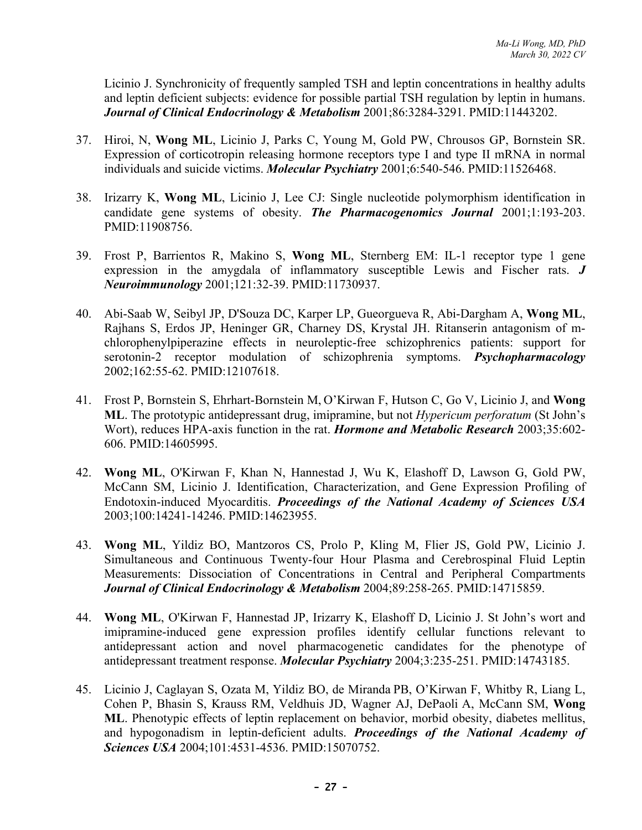Licinio J. Synchronicity of frequently sampled TSH and leptin concentrations in healthy adults and leptin deficient subjects: evidence for possible partial TSH regulation by leptin in humans. *Journal of Clinical Endocrinology & Metabolism* 2001;86:3284-3291. PMID:11443202.

- 37. Hiroi, N, **Wong ML**, Licinio J, Parks C, Young M, Gold PW, Chrousos GP, Bornstein SR. Expression of corticotropin releasing hormone receptors type I and type II mRNA in normal individuals and suicide victims. *Molecular Psychiatry* 2001;6:540-546. PMID:11526468.
- 38. Irizarry K, **Wong ML**, Licinio J, Lee CJ: Single nucleotide polymorphism identification in candidate gene systems of obesity. *The Pharmacogenomics Journal* 2001;1:193-203. PMID:11908756.
- 39. Frost P, Barrientos R, Makino S, **Wong ML**, Sternberg EM: IL-1 receptor type 1 gene expression in the amygdala of inflammatory susceptible Lewis and Fischer rats. *J Neuroimmunology* 2001;121:32-39. PMID:11730937.
- 40. Abi-Saab W, Seibyl JP, D'Souza DC, Karper LP, Gueorgueva R, Abi-Dargham A, **Wong ML**, Rajhans S, Erdos JP, Heninger GR, Charney DS, Krystal JH. Ritanserin antagonism of mchlorophenylpiperazine effects in neuroleptic-free schizophrenics patients: support for serotonin-2 receptor modulation of schizophrenia symptoms. *Psychopharmacology* 2002;162:55-62. PMID:12107618.
- 41. Frost P, Bornstein S, Ehrhart-Bornstein M, O'Kirwan F, Hutson C, Go V, Licinio J, and **Wong ML**. The prototypic antidepressant drug, imipramine, but not *Hypericum perforatum* (St John's Wort), reduces HPA-axis function in the rat. *Hormone and Metabolic Research* 2003;35:602- 606. PMID:14605995.
- 42. **Wong ML**, O'Kirwan F, Khan N, Hannestad J, Wu K, Elashoff D, Lawson G, Gold PW, McCann SM, Licinio J. Identification, Characterization, and Gene Expression Profiling of Endotoxin-induced Myocarditis. *Proceedings of the National Academy of Sciences USA* 2003;100:14241-14246. PMID:14623955.
- 43. **Wong ML**, Yildiz BO, Mantzoros CS, Prolo P, Kling M, Flier JS, Gold PW, Licinio J. Simultaneous and Continuous Twenty-four Hour Plasma and Cerebrospinal Fluid Leptin Measurements: Dissociation of Concentrations in Central and Peripheral Compartments *Journal of Clinical Endocrinology & Metabolism* 2004;89:258-265. PMID:14715859.
- 44. **Wong ML**, O'Kirwan F, Hannestad JP, Irizarry K, Elashoff D, Licinio J. St John's wort and imipramine-induced gene expression profiles identify cellular functions relevant to antidepressant action and novel pharmacogenetic candidates for the phenotype of antidepressant treatment response. *Molecular Psychiatry* 2004;3:235-251. PMID:14743185.
- 45. Licinio J, Caglayan S, Ozata M, Yildiz BO, de Miranda PB, O'Kirwan F, Whitby R, Liang L, Cohen P, Bhasin S, Krauss RM, Veldhuis JD, Wagner AJ, DePaoli A, McCann SM, **Wong ML**. Phenotypic effects of leptin replacement on behavior, morbid obesity, diabetes mellitus, and hypogonadism in leptin-deficient adults. *Proceedings of the National Academy of Sciences USA* 2004;101:4531-4536. PMID:15070752.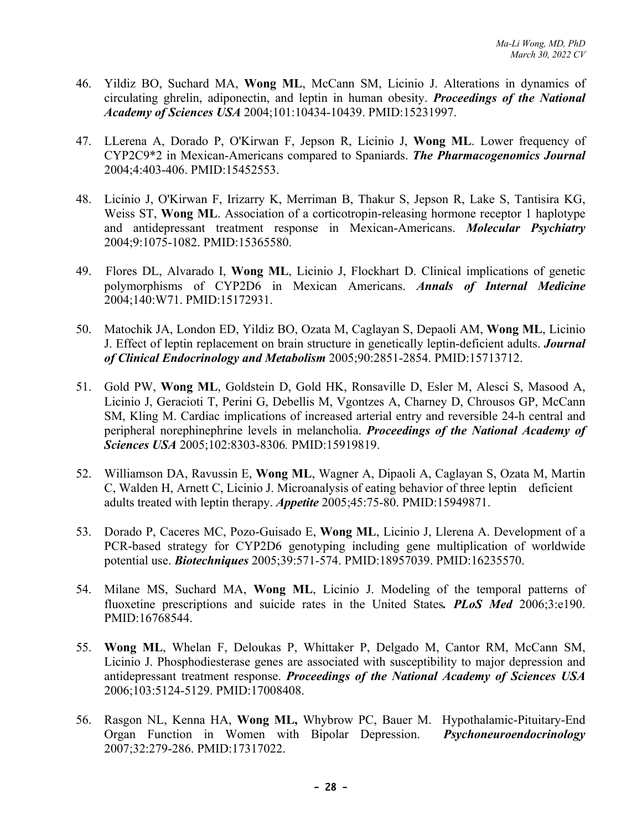- 46. Yildiz BO, Suchard MA, **Wong ML**, McCann SM, Licinio J. Alterations in dynamics of circulating ghrelin, adiponectin, and leptin in human obesity. *Proceedings of the National Academy of Sciences USA* 2004;101:10434-10439. PMID:15231997.
- 47. LLerena A, Dorado P, O'Kirwan F, Jepson R, Licinio J, **Wong ML**. Lower frequency of CYP2C9\*2 in Mexican-Americans compared to Spaniards. *The Pharmacogenomics Journal* 2004;4:403-406. PMID:15452553.
- 48. Licinio J, O'Kirwan F, Irizarry K, Merriman B, Thakur S, Jepson R, Lake S, Tantisira KG, Weiss ST, **Wong ML**. Association of a corticotropin-releasing hormone receptor 1 haplotype and antidepressant treatment response in Mexican-Americans. *Molecular Psychiatry* 2004;9:1075-1082. PMID:15365580.
- 49. Flores DL, Alvarado I, **Wong ML**, Licinio J, Flockhart D. Clinical implications of genetic polymorphisms of CYP2D6 in Mexican Americans. *Annals of Internal Medicine* 2004;140:W71. PMID:15172931.
- 50. Matochik JA, London ED, Yildiz BO, Ozata M, Caglayan S, Depaoli AM, **Wong ML**, Licinio J. Effect of leptin replacement on brain structure in genetically leptin-deficient adults. *Journal of Clinical Endocrinology and Metabolism* 2005;90:2851-2854. PMID:15713712.
- 51. Gold PW, **Wong ML**, Goldstein D, Gold HK, Ronsaville D, Esler M, Alesci S, Masood A, Licinio J, Geracioti T, Perini G, Debellis M, Vgontzes A, Charney D, Chrousos GP, McCann SM, Kling M. Cardiac implications of increased arterial entry and reversible 24-h central and peripheral norephinephrine levels in melancholia. *Proceedings of the National Academy of Sciences USA* 2005;102:8303-8306*.* PMID:15919819.
- 52. Williamson DA, Ravussin E, **Wong ML**, Wagner A, Dipaoli A, Caglayan S, Ozata M, Martin C, Walden H, Arnett C, Licinio J. Microanalysis of eating behavior of three leptin deficient adults treated with leptin therapy. *Appetite* 2005;45:75-80. PMID:15949871.
- 53. Dorado P, Caceres MC, Pozo-Guisado E, **Wong ML**, Licinio J, Llerena A. Development of a PCR-based strategy for CYP2D6 genotyping including gene multiplication of worldwide potential use. *Biotechniques* 2005;39:571-574. PMID:18957039. PMID:16235570.
- 54. Milane MS, Suchard MA, **Wong ML**, Licinio J. Modeling of the temporal patterns of fluoxetine prescriptions and suicide rates in the United States*. PLoS Med* 2006;3:e190. PMID:16768544.
- 55. **Wong ML**, Whelan F, Deloukas P, Whittaker P, Delgado M, Cantor RM, McCann SM, Licinio J. Phosphodiesterase genes are associated with susceptibility to major depression and antidepressant treatment response. *Proceedings of the National Academy of Sciences USA* 2006;103:5124-5129. PMID:17008408.
- 56. Rasgon NL, Kenna HA, **Wong ML,** Whybrow PC, Bauer M. Hypothalamic-Pituitary-End Organ Function in Women with Bipolar Depression. *Psychoneuroendocrinology* 2007;32:279-286. PMID:17317022.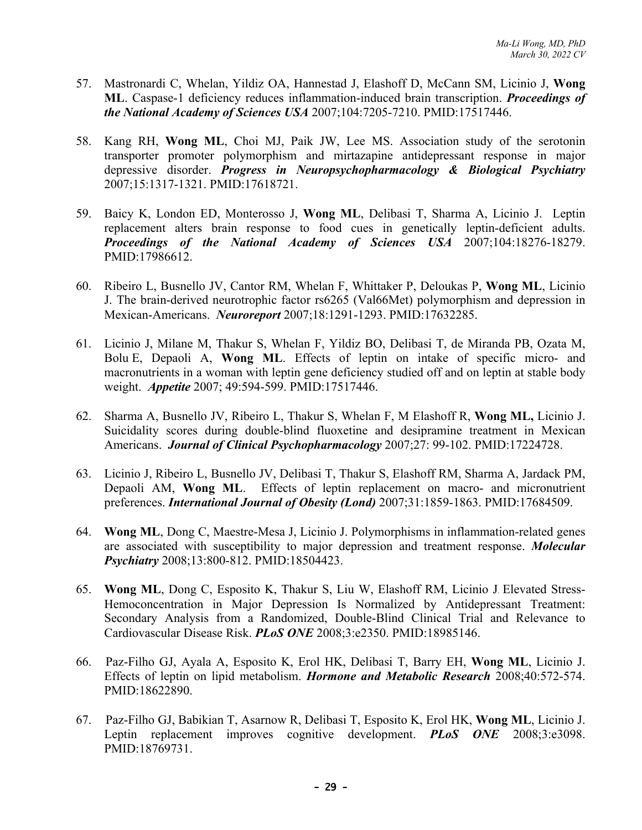- 57. Mastronardi C, Whelan, Yildiz OA, Hannestad J, Elashoff D, McCann SM, Licinio J, **Wong ML**. Caspase-1 deficiency reduces inflammation-induced brain transcription. *Proceedings of the National Academy of Sciences USA* 2007;104:7205-7210. PMID:17517446.
- 58. Kang RH, **Wong ML**, Choi MJ, Paik JW, Lee MS. Association study of the serotonin transporter promoter polymorphism and mirtazapine antidepressant response in major depressive disorder. *Progress in Neuropsychopharmacology & Biological Psychiatry* 2007;15:1317-1321. PMID:17618721.
- 59. Baicy K, London ED, Monterosso J, **Wong ML**, Delibasi T, Sharma A, Licinio J. Leptin replacement alters brain response to food cues in genetically leptin-deficient adults. *Proceedings of the National Academy of Sciences USA* 2007;104:18276-18279. PMID:17986612.
- 60. Ribeiro L, Busnello JV, Cantor RM, Whelan F, Whittaker P, Deloukas P, **Wong ML**, Licinio J. The brain-derived neurotrophic factor rs6265 (Val66Met) polymorphism and depression in Mexican-Americans. *Neuroreport* 2007;18:1291-1293. PMID:17632285.
- 61. Licinio J, Milane M, Thakur S, Whelan F, Yildiz BO, Delibasi T, de Miranda PB, Ozata M, Bolu E, Depaoli A, **Wong ML**. Effects of leptin on intake of specific micro- and macronutrients in a woman with leptin gene deficiency studied off and on leptin at stable body weight. *Appetite* 2007; 49:594-599. PMID:17517446.
- 62. Sharma A, Busnello JV, Ribeiro L, Thakur S, Whelan F, M Elashoff R, **Wong ML,** Licinio J. Suicidality scores during double-blind fluoxetine and desipramine treatment in Mexican Americans. *Journal of Clinical Psychopharmacology* 2007;27: 99-102. PMID:17224728.
- 63. Licinio J, Ribeiro L, Busnello JV, Delibasi T, Thakur S, Elashoff RM, Sharma A, Jardack PM, Depaoli AM, **Wong ML**. Effects of leptin replacement on macro- and micronutrient preferences. *International Journal of Obesity (Lond)* 2007;31:1859-1863. PMID:17684509.
- 64. **Wong ML**, Dong C, Maestre-Mesa J, Licinio J. Polymorphisms in inflammation-related genes are associated with susceptibility to major depression and treatment response. *Molecular Psychiatry* 2008;13:800-812. PMID:18504423.
- 65. **Wong ML**, Dong C, Esposito K, Thakur S, Liu W, Elashoff RM, Licinio J. Elevated Stress-Hemoconcentration in Major Depression Is Normalized by Antidepressant Treatment: Secondary Analysis from a Randomized, Double-Blind Clinical Trial and Relevance to Cardiovascular Disease Risk. *PLoS ONE* 2008;3:e2350. PMID:18985146.
- 66. Paz-Filho GJ, Ayala A, Esposito K, Erol HK, Delibasi T, Barry EH, **Wong ML**, Licinio J. Effects of leptin on lipid metabolism. *Hormone and Metabolic Research* 2008;40:572-574. PMID:18622890.
- 67. Paz-Filho GJ, Babikian T, Asarnow R, Delibasi T, Esposito K, Erol HK, **Wong ML**, Licinio J. Leptin replacement improves cognitive development. *PLoS ONE* 2008;3:e3098. PMID:18769731.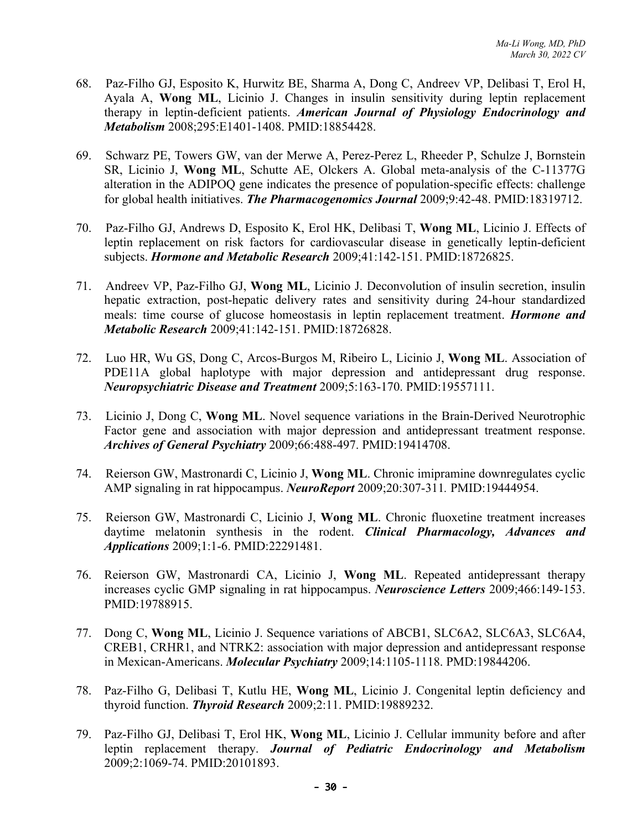- 68. Paz-Filho GJ, Esposito K, Hurwitz BE, Sharma A, Dong C, Andreev VP, Delibasi T, Erol H, Ayala A, **Wong ML**, Licinio J. Changes in insulin sensitivity during leptin replacement therapy in leptin-deficient patients. *American Journal of Physiology Endocrinology and Metabolism* 2008;295:E1401-1408. PMID:18854428.
- 69. Schwarz PE, Towers GW, van der Merwe A, Perez-Perez L, Rheeder P, Schulze J, Bornstein SR, Licinio J, **Wong ML**, Schutte AE, Olckers A. Global meta-analysis of the C-11377G alteration in the ADIPOQ gene indicates the presence of population-specific effects: challenge for global health initiatives. *The Pharmacogenomics Journal* 2009;9:42-48. PMID:18319712.
- 70. Paz-Filho GJ, Andrews D, Esposito K, Erol HK, Delibasi T, **Wong ML**, Licinio J. Effects of leptin replacement on risk factors for cardiovascular disease in genetically leptin-deficient subjects. *Hormone and Metabolic Research* 2009;41:142-151. PMID:18726825.
- 71. Andreev VP, Paz-Filho GJ, **Wong ML**, Licinio J. Deconvolution of insulin secretion, insulin hepatic extraction, post-hepatic delivery rates and sensitivity during 24-hour standardized meals: time course of glucose homeostasis in leptin replacement treatment. *Hormone and Metabolic Research* 2009;41:142-151. PMID:18726828.
- 72. Luo HR, Wu GS, Dong C, Arcos-Burgos M, Ribeiro L, Licinio J, **Wong ML**. Association of PDE11A global haplotype with major depression and antidepressant drug response. *Neuropsychiatric Disease and Treatment* 2009;5:163-170. PMID:19557111.
- 73. Licinio J, Dong C, **Wong ML**. Novel sequence variations in the Brain-Derived Neurotrophic Factor gene and association with major depression and antidepressant treatment response. *Archives of General Psychiatry* 2009;66:488-497. PMID:19414708.
- 74. Reierson GW, Mastronardi C, Licinio J, **Wong ML**. Chronic imipramine downregulates cyclic AMP signaling in rat hippocampus. *NeuroReport* 2009;20:307-311*.* PMID:19444954.
- 75. Reierson GW, Mastronardi C, Licinio J, **Wong ML**. Chronic fluoxetine treatment increases daytime melatonin synthesis in the rodent. *Clinical Pharmacology, Advances and Applications* 2009;1:1-6. PMID:22291481.
- 76. Reierson GW, Mastronardi CA, Licinio J, **Wong ML**. Repeated antidepressant therapy increases cyclic GMP signaling in rat hippocampus. *Neuroscience Letters* 2009;466:149-153. PMID:19788915.
- 77. Dong C, **Wong ML**, Licinio J. Sequence variations of ABCB1, SLC6A2, SLC6A3, SLC6A4, CREB1, CRHR1, and NTRK2: association with major depression and antidepressant response in Mexican-Americans. *Molecular Psychiatry* 2009;14:1105-1118. PMD:19844206.
- 78. Paz-Filho G, Delibasi T, Kutlu HE, **Wong ML**, Licinio J. Congenital leptin deficiency and thyroid function. *Thyroid Research* 2009;2:11. PMID:19889232.
- 79. Paz-Filho GJ, Delibasi T, Erol HK, **Wong ML**, Licinio J. Cellular immunity before and after leptin replacement therapy. *Journal of Pediatric Endocrinology and Metabolism* 2009;2:1069-74. PMID:20101893.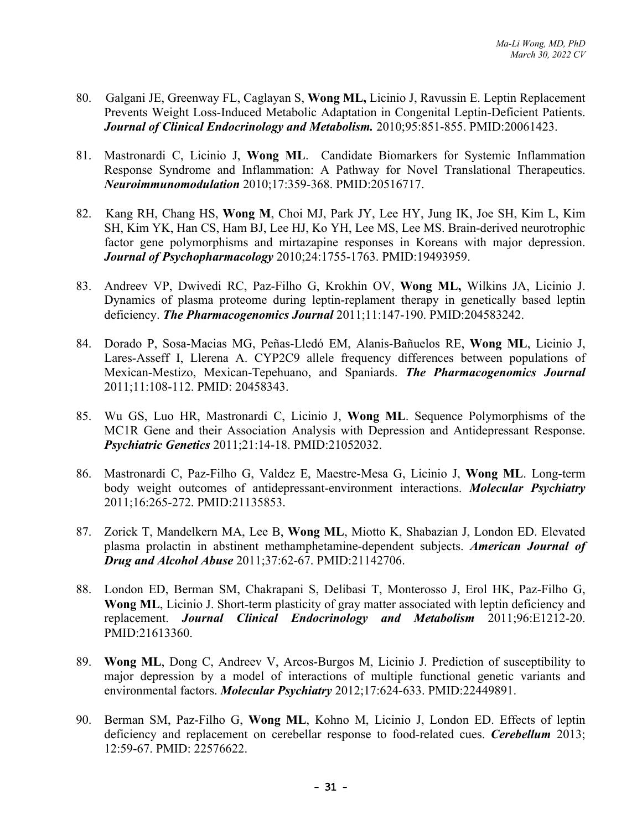- 80. Galgani JE, Greenway FL, Caglayan S, **Wong ML,** Licinio J, Ravussin E. Leptin Replacement Prevents Weight Loss-Induced Metabolic Adaptation in Congenital Leptin-Deficient Patients. *Journal of Clinical Endocrinology and Metabolism.* 2010;95:851-855. PMID:20061423.
- 81. Mastronardi C, Licinio J, **Wong ML**. Candidate Biomarkers for Systemic Inflammation Response Syndrome and Inflammation: A Pathway for Novel Translational Therapeutics. *Neuroimmunomodulation* 2010;17:359-368. PMID:20516717.
- 82. Kang RH, Chang HS, **Wong M**, Choi MJ, Park JY, Lee HY, Jung IK, Joe SH, Kim L, Kim SH, Kim YK, Han CS, Ham BJ, Lee HJ, Ko YH, Lee MS, Lee MS. Brain-derived neurotrophic factor gene polymorphisms and mirtazapine responses in Koreans with major depression. *Journal of Psychopharmacology* 2010;24:1755-1763. PMID:19493959.
- 83. Andreev VP, Dwivedi RC, Paz-Filho G, Krokhin OV, **Wong ML,** Wilkins JA, Licinio J. Dynamics of plasma proteome during leptin-replament therapy in genetically based leptin deficiency. *The Pharmacogenomics Journal* 2011;11:147-190. PMID:204583242.
- 84. Dorado P, Sosa-Macias MG, Peñas-Lledó EM, Alanis-Bañuelos RE, **Wong ML**, Licinio J, Lares-Asseff I, Llerena A. CYP2C9 allele frequency differences between populations of Mexican-Mestizo, Mexican-Tepehuano, and Spaniards. *The Pharmacogenomics Journal* 2011;11:108-112. PMID: 20458343.
- 85. Wu GS, Luo HR, Mastronardi C, Licinio J, **Wong ML**. Sequence Polymorphisms of the MC1R Gene and their Association Analysis with Depression and Antidepressant Response. *Psychiatric Genetics* 2011;21:14-18. PMID:21052032.
- 86. Mastronardi C, Paz-Filho G, Valdez E, Maestre-Mesa G, Licinio J, **Wong ML**. Long-term body weight outcomes of antidepressant-environment interactions. *Molecular Psychiatry* 2011;16:265-272. PMID:21135853.
- 87. Zorick T, Mandelkern MA, Lee B, **Wong ML**, Miotto K, Shabazian J, London ED. Elevated plasma prolactin in abstinent methamphetamine-dependent subjects. *American Journal of Drug and Alcohol Abuse* 2011;37:62-67. PMID:21142706.
- 88. London ED, Berman SM, Chakrapani S, Delibasi T, Monterosso J, Erol HK, Paz-Filho G, **Wong ML**, Licinio J. Short-term plasticity of gray matter associated with leptin deficiency and replacement. *Journal Clinical Endocrinology and Metabolism* 2011;96:E1212-20. PMID:21613360.
- 89. **Wong ML**, Dong C, Andreev V, Arcos-Burgos M, Licinio J. Prediction of susceptibility to major depression by a model of interactions of multiple functional genetic variants and environmental factors. *Molecular Psychiatry* 2012;17:624-633. PMID:22449891.
- 90. Berman SM, Paz-Filho G, **Wong ML**, Kohno M, Licinio J, London ED. Effects of leptin deficiency and replacement on cerebellar response to food-related cues. *Cerebellum* 2013; 12:59-67. PMID: 22576622.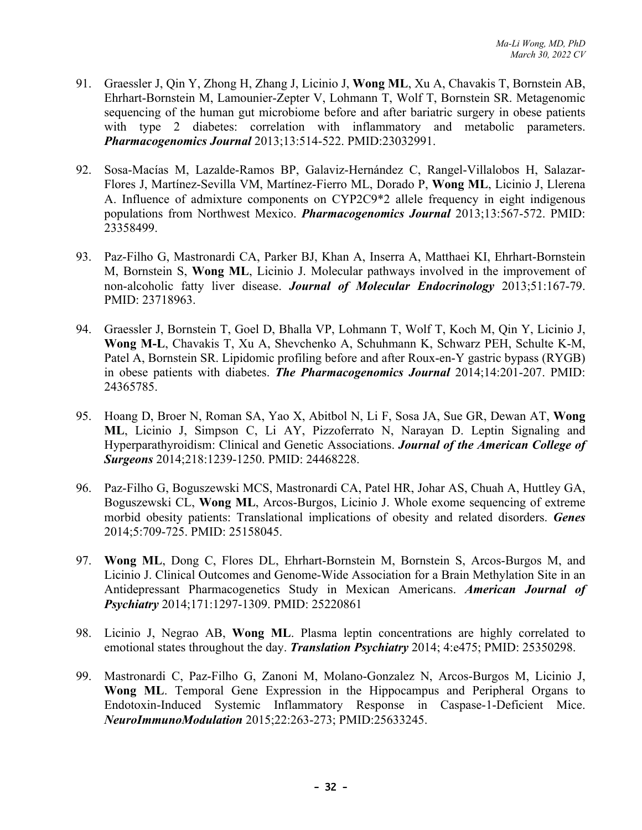- 91. Graessler J, Qin Y, Zhong H, Zhang J, Licinio J, **Wong ML**, Xu A, Chavakis T, Bornstein AB, Ehrhart-Bornstein M, Lamounier-Zepter V, Lohmann T, Wolf T, Bornstein SR. Metagenomic sequencing of the human gut microbiome before and after bariatric surgery in obese patients with type 2 diabetes: correlation with inflammatory and metabolic parameters. *Pharmacogenomics Journal* 2013;13:514-522. PMID:23032991.
- 92. Sosa-Macías M, Lazalde-Ramos BP, Galaviz-Hernández C, Rangel-Villalobos H, Salazar-Flores J, Martínez-Sevilla VM, Martínez-Fierro ML, Dorado P, **Wong ML**, Licinio J, Llerena A. Influence of admixture components on CYP2C9\*2 allele frequency in eight indigenous populations from Northwest Mexico. *Pharmacogenomics Journal* 2013;13:567-572. PMID: 23358499.
- 93. Paz-Filho G, Mastronardi CA, Parker BJ, Khan A, Inserra A, Matthaei KI, Ehrhart-Bornstein M, Bornstein S, **Wong ML**, Licinio J. Molecular pathways involved in the improvement of non-alcoholic fatty liver disease. *Journal of Molecular Endocrinology* 2013;51:167-79. PMID: 23718963.
- 94. Graessler J, Bornstein T, Goel D, Bhalla VP, Lohmann T, Wolf T, Koch M, Qin Y, Licinio J, **Wong M-L**, Chavakis T, Xu A, Shevchenko A, Schuhmann K, Schwarz PEH, Schulte K-M, Patel A, Bornstein SR. Lipidomic profiling before and after Roux-en-Y gastric bypass (RYGB) in obese patients with diabetes. *The Pharmacogenomics Journal* 2014;14:201-207. PMID: 24365785.
- 95. Hoang D, Broer N, Roman SA, Yao X, Abitbol N, Li F, Sosa JA, Sue GR, Dewan AT, **Wong ML**, Licinio J, Simpson C, Li AY, Pizzoferrato N, Narayan D. Leptin Signaling and Hyperparathyroidism: Clinical and Genetic Associations. *Journal of the American College of Surgeons* 2014;218:1239-1250. PMID: 24468228.
- 96. Paz-Filho G, Boguszewski MCS, Mastronardi CA, Patel HR, Johar AS, Chuah A, Huttley GA, Boguszewski CL, **Wong ML**, Arcos-Burgos, Licinio J. Whole exome sequencing of extreme morbid obesity patients: Translational implications of obesity and related disorders. *Genes* 2014;5:709-725. PMID: 25158045.
- 97. **Wong ML**, Dong C, Flores DL, Ehrhart-Bornstein M, Bornstein S, Arcos-Burgos M, and Licinio J. Clinical Outcomes and Genome-Wide Association for a Brain Methylation Site in an Antidepressant Pharmacogenetics Study in Mexican Americans. *American Journal of Psychiatry* 2014;171:1297-1309. PMID: 25220861
- 98. Licinio J, Negrao AB, **Wong ML**. Plasma leptin concentrations are highly correlated to emotional states throughout the day. *Translation Psychiatry* 2014; 4:e475; PMID: 25350298.
- 99. Mastronardi C, Paz-Filho G, Zanoni M, Molano-Gonzalez N, Arcos-Burgos M, Licinio J, **Wong ML**. Temporal Gene Expression in the Hippocampus and Peripheral Organs to Endotoxin-Induced Systemic Inflammatory Response in Caspase-1-Deficient Mice. *NeuroImmunoModulation* 2015;22:263-273; PMID:25633245.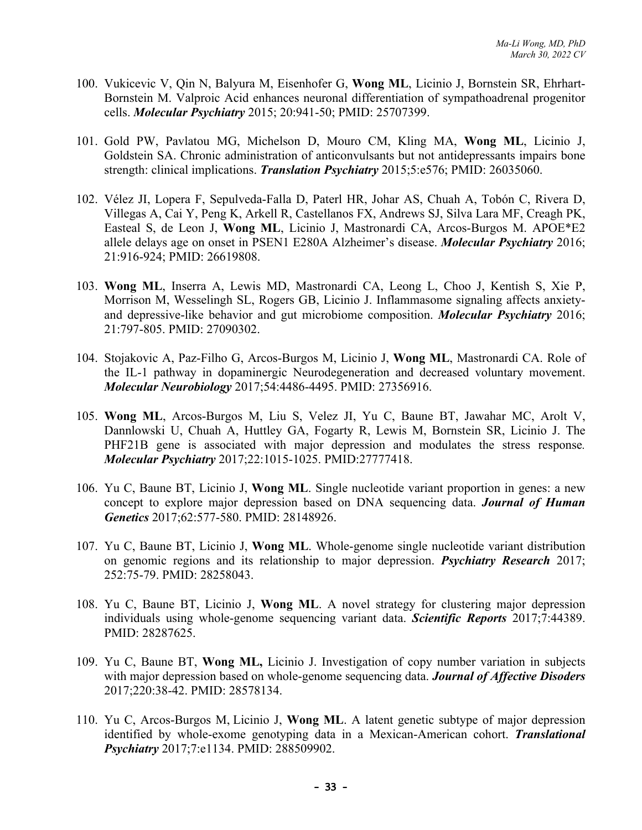- 100. Vukicevic V, Qin N, Balyura M, Eisenhofer G, **Wong ML**, Licinio J, Bornstein SR, Ehrhart-Bornstein M. Valproic Acid enhances neuronal differentiation of sympathoadrenal progenitor cells. *Molecular Psychiatry* 2015; 20:941-50; PMID: 25707399.
- 101. Gold PW, Pavlatou MG, Michelson D, Mouro CM, Kling MA, **Wong ML**, Licinio J, Goldstein SA. Chronic administration of anticonvulsants but not antidepressants impairs bone strength: clinical implications. *Translation Psychiatry* 2015;5:e576; PMID: 26035060.
- 102. Vélez JI, Lopera F, Sepulveda-Falla D, Paterl HR, Johar AS, Chuah A, Tobón C, Rivera D, Villegas A, Cai Y, Peng K, Arkell R, Castellanos FX, Andrews SJ, Silva Lara MF, Creagh PK, Easteal S, de Leon J, **Wong ML**, Licinio J, Mastronardi CA, Arcos-Burgos M. APOE\*E2 allele delays age on onset in PSEN1 E280A Alzheimer's disease. *Molecular Psychiatry* 2016; 21:916-924; PMID: 26619808.
- 103. **Wong ML**, Inserra A, Lewis MD, Mastronardi CA, Leong L, Choo J, Kentish S, Xie P, Morrison M, Wesselingh SL, Rogers GB, Licinio J. Inflammasome signaling affects anxietyand depressive-like behavior and gut microbiome composition. *Molecular Psychiatry* 2016; 21:797-805. PMID: 27090302.
- 104. Stojakovic A, Paz-Filho G, Arcos-Burgos M, Licinio J, **Wong ML**, Mastronardi CA. Role of the IL-1 pathway in dopaminergic Neurodegeneration and decreased voluntary movement. *Molecular Neurobiology* 2017;54:4486-4495. PMID: 27356916.
- 105. **Wong ML**, Arcos-Burgos M, Liu S, Velez JI, Yu C, Baune BT, Jawahar MC, Arolt V, Dannlowski U, Chuah A, Huttley GA, Fogarty R, Lewis M, Bornstein SR, Licinio J. The PHF21B gene is associated with major depression and modulates the stress response*. Molecular Psychiatry* 2017;22:1015-1025. PMID:27777418.
- 106. Yu C, Baune BT, Licinio J, **Wong ML**. Single nucleotide variant proportion in genes: a new concept to explore major depression based on DNA sequencing data. *Journal of Human Genetics* 2017;62:577-580. PMID: 28148926.
- 107. Yu C, Baune BT, Licinio J, **Wong ML**. Whole-genome single nucleotide variant distribution on genomic regions and its relationship to major depression. *Psychiatry Research* 2017; 252:75-79. PMID: 28258043.
- 108. Yu C, Baune BT, Licinio J, **Wong ML**. A novel strategy for clustering major depression individuals using whole-genome sequencing variant data. *Scientific Reports* 2017;7:44389. PMID: 28287625.
- 109. Yu C, Baune BT, **Wong ML,** Licinio J. Investigation of copy number variation in subjects with major depression based on whole-genome sequencing data. *Journal of Affective Disoders* 2017;220:38-42. PMID: 28578134.
- 110. Yu C, Arcos-Burgos M, Licinio J, **Wong ML**. A latent genetic subtype of major depression identified by whole-exome genotyping data in a Mexican-American cohort. *Translational Psychiatry* 2017;7:e1134. PMID: 288509902.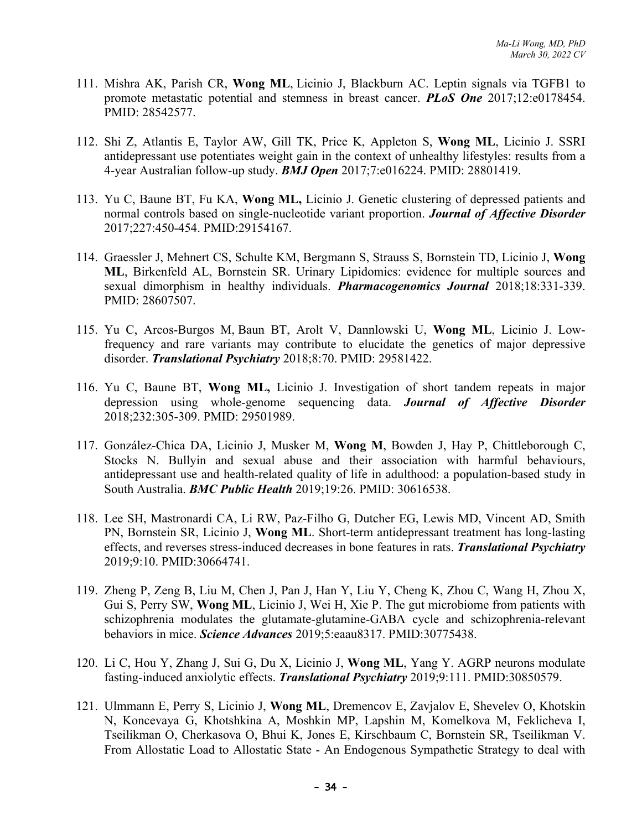- 111. Mishra AK, Parish CR, **Wong ML**, Licinio J, Blackburn AC. Leptin signals via TGFB1 to promote metastatic potential and stemness in breast cancer. *PLoS One* 2017;12:e0178454. PMID: 28542577.
- 112. Shi Z, Atlantis E, Taylor AW, Gill TK, Price K, Appleton S, **Wong ML**, Licinio J. SSRI antidepressant use potentiates weight gain in the context of unhealthy lifestyles: results from a 4-year Australian follow-up study. *BMJ Open* 2017;7:e016224. PMID: 28801419.
- 113. Yu C, Baune BT, Fu KA, **Wong ML,** Licinio J. Genetic clustering of depressed patients and normal controls based on single-nucleotide variant proportion. *Journal of Affective Disorder* 2017;227:450-454. PMID:29154167.
- 114. Graessler J, Mehnert CS, Schulte KM, Bergmann S, Strauss S, Bornstein TD, Licinio J, **Wong ML**, Birkenfeld AL, Bornstein SR. Urinary Lipidomics: evidence for multiple sources and sexual dimorphism in healthy individuals. *Pharmacogenomics Journal* 2018;18:331-339. PMID: 28607507.
- 115. Yu C, Arcos-Burgos M, Baun BT, Arolt V, Dannlowski U, **Wong ML**, Licinio J. Lowfrequency and rare variants may contribute to elucidate the genetics of major depressive disorder. *Translational Psychiatry* 2018;8:70. PMID: 29581422.
- 116. Yu C, Baune BT, **Wong ML,** Licinio J. Investigation of short tandem repeats in major depression using whole-genome sequencing data. *Journal of Affective Disorder* 2018;232:305-309. PMID: 29501989.
- 117. González-Chica DA, Licinio J, Musker M, **Wong M**, Bowden J, Hay P, Chittleborough C, Stocks N. Bullyin and sexual abuse and their association with harmful behaviours, antidepressant use and health-related quality of life in adulthood: a population-based study in South Australia. *BMC Public Health* 2019;19:26. PMID: 30616538.
- 118. Lee SH, Mastronardi CA, Li RW, Paz-Filho G, Dutcher EG, Lewis MD, Vincent AD, Smith PN, Bornstein SR, Licinio J, **Wong ML**. Short-term antidepressant treatment has long-lasting effects, and reverses stress-induced decreases in bone features in rats. *Translational Psychiatry*  2019;9:10. PMID:30664741.
- 119. Zheng P, Zeng B, Liu M, Chen J, Pan J, Han Y, Liu Y, Cheng K, Zhou C, Wang H, Zhou X, Gui S, Perry SW, **Wong ML**, Licinio J, Wei H, Xie P. The gut microbiome from patients with schizophrenia modulates the glutamate-glutamine-GABA cycle and schizophrenia-relevant behaviors in mice. *Science Advances* 2019;5:eaau8317. PMID:30775438.
- 120. Li C, Hou Y, Zhang J, Sui G, Du X, Licinio J, **Wong ML**, Yang Y. AGRP neurons modulate fasting-induced anxiolytic effects. *Translational Psychiatry* 2019;9:111. PMID:30850579.
- 121. Ulmmann E, Perry S, Licinio J, **Wong ML**, Dremencov E, Zavjalov E, Shevelev O, Khotskin N, Koncevaya G, Khotshkina A, Moshkin MP, Lapshin M, Komelkova M, Feklicheva I, Tseilikman O, Cherkasova O, Bhui K, Jones E, Kirschbaum C, Bornstein SR, Tseilikman V. From Allostatic Load to Allostatic State - An Endogenous Sympathetic Strategy to deal with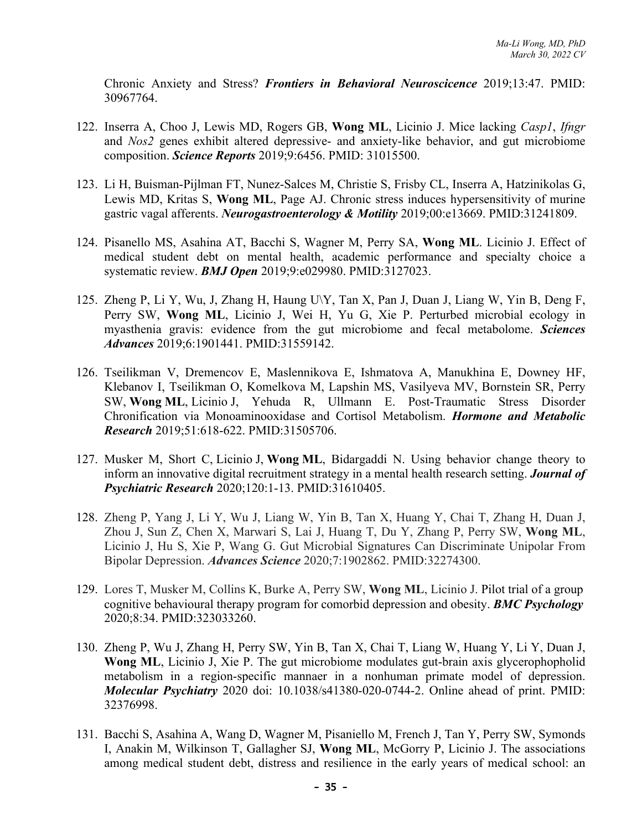Chronic Anxiety and Stress? *Frontiers in Behavioral Neuroscicence* 2019;13:47. PMID: 30967764.

- 122. Inserra A, Choo J, Lewis MD, Rogers GB, **Wong ML**, Licinio J. Mice lacking *Casp1*, *Ifngr* and *Nos2* genes exhibit altered depressive- and anxiety-like behavior, and gut microbiome composition. *Science Reports* 2019;9:6456. PMID: 31015500.
- 123. Li H, Buisman-Pijlman FT, Nunez-Salces M, Christie S, Frisby CL, Inserra A, Hatzinikolas G, Lewis MD, Kritas S, **Wong ML**, Page AJ. Chronic stress induces hypersensitivity of murine gastric vagal afferents. *Neurogastroenterology & Motility* 2019;00:e13669. PMID:31241809.
- 124. Pisanello MS, Asahina AT, Bacchi S, Wagner M, Perry SA, **Wong ML**. Licinio J. Effect of medical student debt on mental health, academic performance and specialty choice a systematic review. *BMJ Open* 2019;9:e029980. PMID:3127023.
- 125. Zheng P, Li Y, Wu, J, Zhang H, Haung U\Y, Tan X, Pan J, Duan J, Liang W, Yin B, Deng F, Perry SW, **Wong ML**, Licinio J, Wei H, Yu G, Xie P. Perturbed microbial ecology in myasthenia gravis: evidence from the gut microbiome and fecal metabolome. *Sciences Advances* 2019;6:1901441. PMID:31559142.
- 126. Tseilikman V, Dremencov E, Maslennikova E, Ishmatova A, Manukhina E, Downey HF, Klebanov I, Tseilikman O, Komelkova M, Lapshin MS, Vasilyeva MV, Bornstein SR, Perry SW, **Wong ML**, Licinio J, Yehuda R, Ullmann E. Post-Traumatic Stress Disorder Chronification via Monoaminooxidase and Cortisol Metabolism. *Hormone and Metabolic Research* 2019;51:618-622. PMID:31505706.
- 127. Musker M, Short C, Licinio J, **Wong ML**, Bidargaddi N. Using behavior change theory to inform an innovative digital recruitment strategy in a mental health research setting. *Journal of Psychiatric Research* 2020;120:1-13. PMID:31610405.
- 128. Zheng P, Yang J, Li Y, Wu J, Liang W, Yin B, Tan X, Huang Y, Chai T, Zhang H, Duan J, Zhou J, Sun Z, Chen X, Marwari S, Lai J, Huang T, Du Y, Zhang P, Perry SW, **Wong ML**, Licinio J, Hu S, Xie P, Wang G. Gut Microbial Signatures Can Discriminate Unipolar From Bipolar Depression. *Advances Science* 2020;7:1902862. PMID:32274300.
- 129. Lores T, Musker M, Collins K, Burke A, Perry SW, **Wong ML**, Licinio J. Pilot trial of a group cognitive behavioural therapy program for comorbid depression and obesity. *BMC Psychology* 2020;8:34. PMID:323033260.
- 130. Zheng P, Wu J, Zhang H, Perry SW, Yin B, Tan X, Chai T, Liang W, Huang Y, Li Y, Duan J, **Wong ML**, Licinio J, Xie P. The gut microbiome modulates gut-brain axis glycerophopholid metabolism in a region-specific mannaer in a nonhuman primate model of depression. *Molecular Psychiatry* 2020 doi: 10.1038/s41380-020-0744-2. Online ahead of print. PMID: 32376998.
- 131. Bacchi S, Asahina A, Wang D, Wagner M, Pisaniello M, French J, Tan Y, Perry SW, Symonds I, Anakin M, Wilkinson T, Gallagher SJ, **Wong ML**, McGorry P, Licinio J. The associations among medical student debt, distress and resilience in the early years of medical school: an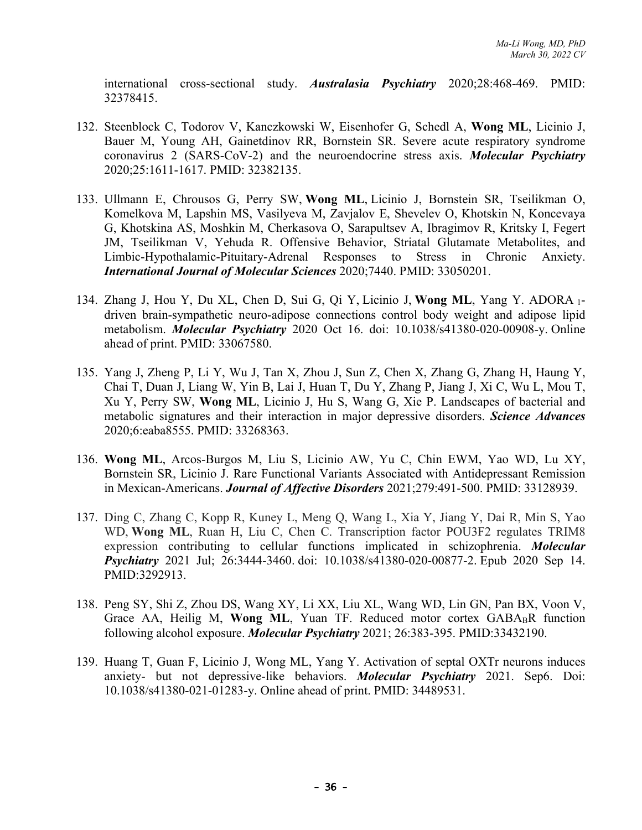international cross-sectional study. *Australasia Psychiatry* 2020;28:468-469. PMID: 32378415.

- 132. Steenblock C, Todorov V, Kanczkowski W, Eisenhofer G, Schedl A, **Wong ML**, Licinio J, Bauer M, Young AH, Gainetdinov RR, Bornstein SR. Severe acute respiratory syndrome coronavirus 2 (SARS-CoV-2) and the neuroendocrine stress axis. *Molecular Psychiatry* 2020;25:1611-1617. PMID: 32382135.
- 133. Ullmann E, Chrousos G, Perry SW, **Wong ML**, Licinio J, Bornstein SR, Tseilikman O, Komelkova M, Lapshin MS, Vasilyeva M, Zavjalov E, Shevelev O, Khotskin N, Koncevaya G, Khotskina AS, Moshkin M, Cherkasova O, Sarapultsev A, Ibragimov R, Kritsky I, Fegert JM, Tseilikman V, Yehuda R. Offensive Behavior, Striatal Glutamate Metabolites, and Limbic-Hypothalamic-Pituitary-Adrenal Responses to Stress in Chronic Anxiety. *International Journal of Molecular Sciences* 2020;7440. PMID: 33050201.
- 134. Zhang J, Hou Y, Du XL, Chen D, Sui G, Qi Y, Licinio J, **Wong ML**, Yang Y. ADORA 1 driven brain-sympathetic neuro-adipose connections control body weight and adipose lipid metabolism. *Molecular Psychiatry* 2020 Oct 16. doi: 10.1038/s41380-020-00908-y. Online ahead of print. PMID: 33067580.
- 135. Yang J, Zheng P, Li Y, Wu J, Tan X, Zhou J, Sun Z, Chen X, Zhang G, Zhang H, Haung Y, Chai T, Duan J, Liang W, Yin B, Lai J, Huan T, Du Y, Zhang P, Jiang J, Xi C, Wu L, Mou T, Xu Y, Perry SW, **Wong ML**, Licinio J, Hu S, Wang G, Xie P. Landscapes of bacterial and metabolic signatures and their interaction in major depressive disorders. *Science Advances* 2020;6:eaba8555. PMID: 33268363.
- 136. **Wong ML**, Arcos-Burgos M, Liu S, Licinio AW, Yu C, Chin EWM, Yao WD, Lu XY, Bornstein SR, Licinio J. Rare Functional Variants Associated with Antidepressant Remission in Mexican-Americans. *Journal of Affective Disorders* 2021;279:491-500. PMID: 33128939.
- 137. Ding C, Zhang C, Kopp R, Kuney L, Meng Q, Wang L, Xia Y, Jiang Y, Dai R, Min S, Yao WD, **Wong ML**, Ruan H, Liu C, Chen C. Transcription factor POU3F2 regulates TRIM8 expression contributing to cellular functions implicated in schizophrenia. *Molecular Psychiatry* 2021 Jul; 26:3444-3460. doi: 10.1038/s41380-020-00877-2. Epub 2020 Sep 14. PMID:3292913.
- 138. Peng SY, Shi Z, Zhou DS, Wang XY, Li XX, Liu XL, Wang WD, Lin GN, Pan BX, Voon V, Grace AA, Heilig M, Wong ML, Yuan TF. Reduced motor cortex GABA<sub>B</sub>R function following alcohol exposure. *Molecular Psychiatry* 2021; 26:383-395. PMID:33432190.
- 139. Huang T, Guan F, Licinio J, Wong ML, Yang Y. Activation of septal OXTr neurons induces anxiety- but not depressive-like behaviors. *Molecular Psychiatry* 2021. Sep6. Doi: 10.1038/s41380-021-01283-y. Online ahead of print. PMID: 34489531.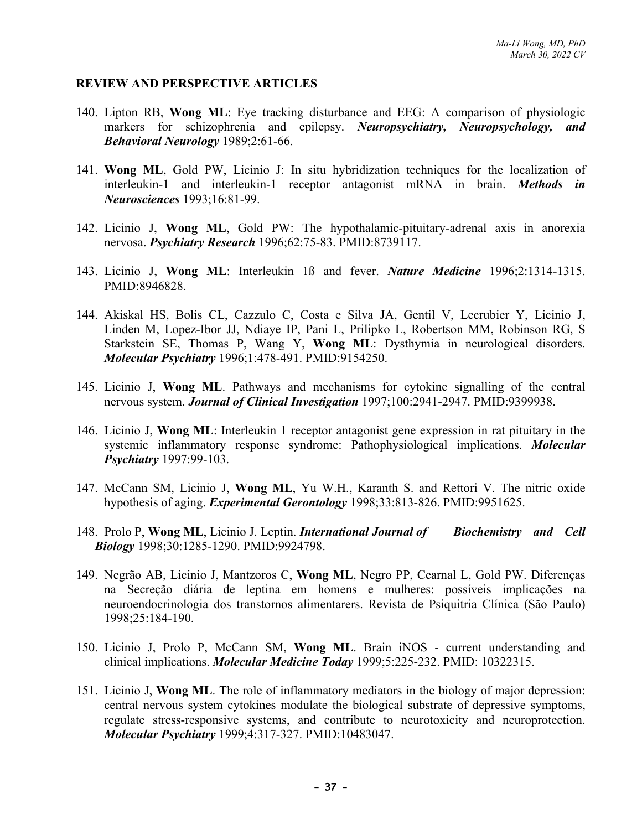#### **REVIEW AND PERSPECTIVE ARTICLES**

- 140. Lipton RB, **Wong ML**: Eye tracking disturbance and EEG: A comparison of physiologic markers for schizophrenia and epilepsy. *Neuropsychiatry, Neuropsychology, and Behavioral Neurology* 1989;2:61-66.
- 141. **Wong ML**, Gold PW, Licinio J: In situ hybridization techniques for the localization of interleukin-1 and interleukin-1 receptor antagonist mRNA in brain. *Methods in Neurosciences* 1993;16:81-99.
- 142. Licinio J, **Wong ML**, Gold PW: The hypothalamic-pituitary-adrenal axis in anorexia nervosa. *Psychiatry Research* 1996;62:75-83. PMID:8739117.
- 143. Licinio J, **Wong ML**: Interleukin 1ß and fever. *Nature Medicine* 1996;2:1314-1315. PMID:8946828.
- 144. Akiskal HS, Bolis CL, Cazzulo C, Costa e Silva JA, Gentil V, Lecrubier Y, Licinio J, Linden M, Lopez-Ibor JJ, Ndiaye IP, Pani L, Prilipko L, Robertson MM, Robinson RG, S Starkstein SE, Thomas P, Wang Y, **Wong ML**: Dysthymia in neurological disorders. *Molecular Psychiatry* 1996;1:478-491. PMID:9154250.
- 145. Licinio J, **Wong ML**. Pathways and mechanisms for cytokine signalling of the central nervous system. *Journal of Clinical Investigation* 1997;100:2941-2947. PMID:9399938.
- 146. Licinio J, **Wong ML**: Interleukin 1 receptor antagonist gene expression in rat pituitary in the systemic inflammatory response syndrome: Pathophysiological implications. *Molecular Psychiatry* 1997:99-103.
- 147. McCann SM, Licinio J, **Wong ML**, Yu W.H., Karanth S. and Rettori V. The nitric oxide hypothesis of aging. *Experimental Gerontology* 1998;33:813-826. PMID:9951625.
- 148. Prolo P, **Wong ML**, Licinio J. Leptin. *International Journal of Biochemistry and Cell Biology* 1998;30:1285-1290. PMID:9924798.
- 149. Negrão AB, Licinio J, Mantzoros C, **Wong ML**, Negro PP, Cearnal L, Gold PW. Diferenças na Secreção diária de leptina em homens e mulheres: possíveis implicações na neuroendocrinologia dos transtornos alimentarers. Revista de Psiquitria Clínica (São Paulo) 1998;25:184-190.
- 150. Licinio J, Prolo P, McCann SM, **Wong ML**. Brain iNOS current understanding and clinical implications. *Molecular Medicine Today* 1999;5:225-232. PMID: 10322315.
- 151. Licinio J, **Wong ML**. The role of inflammatory mediators in the biology of major depression: central nervous system cytokines modulate the biological substrate of depressive symptoms, regulate stress-responsive systems, and contribute to neurotoxicity and neuroprotection. *Molecular Psychiatry* 1999;4:317-327. PMID:10483047.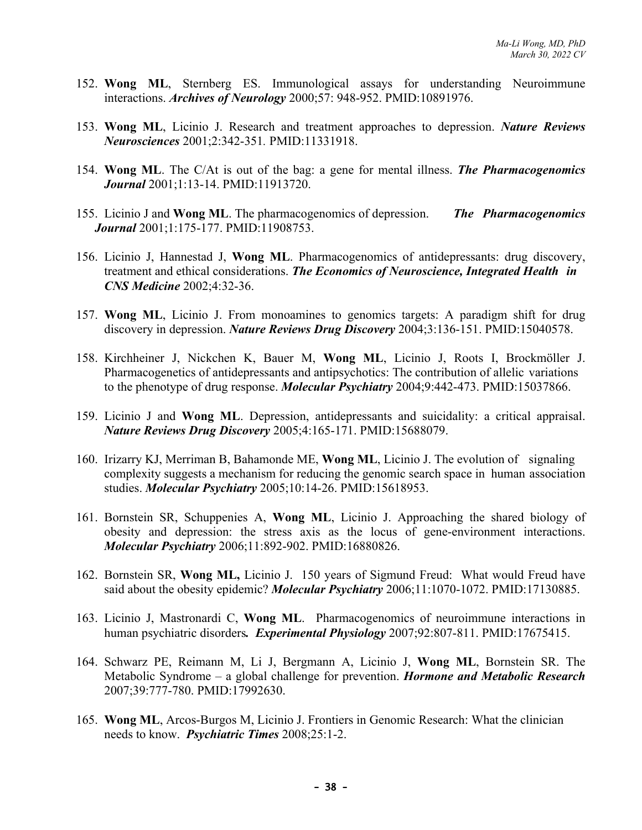- 152. **Wong ML**, Sternberg ES. Immunological assays for understanding Neuroimmune interactions. *Archives of Neurology* 2000;57: 948-952. PMID:10891976.
- 153. **Wong ML**, Licinio J. Research and treatment approaches to depression. *Nature Reviews Neurosciences* 2001;2:342-351*.* PMID:11331918.
- 154. **Wong ML**. The C/At is out of the bag: a gene for mental illness. *The Pharmacogenomics Journal* 2001;1:13-14. PMID:11913720.
- 155. Licinio J and **Wong ML**. The pharmacogenomics of depression. *The Pharmacogenomics Journal* 2001;1:175-177. PMID:11908753.
- 156. Licinio J, Hannestad J, **Wong ML**. Pharmacogenomics of antidepressants: drug discovery, treatment and ethical considerations. *The Economics of Neuroscience, Integrated Health in CNS Medicine* 2002;4:32-36.
- 157. **Wong ML**, Licinio J. From monoamines to genomics targets: A paradigm shift for drug discovery in depression. *Nature Reviews Drug Discovery* 2004;3:136-151. PMID:15040578.
- 158. Kirchheiner J, Nickchen K, Bauer M, **Wong ML**, Licinio J, Roots I, Brockmöller J. Pharmacogenetics of antidepressants and antipsychotics: The contribution of allelic variations to the phenotype of drug response. *Molecular Psychiatry* 2004;9:442-473. PMID:15037866.
- 159. Licinio J and **Wong ML**. Depression, antidepressants and suicidality: a critical appraisal. *Nature Reviews Drug Discovery* 2005;4:165-171. PMID:15688079.
- 160. Irizarry KJ, Merriman B, Bahamonde ME, **Wong ML**, Licinio J. The evolution of signaling complexity suggests a mechanism for reducing the genomic search space in human association studies. *Molecular Psychiatry* 2005;10:14-26. PMID:15618953.
- 161. Bornstein SR, Schuppenies A, **Wong ML**, Licinio J. Approaching the shared biology of obesity and depression: the stress axis as the locus of gene-environment interactions. *Molecular Psychiatry* 2006;11:892-902. PMID:16880826.
- 162. Bornstein SR, **Wong ML,** Licinio J. 150 years of Sigmund Freud: What would Freud have said about the obesity epidemic? *Molecular Psychiatry* 2006;11:1070-1072. PMID:17130885.
- 163. Licinio J, Mastronardi C, **Wong ML**. Pharmacogenomics of neuroimmune interactions in human psychiatric disorders*. Experimental Physiology* 2007;92:807-811. PMID:17675415.
- 164. Schwarz PE, Reimann M, Li J, Bergmann A, Licinio J, **Wong ML**, Bornstein SR. The Metabolic Syndrome – a global challenge for prevention. *Hormone and Metabolic Research*  2007;39:777-780. PMID:17992630.
- 165. **Wong ML**, Arcos-Burgos M, Licinio J. Frontiers in Genomic Research: What the clinician needs to know. *Psychiatric Times* 2008;25:1-2.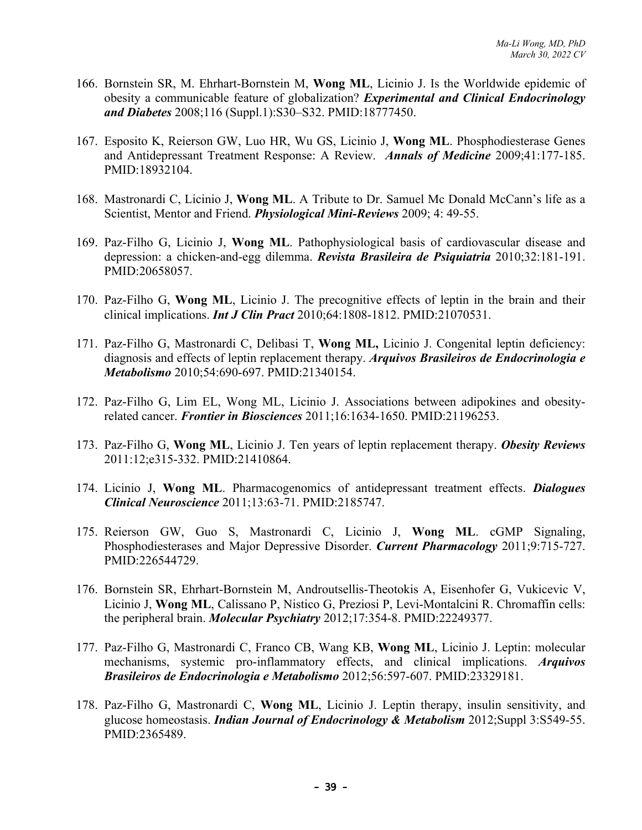- 166. Bornstein SR, M. Ehrhart-Bornstein M, **Wong ML**, Licinio J. Is the Worldwide epidemic of obesity a communicable feature of globalization? *Experimental and Clinical Endocrinology and Diabetes* 2008;116 (Suppl.1):S30–S32. PMID:18777450.
- 167. Esposito K, Reierson GW, Luo HR, Wu GS, Licinio J, **Wong ML**. Phosphodiesterase Genes and Antidepressant Treatment Response: A Review. *Annals of Medicine* 2009;41:177-185. PMID:18932104.
- 168. Mastronardi C, Licinio J, **Wong ML**. A Tribute to Dr. Samuel Mc Donald McCann's life as a Scientist, Mentor and Friend. *Physiological Mini-Reviews* 2009; 4: 49-55.
- 169. Paz-Filho G, Licinio J, **Wong ML**. Pathophysiological basis of cardiovascular disease and depression: a chicken-and-egg dilemma. *Revista Brasileira de Psiquiatria* 2010;32:181-191. PMID:20658057.
- 170. Paz-Filho G, **Wong ML**, Licinio J. The precognitive effects of leptin in the brain and their clinical implications. *Int J Clin Pract* 2010;64:1808-1812. PMID:21070531.
- 171. Paz-Filho G, Mastronardi C, Delibasi T, **Wong ML,** Licinio J. Congenital leptin deficiency: diagnosis and effects of leptin replacement therapy. *Arquivos Brasileiros de Endocrinologia e Metabolismo* 2010;54:690-697. PMID:21340154.
- 172. Paz-Filho G, Lim EL, Wong ML, Licinio J. Associations between adipokines and obesityrelated cancer. *Frontier in Biosciences* 2011;16:1634-1650. PMID:21196253.
- 173. Paz-Filho G, **Wong ML**, Licinio J. Ten years of leptin replacement therapy. *Obesity Reviews* 2011:12;e315-332. PMID:21410864.
- 174. Licinio J, **Wong ML**. Pharmacogenomics of antidepressant treatment effects. *Dialogues Clinical Neuroscience* 2011;13:63-71. PMID:2185747.
- 175. Reierson GW, Guo S, Mastronardi C, Licinio J, **Wong ML**. cGMP Signaling, Phosphodiesterases and Major Depressive Disorder. *Current Pharmacology* 2011;9:715-727. PMID:226544729.
- 176. Bornstein SR, Ehrhart-Bornstein M, Androutsellis-Theotokis A, Eisenhofer G, Vukicevic V, Licinio J, **Wong ML**, Calissano P, Nistico G, Preziosi P, Levi-Montalcini R. Chromaffin cells: the peripheral brain. *Molecular Psychiatry* 2012;17:354-8. PMID:22249377.
- 177. Paz-Filho G, Mastronardi C, Franco CB, Wang KB, **Wong ML**, Licinio J. Leptin: molecular mechanisms, systemic pro-inflammatory effects, and clinical implications. *Arquivos Brasileiros de Endocrinologia e Metabolismo* 2012;56:597-607. PMID:23329181.
- 178. Paz-Filho G, Mastronardi C, **Wong ML**, Licinio J. Leptin therapy, insulin sensitivity, and glucose homeostasis. *Indian Journal of Endocrinology & Metabolism* 2012;Suppl 3:S549-55. PMID:2365489.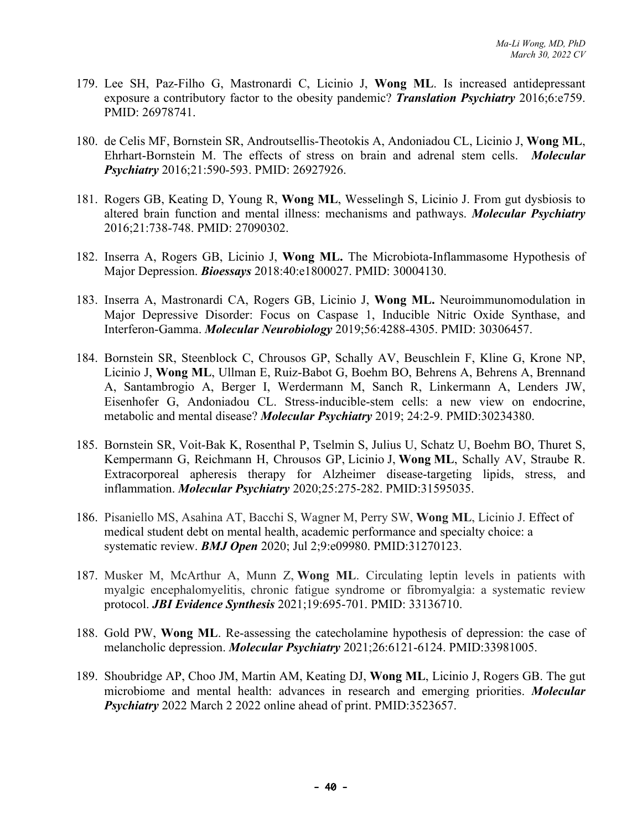- 179. Lee SH, Paz-Filho G, Mastronardi C, Licinio J, **Wong ML**. Is increased antidepressant exposure a contributory factor to the obesity pandemic? *Translation Psychiatry* 2016;6:e759. PMID: 26978741.
- 180. de Celis MF, Bornstein SR, Androutsellis-Theotokis A, Andoniadou CL, Licinio J, **Wong ML**, Ehrhart-Bornstein M. The effects of stress on brain and adrenal stem cells. *Molecular Psychiatry* 2016;21:590-593. PMID: 26927926.
- 181. Rogers GB, Keating D, Young R, **Wong ML**, Wesselingh S, Licinio J. From gut dysbiosis to altered brain function and mental illness: mechanisms and pathways. *Molecular Psychiatry* 2016;21:738-748. PMID: 27090302.
- 182. Inserra A, Rogers GB, Licinio J, **Wong ML.** The Microbiota-Inflammasome Hypothesis of Major Depression. *Bioessays* 2018:40:e1800027. PMID: 30004130.
- 183. Inserra A, Mastronardi CA, Rogers GB, Licinio J, **Wong ML.** Neuroimmunomodulation in Major Depressive Disorder: Focus on Caspase 1, Inducible Nitric Oxide Synthase, and Interferon-Gamma. *Molecular Neurobiology* 2019;56:4288-4305. PMID: 30306457.
- 184. Bornstein SR, Steenblock C, Chrousos GP, Schally AV, Beuschlein F, Kline G, Krone NP, Licinio J, **Wong ML**, Ullman E, Ruiz-Babot G, Boehm BO, Behrens A, Behrens A, Brennand A, Santambrogio A, Berger I, Werdermann M, Sanch R, Linkermann A, Lenders JW, Eisenhofer G, Andoniadou CL. Stress-inducible-stem cells: a new view on endocrine, metabolic and mental disease? *Molecular Psychiatry* 2019; 24:2-9. PMID:30234380.
- 185. Bornstein SR, Voit-Bak K, Rosenthal P, Tselmin S, Julius U, Schatz U, Boehm BO, Thuret S, Kempermann G, Reichmann H, Chrousos GP, Licinio J, **Wong ML**, Schally AV, Straube R. Extracorporeal apheresis therapy for Alzheimer disease-targeting lipids, stress, and inflammation. *Molecular Psychiatry* 2020;25:275-282. PMID:31595035.
- 186. Pisaniello MS, Asahina AT, Bacchi S, Wagner M, Perry SW, **Wong ML**, Licinio J. Effect of medical student debt on mental health, academic performance and specialty choice: a systematic review. *BMJ Open* 2020; Jul 2;9:e09980. PMID:31270123.
- 187. Musker M, McArthur A, Munn Z, **Wong ML**. Circulating leptin levels in patients with myalgic encephalomyelitis, chronic fatigue syndrome or fibromyalgia: a systematic review protocol. *JBI Evidence Synthesis* 2021;19:695-701. PMID: 33136710.
- 188. Gold PW, **Wong ML**. Re-assessing the catecholamine hypothesis of depression: the case of melancholic depression. *Molecular Psychiatry* 2021;26:6121-6124. PMID:33981005.
- 189. Shoubridge AP, Choo JM, Martin AM, Keating DJ, **Wong ML**, Licinio J, Rogers GB. The gut microbiome and mental health: advances in research and emerging priorities. *Molecular Psychiatry* 2022 March 2 2022 online ahead of print. PMID:3523657.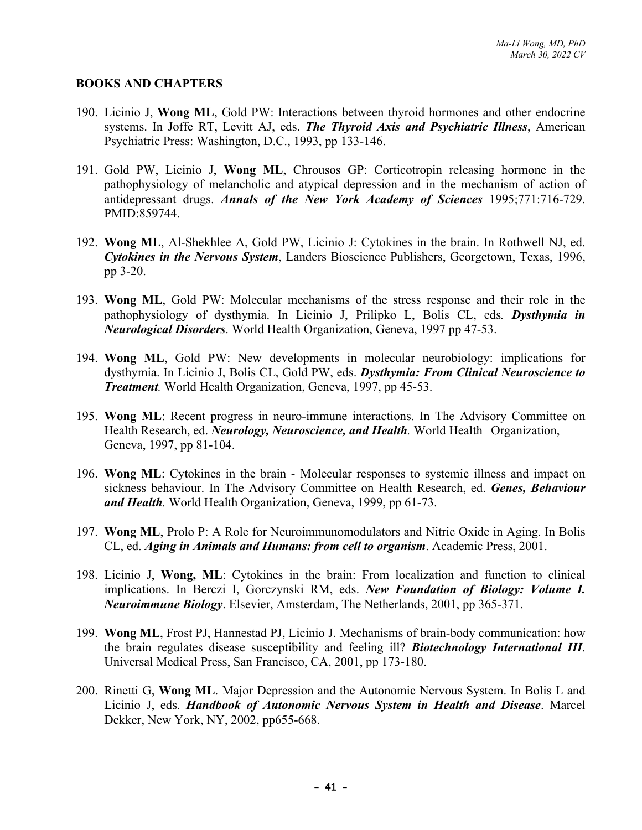#### **BOOKS AND CHAPTERS**

- 190. Licinio J, **Wong ML**, Gold PW: Interactions between thyroid hormones and other endocrine systems. In Joffe RT, Levitt AJ, eds. *The Thyroid Axis and Psychiatric Illness*, American Psychiatric Press: Washington, D.C., 1993, pp 133-146.
- 191. Gold PW, Licinio J, **Wong ML**, Chrousos GP: Corticotropin releasing hormone in the pathophysiology of melancholic and atypical depression and in the mechanism of action of antidepressant drugs. *Annals of the New York Academy of Sciences* 1995;771:716-729. PMID:859744.
- 192. **Wong ML**, Al-Shekhlee A, Gold PW, Licinio J: Cytokines in the brain. In Rothwell NJ, ed. *Cytokines in the Nervous System*, Landers Bioscience Publishers, Georgetown, Texas, 1996, pp 3-20.
- 193. **Wong ML**, Gold PW: Molecular mechanisms of the stress response and their role in the pathophysiology of dysthymia. In Licinio J, Prilipko L, Bolis CL, eds*. Dysthymia in Neurological Disorders*. World Health Organization, Geneva, 1997 pp 47-53.
- 194. **Wong ML**, Gold PW: New developments in molecular neurobiology: implications for dysthymia. In Licinio J, Bolis CL, Gold PW, eds. *Dysthymia: From Clinical Neuroscience to Treatment.* World Health Organization, Geneva, 1997, pp 45-53.
- 195. **Wong ML**: Recent progress in neuro-immune interactions. In The Advisory Committee on Health Research, ed. *Neurology, Neuroscience, and Health.* World Health Organization, Geneva, 1997, pp 81-104.
- 196. **Wong ML**: Cytokines in the brain Molecular responses to systemic illness and impact on sickness behaviour. In The Advisory Committee on Health Research, ed. *Genes, Behaviour and Health.* World Health Organization, Geneva, 1999, pp 61-73.
- 197. **Wong ML**, Prolo P: A Role for Neuroimmunomodulators and Nitric Oxide in Aging. In Bolis CL, ed. *Aging in Animals and Humans: from cell to organism*. Academic Press, 2001.
- 198. Licinio J, **Wong, ML**: Cytokines in the brain: From localization and function to clinical implications. In Berczi I, Gorczynski RM, eds. *New Foundation of Biology: Volume I. Neuroimmune Biology*. Elsevier, Amsterdam, The Netherlands, 2001, pp 365-371.
- 199. **Wong ML**, Frost PJ, Hannestad PJ, Licinio J. Mechanisms of brain-body communication: how the brain regulates disease susceptibility and feeling ill? *Biotechnology International III*. Universal Medical Press, San Francisco, CA, 2001, pp 173-180.
- 200. Rinetti G, **Wong ML**. Major Depression and the Autonomic Nervous System. In Bolis L and Licinio J, eds. *Handbook of Autonomic Nervous System in Health and Disease*. Marcel Dekker, New York, NY, 2002, pp655-668.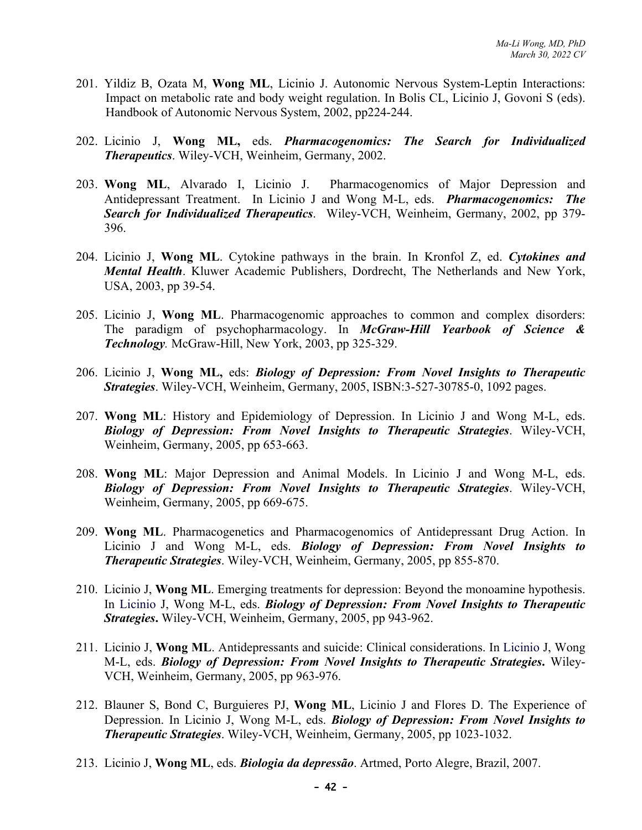- 201. Yildiz B, Ozata M, **Wong ML**, Licinio J. Autonomic Nervous System-Leptin Interactions: Impact on metabolic rate and body weight regulation. In Bolis CL, Licinio J, Govoni S (eds). Handbook of Autonomic Nervous System, 2002, pp224-244.
- 202. Licinio J, **Wong ML,** eds. *Pharmacogenomics: The Search for Individualized Therapeutics*. Wiley-VCH, Weinheim, Germany, 2002.
- 203. **Wong ML**, Alvarado I, Licinio J. Pharmacogenomics of Major Depression and Antidepressant Treatment. In Licinio J and Wong M-L, eds. *Pharmacogenomics: The Search for Individualized Therapeutics*. Wiley-VCH, Weinheim, Germany, 2002, pp 379- 396.
- 204. Licinio J, **Wong ML**. Cytokine pathways in the brain. In Kronfol Z, ed. *Cytokines and Mental Health*. Kluwer Academic Publishers, Dordrecht, The Netherlands and New York, USA, 2003, pp 39-54.
- 205. Licinio J, **Wong ML**. Pharmacogenomic approaches to common and complex disorders: The paradigm of psychopharmacology. In *McGraw-Hill Yearbook of Science & Technology.* McGraw-Hill, New York, 2003, pp 325-329.
- 206. Licinio J, **Wong ML,** eds: *Biology of Depression: From Novel Insights to Therapeutic Strategies*. Wiley-VCH, Weinheim, Germany, 2005, ISBN:3-527-30785-0, 1092 pages.
- 207. **Wong ML**: History and Epidemiology of Depression. In Licinio J and Wong M-L, eds. *Biology of Depression: From Novel Insights to Therapeutic Strategies*. Wiley-VCH, Weinheim, Germany, 2005, pp 653-663.
- 208. **Wong ML**: Major Depression and Animal Models. In Licinio J and Wong M-L, eds. *Biology of Depression: From Novel Insights to Therapeutic Strategies*. Wiley-VCH, Weinheim, Germany, 2005, pp 669-675.
- 209. **Wong ML**. Pharmacogenetics and Pharmacogenomics of Antidepressant Drug Action. In Licinio J and Wong M-L, eds. *Biology of Depression: From Novel Insights to Therapeutic Strategies*. Wiley-VCH, Weinheim, Germany, 2005, pp 855-870.
- 210. Licinio J, **Wong ML**. Emerging treatments for depression: Beyond the monoamine hypothesis. In Licinio J, Wong M-L, eds. *Biology of Depression: From Novel Insights to Therapeutic Strategies***.** Wiley-VCH, Weinheim, Germany, 2005, pp 943-962.
- 211. Licinio J, **Wong ML**. Antidepressants and suicide: Clinical considerations. In Licinio J, Wong M-L, eds. *Biology of Depression: From Novel Insights to Therapeutic Strategies***.** Wiley-VCH, Weinheim, Germany, 2005, pp 963-976.
- 212. Blauner S, Bond C, Burguieres PJ, **Wong ML**, Licinio J and Flores D. The Experience of Depression. In Licinio J, Wong M-L, eds. *Biology of Depression: From Novel Insights to Therapeutic Strategies*. Wiley-VCH, Weinheim, Germany, 2005, pp 1023-1032.
- 213. Licinio J, **Wong ML**, eds. *Biologia da depressão*. Artmed, Porto Alegre, Brazil, 2007.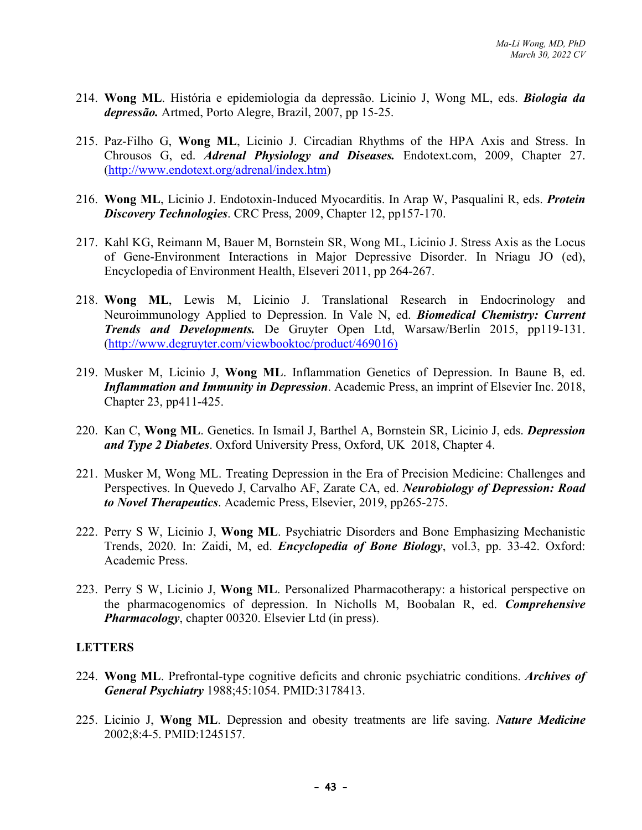- 214. **Wong ML**. História e epidemiologia da depressão. Licinio J, Wong ML, eds. *Biologia da depressão.* Artmed, Porto Alegre, Brazil, 2007, pp 15-25.
- 215. Paz-Filho G, **Wong ML**, Licinio J. Circadian Rhythms of the HPA Axis and Stress. In Chrousos G, ed. *Adrenal Physiology and Diseases.* Endotext.com, 2009, Chapter 27. (http://www.endotext.org/adrenal/index.htm)
- 216. **Wong ML**, Licinio J. Endotoxin-Induced Myocarditis. In Arap W, Pasqualini R, eds. *Protein Discovery Technologies*. CRC Press, 2009, Chapter 12, pp157-170.
- 217. Kahl KG, Reimann M, Bauer M, Bornstein SR, Wong ML, Licinio J. Stress Axis as the Locus of Gene-Environment Interactions in Major Depressive Disorder. In Nriagu JO (ed), Encyclopedia of Environment Health, Elseveri 2011, pp 264-267.
- 218. **Wong ML**, Lewis M, Licinio J. Translational Research in Endocrinology and Neuroimmunology Applied to Depression. In Vale N, ed. *Biomedical Chemistry: Current Trends and Developments.* De Gruyter Open Ltd, Warsaw/Berlin 2015, pp119-131. (http://www.degruyter.com/viewbooktoc/product/469016)
- 219. Musker M, Licinio J, **Wong ML**. Inflammation Genetics of Depression. In Baune B, ed. *Inflammation and Immunity in Depression*. Academic Press, an imprint of Elsevier Inc. 2018, Chapter 23, pp411-425.
- 220. Kan C, **Wong ML**. Genetics. In Ismail J, Barthel A, Bornstein SR, Licinio J, eds. *Depression and Type 2 Diabetes*. Oxford University Press, Oxford, UK 2018, Chapter 4.
- 221. Musker M, Wong ML. Treating Depression in the Era of Precision Medicine: Challenges and Perspectives. In Quevedo J, Carvalho AF, Zarate CA, ed. *Neurobiology of Depression: Road to Novel Therapeutics*. Academic Press, Elsevier, 2019, pp265-275.
- 222. Perry S W, Licinio J, **Wong ML**. Psychiatric Disorders and Bone Emphasizing Mechanistic Trends, 2020. In: Zaidi, M, ed. *Encyclopedia of Bone Biology*, vol.3, pp. 33-42. Oxford: Academic Press.
- 223. Perry S W, Licinio J, **Wong ML**. Personalized Pharmacotherapy: a historical perspective on the pharmacogenomics of depression. In Nicholls M, Boobalan R, ed. *Comprehensive Pharmacology*, chapter 00320. Elsevier Ltd (in press).

#### **LETTERS**

- 224. **Wong ML**. Prefrontal-type cognitive deficits and chronic psychiatric conditions. *Archives of General Psychiatry* 1988;45:1054. PMID:3178413.
- 225. Licinio J, **Wong ML**. Depression and obesity treatments are life saving. *Nature Medicine* 2002;8:4-5. PMID:1245157.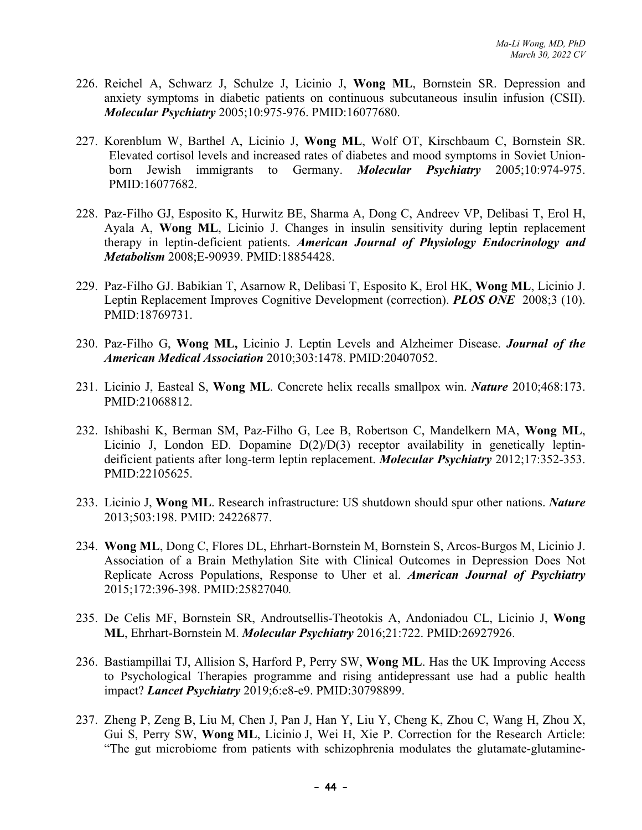- 226. Reichel A, Schwarz J, Schulze J, Licinio J, **Wong ML**, Bornstein SR. Depression and anxiety symptoms in diabetic patients on continuous subcutaneous insulin infusion (CSII). *Molecular Psychiatry* 2005;10:975-976. PMID:16077680.
- 227. Korenblum W, Barthel A, Licinio J, **Wong ML**, Wolf OT, Kirschbaum C, Bornstein SR. Elevated cortisol levels and increased rates of diabetes and mood symptoms in Soviet Unionborn Jewish immigrants to Germany. *Molecular Psychiatry* 2005;10:974-975. PMID:16077682.
- 228. Paz-Filho GJ, Esposito K, Hurwitz BE, Sharma A, Dong C, Andreev VP, Delibasi T, Erol H, Ayala A, **Wong ML**, Licinio J. Changes in insulin sensitivity during leptin replacement therapy in leptin-deficient patients. *American Journal of Physiology Endocrinology and Metabolism* 2008;E-90939. PMID:18854428.
- 229. Paz-Filho GJ. Babikian T, Asarnow R, Delibasi T, Esposito K, Erol HK, **Wong ML**, Licinio J. Leptin Replacement Improves Cognitive Development (correction). *PLOS ONE* 2008;3 (10). PMID:18769731.
- 230. Paz-Filho G, **Wong ML,** Licinio J. Leptin Levels and Alzheimer Disease. *Journal of the American Medical Association* 2010;303:1478. PMID:20407052.
- 231. Licinio J, Easteal S, **Wong ML**. Concrete helix recalls smallpox win. *Nature* 2010;468:173. PMID:21068812.
- 232. Ishibashi K, Berman SM, Paz-Filho G, Lee B, Robertson C, Mandelkern MA, **Wong ML**, Licinio J, London ED. Dopamine D(2)/D(3) receptor availability in genetically leptindeificient patients after long-term leptin replacement. *Molecular Psychiatry* 2012;17:352-353. PMID:22105625.
- 233. Licinio J, **Wong ML**. Research infrastructure: US shutdown should spur other nations. *Nature* 2013;503:198. PMID: 24226877.
- 234. **Wong ML**, Dong C, Flores DL, Ehrhart-Bornstein M, Bornstein S, Arcos-Burgos M, Licinio J. Association of a Brain Methylation Site with Clinical Outcomes in Depression Does Not Replicate Across Populations, Response to Uher et al. *American Journal of Psychiatry* 2015;172:396-398. PMID:25827040*.*
- 235. De Celis MF, Bornstein SR, Androutsellis-Theotokis A, Andoniadou CL, Licinio J, **Wong ML**, Ehrhart-Bornstein M. *Molecular Psychiatry* 2016;21:722. PMID:26927926.
- 236. Bastiampillai TJ, Allision S, Harford P, Perry SW, **Wong ML**. Has the UK Improving Access to Psychological Therapies programme and rising antidepressant use had a public health impact? *Lancet Psychiatry* 2019;6:e8-e9. PMID:30798899.
- 237. Zheng P, Zeng B, Liu M, Chen J, Pan J, Han Y, Liu Y, Cheng K, Zhou C, Wang H, Zhou X, Gui S, Perry SW, **Wong ML**, Licinio J, Wei H, Xie P. Correction for the Research Article: "The gut microbiome from patients with schizophrenia modulates the glutamate-glutamine-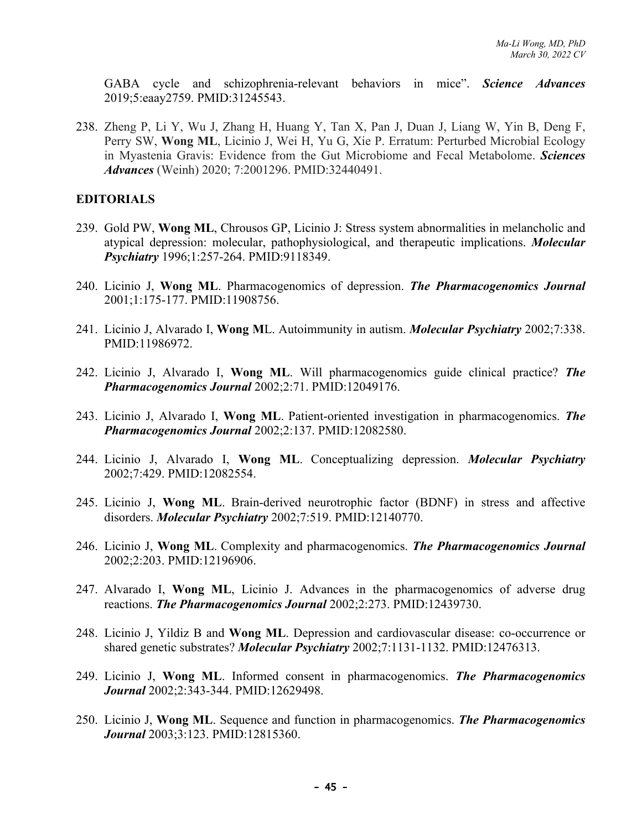GABA cycle and schizophrenia-relevant behaviors in mice". *Science Advances* 2019;5:eaay2759. PMID:31245543.

238. Zheng P, Li Y, Wu J, Zhang H, Huang Y, Tan X, Pan J, Duan J, Liang W, Yin B, Deng F, Perry SW, **Wong ML**, Licinio J, Wei H, Yu G, Xie P. Erratum: Perturbed Microbial Ecology in Myastenia Gravis: Evidence from the Gut Microbiome and Fecal Metabolome. *Sciences Advances* (Weinh) 2020; 7:2001296. PMID:32440491.

#### **EDITORIALS**

- 239. Gold PW, **Wong ML**, Chrousos GP, Licinio J: Stress system abnormalities in melancholic and atypical depression: molecular, pathophysiological, and therapeutic implications. *Molecular Psychiatry* 1996;1:257-264. PMID:9118349.
- 240. Licinio J, **Wong ML**. Pharmacogenomics of depression. *The Pharmacogenomics Journal* 2001;1:175-177. PMID:11908756.
- 241. Licinio J, Alvarado I, **Wong M**L. Autoimmunity in autism. *Molecular Psychiatry* 2002;7:338. PMID:11986972.
- 242. Licinio J, Alvarado I, **Wong ML**. Will pharmacogenomics guide clinical practice? *The Pharmacogenomics Journal* 2002;2:71. PMID:12049176.
- 243. Licinio J, Alvarado I, **Wong ML**. Patient-oriented investigation in pharmacogenomics. *The Pharmacogenomics Journal* 2002;2:137. PMID:12082580.
- 244. Licinio J, Alvarado I, **Wong ML**. Conceptualizing depression. *Molecular Psychiatry* 2002;7:429. PMID:12082554.
- 245. Licinio J, **Wong ML**. Brain-derived neurotrophic factor (BDNF) in stress and affective disorders. *Molecular Psychiatry* 2002;7:519. PMID:12140770.
- 246. Licinio J, **Wong ML**. Complexity and pharmacogenomics. *The Pharmacogenomics Journal*  2002;2:203. PMID:12196906.
- 247. Alvarado I, **Wong ML**, Licinio J. Advances in the pharmacogenomics of adverse drug reactions. *The Pharmacogenomics Journal* 2002;2:273. PMID:12439730.
- 248. Licinio J, Yildiz B and **Wong ML**. Depression and cardiovascular disease: co-occurrence or shared genetic substrates? *Molecular Psychiatry* 2002;7:1131-1132. PMID:12476313.
- 249. Licinio J, **Wong ML**. Informed consent in pharmacogenomics. *The Pharmacogenomics Journal* 2002;2:343-344. PMID:12629498.
- 250. Licinio J, **Wong ML**. Sequence and function in pharmacogenomics. *The Pharmacogenomics Journal* 2003;3:123. PMID:12815360.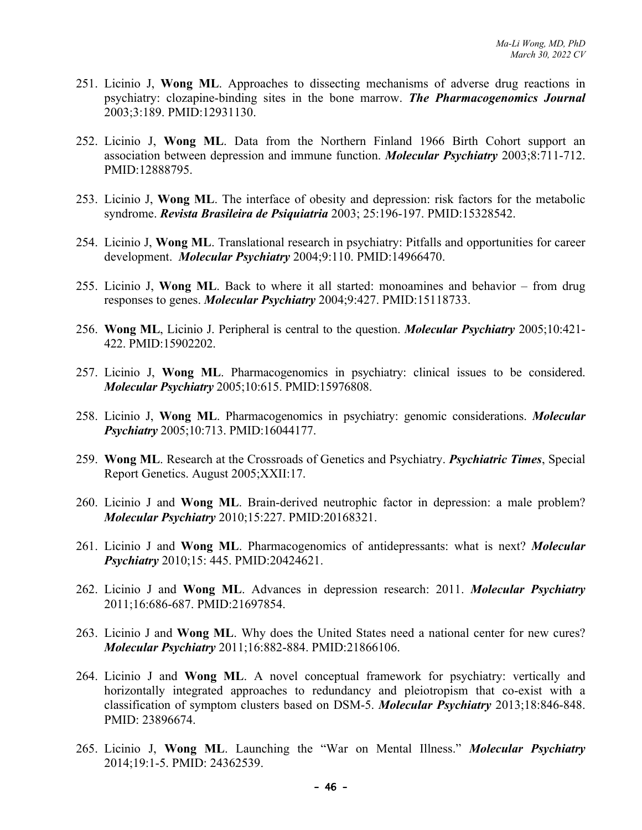- 251. Licinio J, **Wong ML**. Approaches to dissecting mechanisms of adverse drug reactions in psychiatry: clozapine-binding sites in the bone marrow. *The Pharmacogenomics Journal* 2003;3:189. PMID:12931130.
- 252. Licinio J, **Wong ML**. Data from the Northern Finland 1966 Birth Cohort support an association between depression and immune function. *Molecular Psychiatry* 2003;8:711-712. PMID:12888795.
- 253. Licinio J, **Wong ML**. The interface of obesity and depression: risk factors for the metabolic syndrome. *Revista Brasileira de Psiquiatria* 2003; 25:196-197. PMID:15328542.
- 254. Licinio J, **Wong ML**. Translational research in psychiatry: Pitfalls and opportunities for career development. *Molecular Psychiatry* 2004;9:110. PMID:14966470.
- 255. Licinio J, **Wong ML**. Back to where it all started: monoamines and behavior from drug responses to genes. *Molecular Psychiatry* 2004;9:427. PMID:15118733.
- 256. **Wong ML**, Licinio J. Peripheral is central to the question. *Molecular Psychiatry* 2005;10:421- 422. PMID:15902202.
- 257. Licinio J, **Wong ML**. Pharmacogenomics in psychiatry: clinical issues to be considered. *Molecular Psychiatry* 2005;10:615. PMID:15976808.
- 258. Licinio J, **Wong ML**. Pharmacogenomics in psychiatry: genomic considerations. *Molecular Psychiatry* 2005;10:713. PMID:16044177.
- 259. **Wong ML**. Research at the Crossroads of Genetics and Psychiatry. *Psychiatric Times*, Special Report Genetics. August 2005;XXII:17.
- 260. Licinio J and **Wong ML**. Brain-derived neutrophic factor in depression: a male problem? *Molecular Psychiatry* 2010;15:227. PMID:20168321.
- 261. Licinio J and **Wong ML**. Pharmacogenomics of antidepressants: what is next? *Molecular Psychiatry* 2010;15: 445. PMID:20424621.
- 262. Licinio J and **Wong ML**. Advances in depression research: 2011. *Molecular Psychiatry* 2011;16:686-687. PMID:21697854.
- 263. Licinio J and **Wong ML**. Why does the United States need a national center for new cures? *Molecular Psychiatry* 2011;16:882-884. PMID:21866106.
- 264. Licinio J and **Wong ML**. A novel conceptual framework for psychiatry: vertically and horizontally integrated approaches to redundancy and pleiotropism that co-exist with a classification of symptom clusters based on DSM-5. *Molecular Psychiatry* 2013;18:846-848. PMID: 23896674.
- 265. Licinio J, **Wong ML**. Launching the "War on Mental Illness." *Molecular Psychiatry* 2014;19:1-5. PMID: 24362539.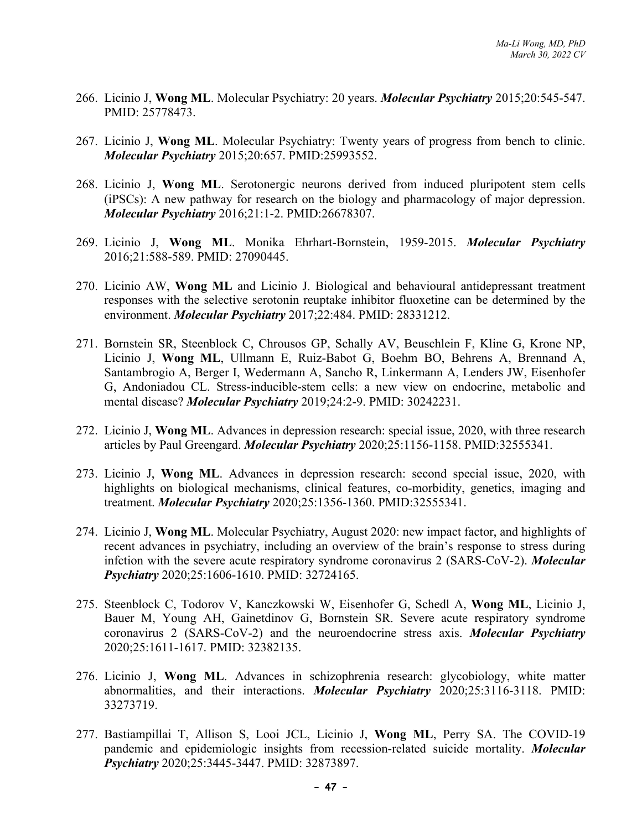- 266. Licinio J, **Wong ML**. Molecular Psychiatry: 20 years. *Molecular Psychiatry* 2015;20:545-547. PMID: 25778473.
- 267. Licinio J, **Wong ML**. Molecular Psychiatry: Twenty years of progress from bench to clinic. *Molecular Psychiatry* 2015;20:657. PMID:25993552.
- 268. Licinio J, **Wong ML**. Serotonergic neurons derived from induced pluripotent stem cells (iPSCs): A new pathway for research on the biology and pharmacology of major depression. *Molecular Psychiatry* 2016;21:1-2. PMID:26678307.
- 269. Licinio J, **Wong ML**. Monika Ehrhart-Bornstein, 1959-2015. *Molecular Psychiatry*  2016;21:588-589. PMID: 27090445.
- 270. Licinio AW, **Wong ML** and Licinio J. Biological and behavioural antidepressant treatment responses with the selective serotonin reuptake inhibitor fluoxetine can be determined by the environment. *Molecular Psychiatry* 2017;22:484. PMID: 28331212.
- 271. Bornstein SR, Steenblock C, Chrousos GP, Schally AV, Beuschlein F, Kline G, Krone NP, Licinio J, **Wong ML**, Ullmann E, Ruiz-Babot G, Boehm BO, Behrens A, Brennand A, Santambrogio A, Berger I, Wedermann A, Sancho R, Linkermann A, Lenders JW, Eisenhofer G, Andoniadou CL. Stress-inducible-stem cells: a new view on endocrine, metabolic and mental disease? *Molecular Psychiatry* 2019;24:2-9. PMID: 30242231.
- 272. Licinio J, **Wong ML**. Advances in depression research: special issue, 2020, with three research articles by Paul Greengard. *Molecular Psychiatry* 2020;25:1156-1158. PMID:32555341.
- 273. Licinio J, **Wong ML**. Advances in depression research: second special issue, 2020, with highlights on biological mechanisms, clinical features, co-morbidity, genetics, imaging and treatment. *Molecular Psychiatry* 2020;25:1356-1360. PMID:32555341.
- 274. Licinio J, **Wong ML**. Molecular Psychiatry, August 2020: new impact factor, and highlights of recent advances in psychiatry, including an overview of the brain's response to stress during infction with the severe acute respiratory syndrome coronavirus 2 (SARS-CoV-2). *Molecular Psychiatry* 2020;25:1606-1610. PMID: 32724165.
- 275. Steenblock C, Todorov V, Kanczkowski W, Eisenhofer G, Schedl A, **Wong ML**, Licinio J, Bauer M, Young AH, Gainetdinov G, Bornstein SR. Severe acute respiratory syndrome coronavirus 2 (SARS-CoV-2) and the neuroendocrine stress axis. *Molecular Psychiatry* 2020;25:1611-1617. PMID: 32382135.
- 276. Licinio J, **Wong ML**. Advances in schizophrenia research: glycobiology, white matter abnormalities, and their interactions. *Molecular Psychiatry* 2020;25:3116-3118. PMID: 33273719.
- 277. Bastiampillai T, Allison S, Looi JCL, Licinio J, **Wong ML**, Perry SA. The COVID-19 pandemic and epidemiologic insights from recession-related suicide mortality. *Molecular Psychiatry* 2020;25:3445-3447. PMID: 32873897.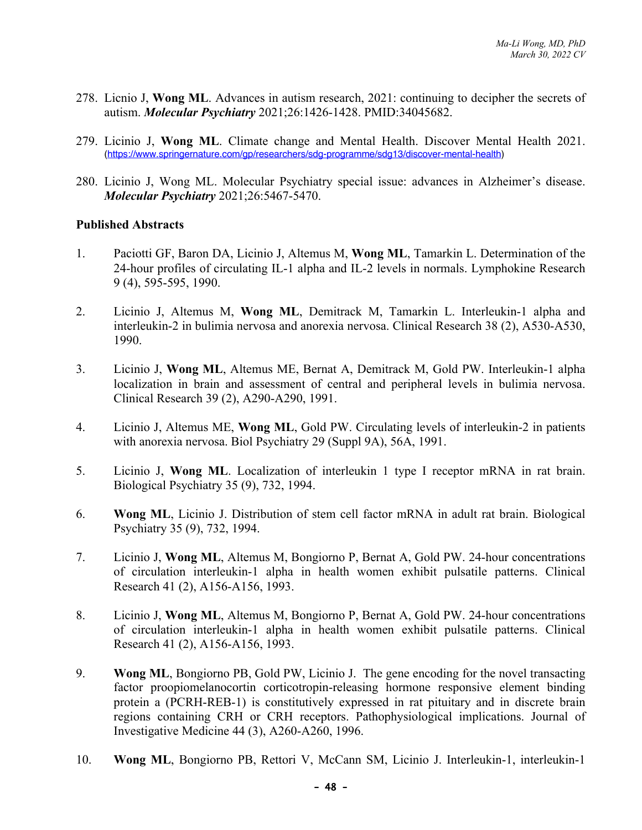- 278. Licnio J, **Wong ML**. Advances in autism research, 2021: continuing to decipher the secrets of autism. *Molecular Psychiatry* 2021;26:1426-1428. PMID:34045682.
- 279. Licinio J, **Wong ML**. Climate change and Mental Health. Discover Mental Health 2021. (https://www.springernature.com/gp/researchers/sdg-programme/sdg13/discover-mental-health)
- 280. Licinio J, Wong ML. Molecular Psychiatry special issue: advances in Alzheimer's disease. *Molecular Psychiatry* 2021;26:5467-5470.

#### **Published Abstracts**

- 1. Paciotti GF, Baron DA, Licinio J, Altemus M, **Wong ML**, Tamarkin L. Determination of the 24-hour profiles of circulating IL-1 alpha and IL-2 levels in normals. Lymphokine Research 9 (4), 595-595, 1990.
- 2. Licinio J, Altemus M, **Wong ML**, Demitrack M, Tamarkin L. Interleukin-1 alpha and interleukin-2 in bulimia nervosa and anorexia nervosa. Clinical Research 38 (2), A530-A530, 1990.
- 3. Licinio J, **Wong ML**, Altemus ME, Bernat A, Demitrack M, Gold PW. Interleukin-1 alpha localization in brain and assessment of central and peripheral levels in bulimia nervosa. Clinical Research 39 (2), A290-A290, 1991.
- 4. Licinio J, Altemus ME, **Wong ML**, Gold PW. Circulating levels of interleukin-2 in patients with anorexia nervosa. Biol Psychiatry 29 (Suppl 9A), 56A, 1991.
- 5. Licinio J, **Wong ML**. Localization of interleukin 1 type I receptor mRNA in rat brain. Biological Psychiatry 35 (9), 732, 1994.
- 6. **Wong ML**, Licinio J. Distribution of stem cell factor mRNA in adult rat brain. Biological Psychiatry 35 (9), 732, 1994.
- 7. Licinio J, **Wong ML**, Altemus M, Bongiorno P, Bernat A, Gold PW. 24-hour concentrations of circulation interleukin-1 alpha in health women exhibit pulsatile patterns. Clinical Research 41 (2), A156-A156, 1993.
- 8. Licinio J, **Wong ML**, Altemus M, Bongiorno P, Bernat A, Gold PW. 24-hour concentrations of circulation interleukin-1 alpha in health women exhibit pulsatile patterns. Clinical Research 41 (2), A156-A156, 1993.
- 9. **Wong ML**, Bongiorno PB, Gold PW, Licinio J. The gene encoding for the novel transacting factor proopiomelanocortin corticotropin-releasing hormone responsive element binding protein a (PCRH-REB-1) is constitutively expressed in rat pituitary and in discrete brain regions containing CRH or CRH receptors. Pathophysiological implications. Journal of Investigative Medicine 44 (3), A260-A260, 1996.
- 10. **Wong ML**, Bongiorno PB, Rettori V, McCann SM, Licinio J. Interleukin-1, interleukin-1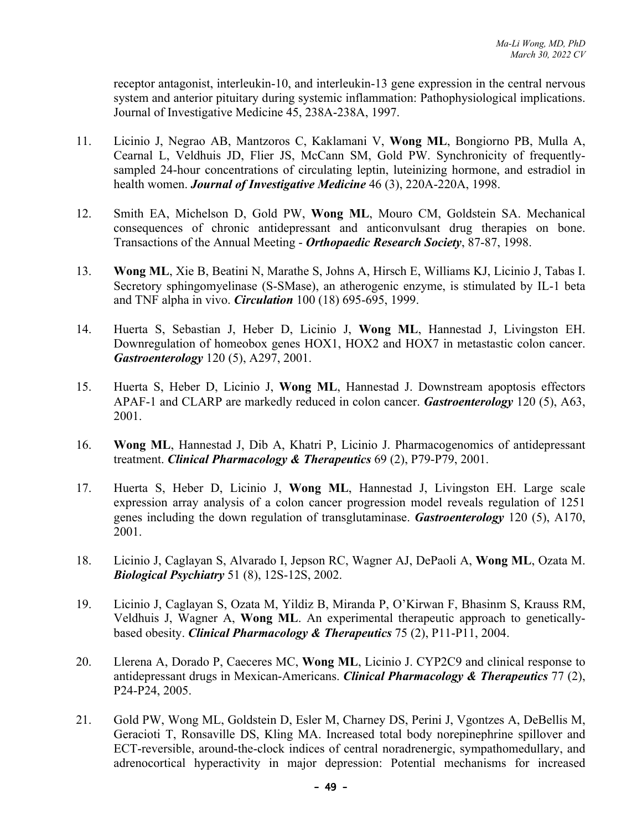receptor antagonist, interleukin-10, and interleukin-13 gene expression in the central nervous system and anterior pituitary during systemic inflammation: Pathophysiological implications. Journal of Investigative Medicine 45, 238A-238A, 1997.

- 11. Licinio J, Negrao AB, Mantzoros C, Kaklamani V, **Wong ML**, Bongiorno PB, Mulla A, Cearnal L, Veldhuis JD, Flier JS, McCann SM, Gold PW. Synchronicity of frequentlysampled 24-hour concentrations of circulating leptin, luteinizing hormone, and estradiol in health women. *Journal of Investigative Medicine* 46 (3), 220A-220A, 1998.
- 12. Smith EA, Michelson D, Gold PW, **Wong ML**, Mouro CM, Goldstein SA. Mechanical consequences of chronic antidepressant and anticonvulsant drug therapies on bone. Transactions of the Annual Meeting - *Orthopaedic Research Society*, 87-87, 1998.
- 13. **Wong ML**, Xie B, Beatini N, Marathe S, Johns A, Hirsch E, Williams KJ, Licinio J, Tabas I. Secretory sphingomyelinase (S-SMase), an atherogenic enzyme, is stimulated by IL-1 beta and TNF alpha in vivo. *Circulation* 100 (18) 695-695, 1999.
- 14. Huerta S, Sebastian J, Heber D, Licinio J, **Wong ML**, Hannestad J, Livingston EH. Downregulation of homeobox genes HOX1, HOX2 and HOX7 in metastastic colon cancer. *Gastroenterology* 120 (5), A297, 2001.
- 15. Huerta S, Heber D, Licinio J, **Wong ML**, Hannestad J. Downstream apoptosis effectors APAF-1 and CLARP are markedly reduced in colon cancer. *Gastroenterology* 120 (5), A63, 2001.
- 16. **Wong ML**, Hannestad J, Dib A, Khatri P, Licinio J. Pharmacogenomics of antidepressant treatment. *Clinical Pharmacology & Therapeutics* 69 (2), P79-P79, 2001.
- 17. Huerta S, Heber D, Licinio J, **Wong ML**, Hannestad J, Livingston EH. Large scale expression array analysis of a colon cancer progression model reveals regulation of 1251 genes including the down regulation of transglutaminase. *Gastroenterology* 120 (5), A170, 2001.
- 18. Licinio J, Caglayan S, Alvarado I, Jepson RC, Wagner AJ, DePaoli A, **Wong ML**, Ozata M. *Biological Psychiatry* 51 (8), 12S-12S, 2002.
- 19. Licinio J, Caglayan S, Ozata M, Yildiz B, Miranda P, O'Kirwan F, Bhasinm S, Krauss RM, Veldhuis J, Wagner A, **Wong ML**. An experimental therapeutic approach to geneticallybased obesity. *Clinical Pharmacology & Therapeutics* 75 (2), P11-P11, 2004.
- 20. Llerena A, Dorado P, Caeceres MC, **Wong ML**, Licinio J. CYP2C9 and clinical response to antidepressant drugs in Mexican-Americans. *Clinical Pharmacology & Therapeutics* 77 (2), P24-P24, 2005.
- 21. Gold PW, Wong ML, Goldstein D, Esler M, Charney DS, Perini J, Vgontzes A, DeBellis M, Geracioti T, Ronsaville DS, Kling MA. Increased total body norepinephrine spillover and ECT-reversible, around-the-clock indices of central noradrenergic, sympathomedullary, and adrenocortical hyperactivity in major depression: Potential mechanisms for increased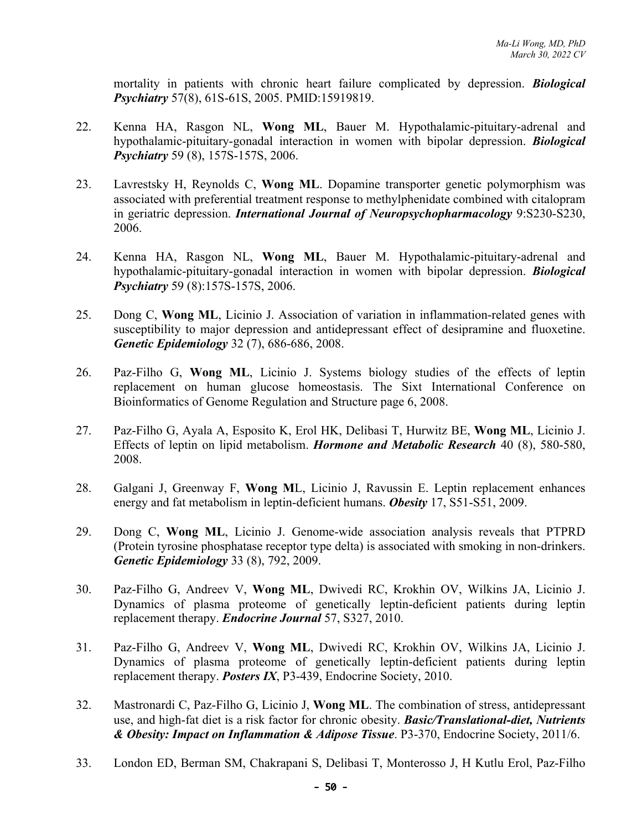mortality in patients with chronic heart failure complicated by depression. *Biological Psychiatry* 57(8), 61S-61S, 2005. PMID:15919819.

- 22. Kenna HA, Rasgon NL, **Wong ML**, Bauer M. Hypothalamic-pituitary-adrenal and hypothalamic-pituitary-gonadal interaction in women with bipolar depression. *Biological Psychiatry* 59 (8), 157S-157S, 2006.
- 23. Lavrestsky H, Reynolds C, **Wong ML**. Dopamine transporter genetic polymorphism was associated with preferential treatment response to methylphenidate combined with citalopram in geriatric depression. *International Journal of Neuropsychopharmacology* 9:S230-S230, 2006.
- 24. Kenna HA, Rasgon NL, **Wong ML**, Bauer M. Hypothalamic-pituitary-adrenal and hypothalamic-pituitary-gonadal interaction in women with bipolar depression. *Biological Psychiatry* 59 (8):157S-157S, 2006.
- 25. Dong C, **Wong ML**, Licinio J. Association of variation in inflammation-related genes with susceptibility to major depression and antidepressant effect of desipramine and fluoxetine. *Genetic Epidemiology* 32 (7), 686-686, 2008.
- 26. Paz-Filho G, **Wong ML**, Licinio J. Systems biology studies of the effects of leptin replacement on human glucose homeostasis. The Sixt International Conference on Bioinformatics of Genome Regulation and Structure page 6, 2008.
- 27. Paz-Filho G, Ayala A, Esposito K, Erol HK, Delibasi T, Hurwitz BE, **Wong ML**, Licinio J. Effects of leptin on lipid metabolism. *Hormone and Metabolic Research* 40 (8), 580-580, 2008.
- 28. Galgani J, Greenway F, **Wong M**L, Licinio J, Ravussin E. Leptin replacement enhances energy and fat metabolism in leptin-deficient humans. *Obesity* 17, S51-S51, 2009.
- 29. Dong C, **Wong ML**, Licinio J. Genome-wide association analysis reveals that PTPRD (Protein tyrosine phosphatase receptor type delta) is associated with smoking in non-drinkers. *Genetic Epidemiology* 33 (8), 792, 2009.
- 30. Paz-Filho G, Andreev V, **Wong ML**, Dwivedi RC, Krokhin OV, Wilkins JA, Licinio J. Dynamics of plasma proteome of genetically leptin-deficient patients during leptin replacement therapy. *Endocrine Journal* 57, S327, 2010.
- 31. Paz-Filho G, Andreev V, **Wong ML**, Dwivedi RC, Krokhin OV, Wilkins JA, Licinio J. Dynamics of plasma proteome of genetically leptin-deficient patients during leptin replacement therapy. *Posters IX*, P3-439, Endocrine Society, 2010.
- 32. Mastronardi C, Paz-Filho G, Licinio J, **Wong ML**. The combination of stress, antidepressant use, and high-fat diet is a risk factor for chronic obesity. *Basic/Translational-diet, Nutrients & Obesity: Impact on Inflammation & Adipose Tissue*. P3-370, Endocrine Society, 2011/6.
- 33. London ED, Berman SM, Chakrapani S, Delibasi T, Monterosso J, H Kutlu Erol, Paz-Filho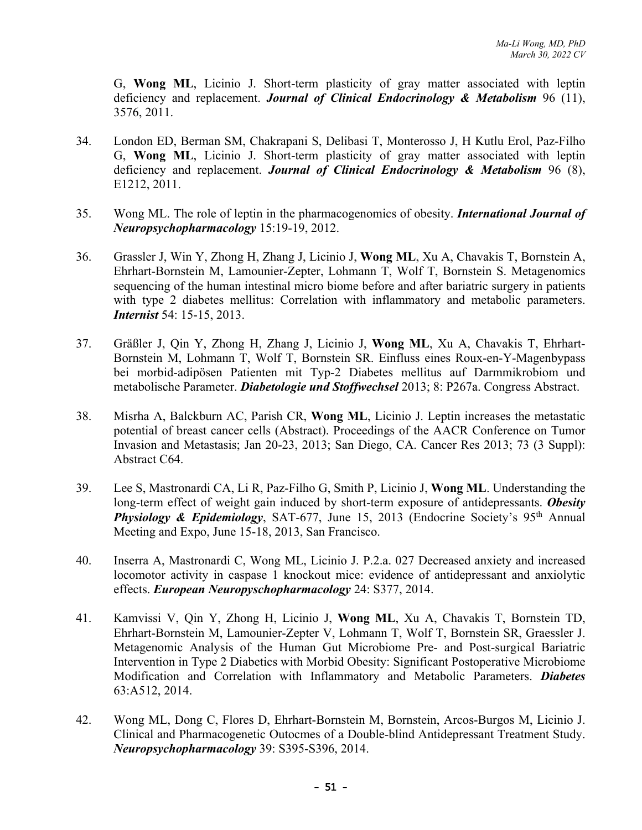G, **Wong ML**, Licinio J. Short-term plasticity of gray matter associated with leptin deficiency and replacement. *Journal of Clinical Endocrinology & Metabolism* 96 (11), 3576, 2011.

- 34. London ED, Berman SM, Chakrapani S, Delibasi T, Monterosso J, H Kutlu Erol, Paz-Filho G, **Wong ML**, Licinio J. Short-term plasticity of gray matter associated with leptin deficiency and replacement. *Journal of Clinical Endocrinology & Metabolism* 96 (8), E1212, 2011.
- 35. Wong ML. The role of leptin in the pharmacogenomics of obesity. *International Journal of Neuropsychopharmacology* 15:19-19, 2012.
- 36. Grassler J, Win Y, Zhong H, Zhang J, Licinio J, **Wong ML**, Xu A, Chavakis T, Bornstein A, Ehrhart-Bornstein M, Lamounier-Zepter, Lohmann T, Wolf T, Bornstein S. Metagenomics sequencing of the human intestinal micro biome before and after bariatric surgery in patients with type 2 diabetes mellitus: Correlation with inflammatory and metabolic parameters. *Internist* 54: 15-15, 2013.
- 37. Gräßler J, Qin Y, Zhong H, Zhang J, Licinio J, **Wong ML**, Xu A, Chavakis T, Ehrhart-Bornstein M, Lohmann T, Wolf T, Bornstein SR. Einfluss eines Roux-en-Y-Magenbypass bei morbid-adipösen Patienten mit Typ-2 Diabetes mellitus auf Darmmikrobiom und metabolische Parameter. *Diabetologie und Stoffwechsel* 2013; 8: P267a. Congress Abstract.
- 38. Misrha A, Balckburn AC, Parish CR, **Wong ML**, Licinio J. Leptin increases the metastatic potential of breast cancer cells (Abstract). Proceedings of the AACR Conference on Tumor Invasion and Metastasis; Jan 20-23, 2013; San Diego, CA. Cancer Res 2013; 73 (3 Suppl): Abstract C64.
- 39. Lee S, Mastronardi CA, Li R, Paz-Filho G, Smith P, Licinio J, **Wong ML**. Understanding the long-term effect of weight gain induced by short-term exposure of antidepressants. *Obesity*  **Physiology & Epidemiology, SAT-677, June 15, 2013 (Endocrine Society's 95<sup>th</sup> Annual** Meeting and Expo, June 15-18, 2013, San Francisco.
- 40. Inserra A, Mastronardi C, Wong ML, Licinio J. P.2.a. 027 Decreased anxiety and increased locomotor activity in caspase 1 knockout mice: evidence of antidepressant and anxiolytic effects. *European Neuropyschopharmacology* 24: S377, 2014.
- 41. Kamvissi V, Qin Y, Zhong H, Licinio J, **Wong ML**, Xu A, Chavakis T, Bornstein TD, Ehrhart-Bornstein M, Lamounier-Zepter V, Lohmann T, Wolf T, Bornstein SR, Graessler J. Metagenomic Analysis of the Human Gut Microbiome Pre- and Post-surgical Bariatric Intervention in Type 2 Diabetics with Morbid Obesity: Significant Postoperative Microbiome Modification and Correlation with Inflammatory and Metabolic Parameters. *Diabetes* 63:A512, 2014.
- 42. Wong ML, Dong C, Flores D, Ehrhart-Bornstein M, Bornstein, Arcos-Burgos M, Licinio J. Clinical and Pharmacogenetic Outocmes of a Double-blind Antidepressant Treatment Study. *Neuropsychopharmacology* 39: S395-S396, 2014.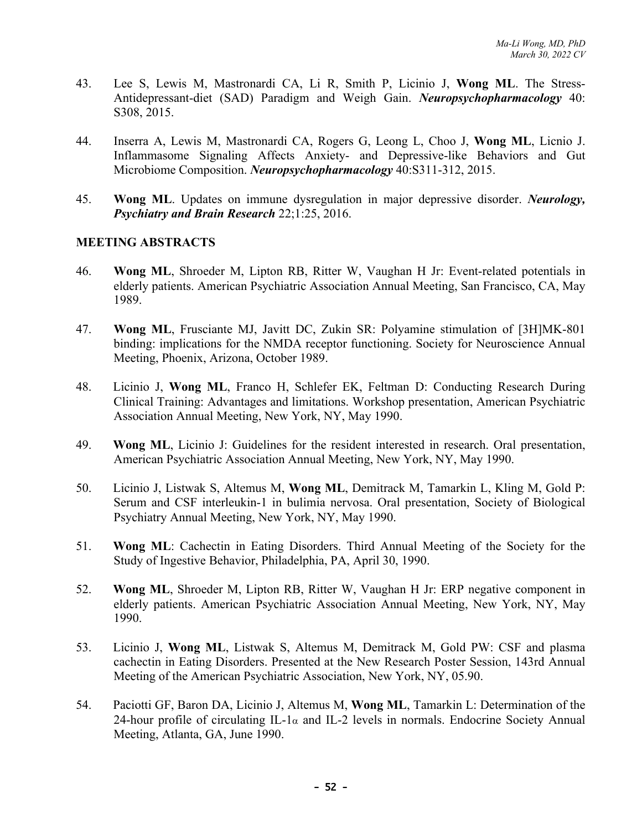- 43. Lee S, Lewis M, Mastronardi CA, Li R, Smith P, Licinio J, **Wong ML**. The Stress-Antidepressant-diet (SAD) Paradigm and Weigh Gain. *Neuropsychopharmacology* 40: S308, 2015.
- 44. Inserra A, Lewis M, Mastronardi CA, Rogers G, Leong L, Choo J, **Wong ML**, Licnio J. Inflammasome Signaling Affects Anxiety- and Depressive-like Behaviors and Gut Microbiome Composition. *Neuropsychopharmacology* 40:S311-312, 2015.
- 45. **Wong ML**. Updates on immune dysregulation in major depressive disorder. *Neurology, Psychiatry and Brain Research* 22;1:25, 2016.

# **MEETING ABSTRACTS**

- 46. **Wong ML**, Shroeder M, Lipton RB, Ritter W, Vaughan H Jr: Event-related potentials in elderly patients. American Psychiatric Association Annual Meeting, San Francisco, CA, May 1989.
- 47. **Wong ML**, Frusciante MJ, Javitt DC, Zukin SR: Polyamine stimulation of [3H]MK-801 binding: implications for the NMDA receptor functioning. Society for Neuroscience Annual Meeting, Phoenix, Arizona, October 1989.
- 48. Licinio J, **Wong ML**, Franco H, Schlefer EK, Feltman D: Conducting Research During Clinical Training: Advantages and limitations. Workshop presentation, American Psychiatric Association Annual Meeting, New York, NY, May 1990.
- 49. **Wong ML**, Licinio J: Guidelines for the resident interested in research. Oral presentation, American Psychiatric Association Annual Meeting, New York, NY, May 1990.
- 50. Licinio J, Listwak S, Altemus M, **Wong ML**, Demitrack M, Tamarkin L, Kling M, Gold P: Serum and CSF interleukin-1 in bulimia nervosa. Oral presentation, Society of Biological Psychiatry Annual Meeting, New York, NY, May 1990.
- 51. **Wong ML**: Cachectin in Eating Disorders. Third Annual Meeting of the Society for the Study of Ingestive Behavior, Philadelphia, PA, April 30, 1990.
- 52. **Wong ML**, Shroeder M, Lipton RB, Ritter W, Vaughan H Jr: ERP negative component in elderly patients. American Psychiatric Association Annual Meeting, New York, NY, May 1990.
- 53. Licinio J, **Wong ML**, Listwak S, Altemus M, Demitrack M, Gold PW: CSF and plasma cachectin in Eating Disorders. Presented at the New Research Poster Session, 143rd Annual Meeting of the American Psychiatric Association, New York, NY, 05.90.
- 54. Paciotti GF, Baron DA, Licinio J, Altemus M, **Wong ML**, Tamarkin L: Determination of the 24-hour profile of circulating IL-1 $\alpha$  and IL-2 levels in normals. Endocrine Society Annual Meeting, Atlanta, GA, June 1990.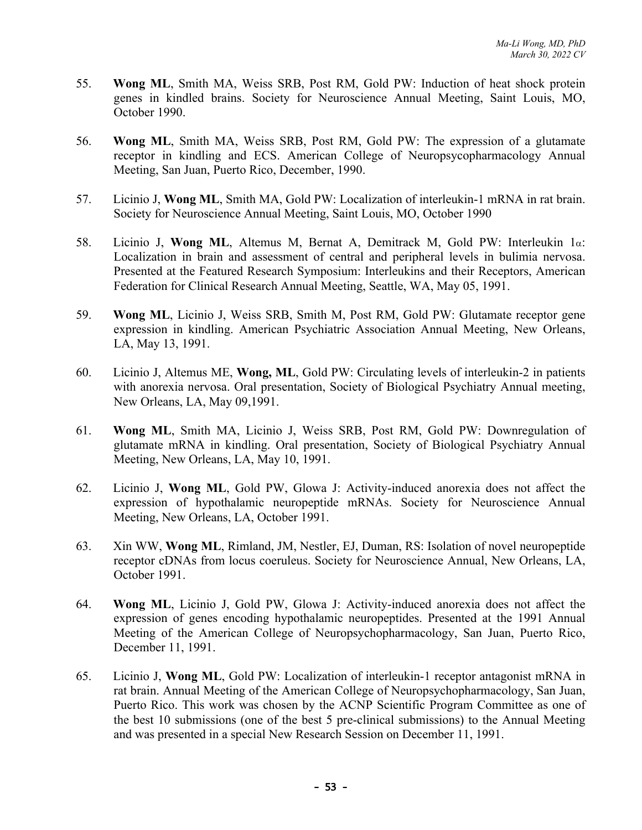- 55. **Wong ML**, Smith MA, Weiss SRB, Post RM, Gold PW: Induction of heat shock protein genes in kindled brains. Society for Neuroscience Annual Meeting, Saint Louis, MO, October 1990.
- 56. **Wong ML**, Smith MA, Weiss SRB, Post RM, Gold PW: The expression of a glutamate receptor in kindling and ECS. American College of Neuropsycopharmacology Annual Meeting, San Juan, Puerto Rico, December, 1990.
- 57. Licinio J, **Wong ML**, Smith MA, Gold PW: Localization of interleukin-1 mRNA in rat brain. Society for Neuroscience Annual Meeting, Saint Louis, MO, October 1990
- 58. Licinio J, **Wong ML**, Altemus M, Bernat A, Demitrack M, Gold PW: Interleukin 1a: Localization in brain and assessment of central and peripheral levels in bulimia nervosa. Presented at the Featured Research Symposium: Interleukins and their Receptors, American Federation for Clinical Research Annual Meeting, Seattle, WA, May 05, 1991.
- 59. **Wong ML**, Licinio J, Weiss SRB, Smith M, Post RM, Gold PW: Glutamate receptor gene expression in kindling. American Psychiatric Association Annual Meeting, New Orleans, LA, May 13, 1991.
- 60. Licinio J, Altemus ME, **Wong, ML**, Gold PW: Circulating levels of interleukin-2 in patients with anorexia nervosa. Oral presentation, Society of Biological Psychiatry Annual meeting, New Orleans, LA, May 09,1991.
- 61. **Wong ML**, Smith MA, Licinio J, Weiss SRB, Post RM, Gold PW: Downregulation of glutamate mRNA in kindling. Oral presentation, Society of Biological Psychiatry Annual Meeting, New Orleans, LA, May 10, 1991.
- 62. Licinio J, **Wong ML**, Gold PW, Glowa J: Activity-induced anorexia does not affect the expression of hypothalamic neuropeptide mRNAs. Society for Neuroscience Annual Meeting, New Orleans, LA, October 1991.
- 63. Xin WW, **Wong ML**, Rimland, JM, Nestler, EJ, Duman, RS: Isolation of novel neuropeptide receptor cDNAs from locus coeruleus. Society for Neuroscience Annual, New Orleans, LA, October 1991.
- 64. **Wong ML**, Licinio J, Gold PW, Glowa J: Activity-induced anorexia does not affect the expression of genes encoding hypothalamic neuropeptides. Presented at the 1991 Annual Meeting of the American College of Neuropsychopharmacology, San Juan, Puerto Rico, December 11, 1991.
- 65. Licinio J, **Wong ML**, Gold PW: Localization of interleukin-1 receptor antagonist mRNA in rat brain. Annual Meeting of the American College of Neuropsychopharmacology, San Juan, Puerto Rico. This work was chosen by the ACNP Scientific Program Committee as one of the best 10 submissions (one of the best 5 pre-clinical submissions) to the Annual Meeting and was presented in a special New Research Session on December 11, 1991.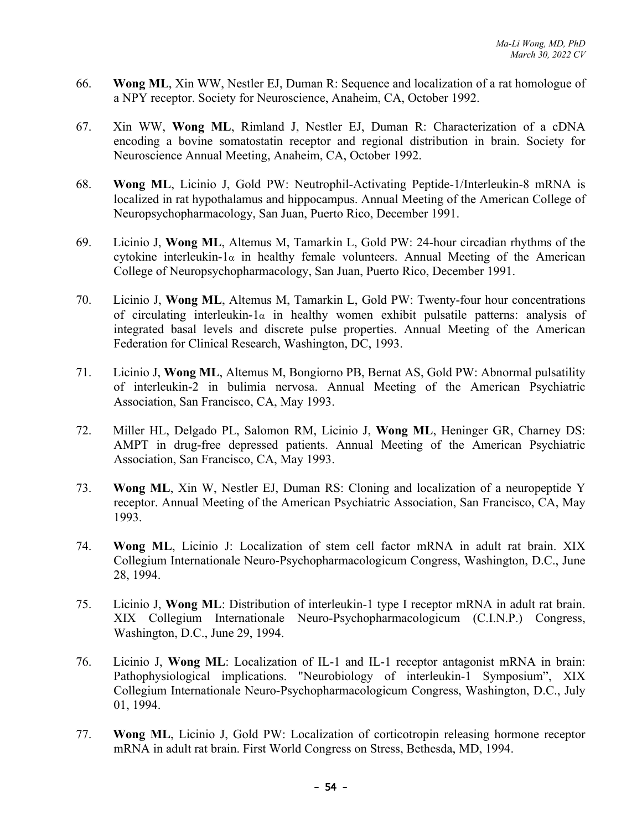- 66. **Wong ML**, Xin WW, Nestler EJ, Duman R: Sequence and localization of a rat homologue of a NPY receptor. Society for Neuroscience, Anaheim, CA, October 1992.
- 67. Xin WW, **Wong ML**, Rimland J, Nestler EJ, Duman R: Characterization of a cDNA encoding a bovine somatostatin receptor and regional distribution in brain. Society for Neuroscience Annual Meeting, Anaheim, CA, October 1992.
- 68. **Wong ML**, Licinio J, Gold PW: Neutrophil-Activating Peptide-1/Interleukin-8 mRNA is localized in rat hypothalamus and hippocampus. Annual Meeting of the American College of Neuropsychopharmacology, San Juan, Puerto Rico, December 1991.
- 69. Licinio J, **Wong ML**, Altemus M, Tamarkin L, Gold PW: 24-hour circadian rhythms of the cytokine interleukin-1 $\alpha$  in healthy female volunteers. Annual Meeting of the American College of Neuropsychopharmacology, San Juan, Puerto Rico, December 1991.
- 70. Licinio J, **Wong ML**, Altemus M, Tamarkin L, Gold PW: Twenty-four hour concentrations of circulating interleukin- $1\alpha$  in healthy women exhibit pulsatile patterns: analysis of integrated basal levels and discrete pulse properties. Annual Meeting of the American Federation for Clinical Research, Washington, DC, 1993.
- 71. Licinio J, **Wong ML**, Altemus M, Bongiorno PB, Bernat AS, Gold PW: Abnormal pulsatility of interleukin-2 in bulimia nervosa. Annual Meeting of the American Psychiatric Association, San Francisco, CA, May 1993.
- 72. Miller HL, Delgado PL, Salomon RM, Licinio J, **Wong ML**, Heninger GR, Charney DS: AMPT in drug-free depressed patients. Annual Meeting of the American Psychiatric Association, San Francisco, CA, May 1993.
- 73. **Wong ML**, Xin W, Nestler EJ, Duman RS: Cloning and localization of a neuropeptide Y receptor. Annual Meeting of the American Psychiatric Association, San Francisco, CA, May 1993.
- 74. **Wong ML**, Licinio J: Localization of stem cell factor mRNA in adult rat brain. XIX Collegium Internationale Neuro-Psychopharmacologicum Congress, Washington, D.C., June 28, 1994.
- 75. Licinio J, **Wong ML**: Distribution of interleukin-1 type I receptor mRNA in adult rat brain. XIX Collegium Internationale Neuro-Psychopharmacologicum (C.I.N.P.) Congress, Washington, D.C., June 29, 1994.
- 76. Licinio J, **Wong ML**: Localization of IL-1 and IL-1 receptor antagonist mRNA in brain: Pathophysiological implications. "Neurobiology of interleukin-1 Symposium", XIX Collegium Internationale Neuro-Psychopharmacologicum Congress, Washington, D.C., July 01, 1994.
- 77. **Wong ML**, Licinio J, Gold PW: Localization of corticotropin releasing hormone receptor mRNA in adult rat brain. First World Congress on Stress, Bethesda, MD, 1994.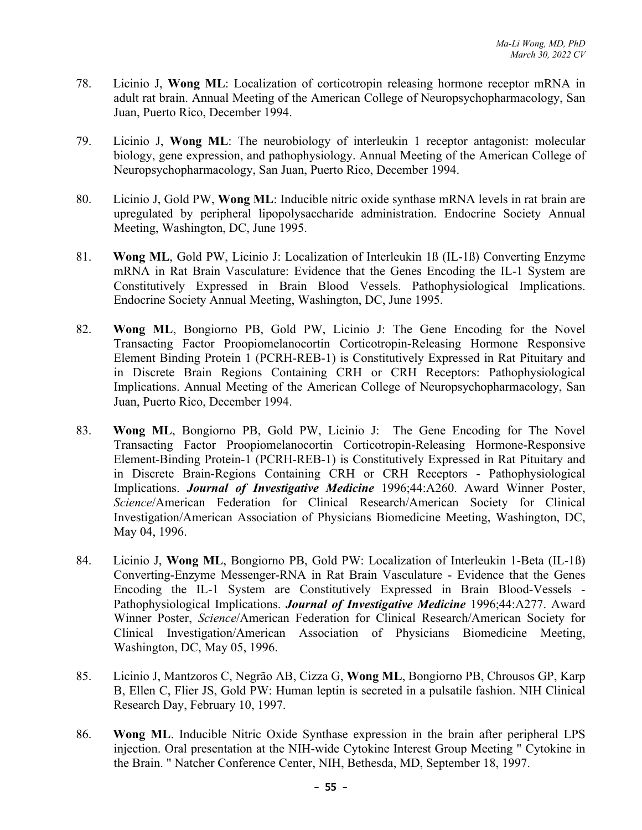- 78. Licinio J, **Wong ML**: Localization of corticotropin releasing hormone receptor mRNA in adult rat brain. Annual Meeting of the American College of Neuropsychopharmacology, San Juan, Puerto Rico, December 1994.
- 79. Licinio J, **Wong ML**: The neurobiology of interleukin 1 receptor antagonist: molecular biology, gene expression, and pathophysiology. Annual Meeting of the American College of Neuropsychopharmacology, San Juan, Puerto Rico, December 1994.
- 80. Licinio J, Gold PW, **Wong ML**: Inducible nitric oxide synthase mRNA levels in rat brain are upregulated by peripheral lipopolysaccharide administration. Endocrine Society Annual Meeting, Washington, DC, June 1995.
- 81. **Wong ML**, Gold PW, Licinio J: Localization of Interleukin 1ß (IL-1ß) Converting Enzyme mRNA in Rat Brain Vasculature: Evidence that the Genes Encoding the IL-1 System are Constitutively Expressed in Brain Blood Vessels. Pathophysiological Implications. Endocrine Society Annual Meeting, Washington, DC, June 1995.
- 82. **Wong ML**, Bongiorno PB, Gold PW, Licinio J: The Gene Encoding for the Novel Transacting Factor Proopiomelanocortin Corticotropin-Releasing Hormone Responsive Element Binding Protein 1 (PCRH-REB-1) is Constitutively Expressed in Rat Pituitary and in Discrete Brain Regions Containing CRH or CRH Receptors: Pathophysiological Implications. Annual Meeting of the American College of Neuropsychopharmacology, San Juan, Puerto Rico, December 1994.
- 83. **Wong ML**, Bongiorno PB, Gold PW, Licinio J: The Gene Encoding for The Novel Transacting Factor Proopiomelanocortin Corticotropin-Releasing Hormone-Responsive Element-Binding Protein-1 (PCRH-REB-1) is Constitutively Expressed in Rat Pituitary and in Discrete Brain-Regions Containing CRH or CRH Receptors - Pathophysiological Implications. *Journal of Investigative Medicine* 1996;44:A260. Award Winner Poster, *Science*/American Federation for Clinical Research/American Society for Clinical Investigation/American Association of Physicians Biomedicine Meeting, Washington, DC, May 04, 1996.
- 84. Licinio J, **Wong ML**, Bongiorno PB, Gold PW: Localization of Interleukin 1-Beta (IL-1ß) Converting-Enzyme Messenger-RNA in Rat Brain Vasculature - Evidence that the Genes Encoding the IL-1 System are Constitutively Expressed in Brain Blood-Vessels - Pathophysiological Implications. *Journal of Investigative Medicine* 1996;44:A277. Award Winner Poster, *Science*/American Federation for Clinical Research/American Society for Clinical Investigation/American Association of Physicians Biomedicine Meeting, Washington, DC, May 05, 1996.
- 85. Licinio J, Mantzoros C, Negrão AB, Cizza G, **Wong ML**, Bongiorno PB, Chrousos GP, Karp B, Ellen C, Flier JS, Gold PW: Human leptin is secreted in a pulsatile fashion. NIH Clinical Research Day, February 10, 1997.
- 86. **Wong ML**. Inducible Nitric Oxide Synthase expression in the brain after peripheral LPS injection. Oral presentation at the NIH-wide Cytokine Interest Group Meeting " Cytokine in the Brain. " Natcher Conference Center, NIH, Bethesda, MD, September 18, 1997.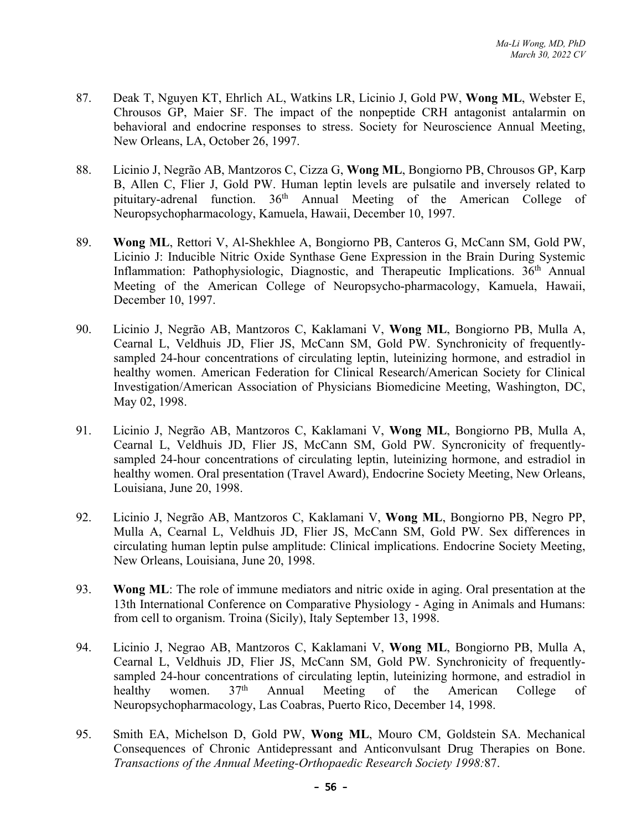- 87. Deak T, Nguyen KT, Ehrlich AL, Watkins LR, Licinio J, Gold PW, **Wong ML**, Webster E, Chrousos GP, Maier SF. The impact of the nonpeptide CRH antagonist antalarmin on behavioral and endocrine responses to stress. Society for Neuroscience Annual Meeting, New Orleans, LA, October 26, 1997.
- 88. Licinio J, Negrão AB, Mantzoros C, Cizza G, **Wong ML**, Bongiorno PB, Chrousos GP, Karp B, Allen C, Flier J, Gold PW. Human leptin levels are pulsatile and inversely related to pituitary-adrenal function.  $36<sup>th</sup>$  Annual Meeting of the American College of Neuropsychopharmacology, Kamuela, Hawaii, December 10, 1997.
- 89. **Wong ML**, Rettori V, Al-Shekhlee A, Bongiorno PB, Canteros G, McCann SM, Gold PW, Licinio J: Inducible Nitric Oxide Synthase Gene Expression in the Brain During Systemic Inflammation: Pathophysiologic, Diagnostic, and Therapeutic Implications. 36<sup>th</sup> Annual Meeting of the American College of Neuropsycho-pharmacology, Kamuela, Hawaii, December 10, 1997.
- 90. Licinio J, Negrão AB, Mantzoros C, Kaklamani V, **Wong ML**, Bongiorno PB, Mulla A, Cearnal L, Veldhuis JD, Flier JS, McCann SM, Gold PW. Synchronicity of frequentlysampled 24-hour concentrations of circulating leptin, luteinizing hormone, and estradiol in healthy women. American Federation for Clinical Research/American Society for Clinical Investigation/American Association of Physicians Biomedicine Meeting, Washington, DC, May 02, 1998.
- 91. Licinio J, Negrão AB, Mantzoros C, Kaklamani V, **Wong ML**, Bongiorno PB, Mulla A, Cearnal L, Veldhuis JD, Flier JS, McCann SM, Gold PW. Syncronicity of frequentlysampled 24-hour concentrations of circulating leptin, luteinizing hormone, and estradiol in healthy women. Oral presentation (Travel Award), Endocrine Society Meeting, New Orleans, Louisiana, June 20, 1998.
- 92. Licinio J, Negrão AB, Mantzoros C, Kaklamani V, **Wong ML**, Bongiorno PB, Negro PP, Mulla A, Cearnal L, Veldhuis JD, Flier JS, McCann SM, Gold PW. Sex differences in circulating human leptin pulse amplitude: Clinical implications. Endocrine Society Meeting, New Orleans, Louisiana, June 20, 1998.
- 93. **Wong ML**: The role of immune mediators and nitric oxide in aging. Oral presentation at the 13th International Conference on Comparative Physiology - Aging in Animals and Humans: from cell to organism. Troina (Sicily), Italy September 13, 1998.
- 94. Licinio J, Negrao AB, Mantzoros C, Kaklamani V, **Wong ML**, Bongiorno PB, Mulla A, Cearnal L, Veldhuis JD, Flier JS, McCann SM, Gold PW. Synchronicity of frequentlysampled 24-hour concentrations of circulating leptin, luteinizing hormone, and estradiol in healthy women. 37<sup>th</sup> Annual Meeting of the American College of Neuropsychopharmacology, Las Coabras, Puerto Rico, December 14, 1998.
- 95. Smith EA, Michelson D, Gold PW, **Wong ML**, Mouro CM, Goldstein SA. Mechanical Consequences of Chronic Antidepressant and Anticonvulsant Drug Therapies on Bone. *Transactions of the Annual Meeting-Orthopaedic Research Society 1998:*87.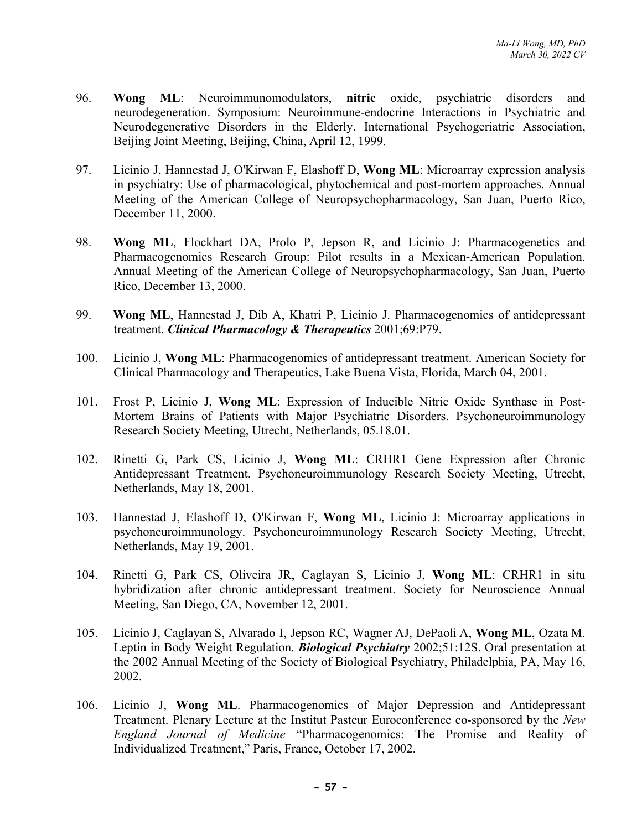- 96. **Wong ML**: Neuroimmunomodulators, **nitric** oxide, psychiatric disorders and neurodegeneration. Symposium: Neuroimmune-endocrine Interactions in Psychiatric and Neurodegenerative Disorders in the Elderly. International Psychogeriatric Association, Beijing Joint Meeting, Beijing, China, April 12, 1999.
- 97. Licinio J, Hannestad J, O'Kirwan F, Elashoff D, **Wong ML**: Microarray expression analysis in psychiatry: Use of pharmacological, phytochemical and post-mortem approaches. Annual Meeting of the American College of Neuropsychopharmacology, San Juan, Puerto Rico, December 11, 2000.
- 98. **Wong ML**, Flockhart DA, Prolo P, Jepson R, and Licinio J: Pharmacogenetics and Pharmacogenomics Research Group: Pilot results in a Mexican-American Population. Annual Meeting of the American College of Neuropsychopharmacology, San Juan, Puerto Rico, December 13, 2000.
- 99. **Wong ML**, Hannestad J, Dib A, Khatri P, Licinio J. Pharmacogenomics of antidepressant treatment. *Clinical Pharmacology & Therapeutics* 2001;69:P79.
- 100. Licinio J, **Wong ML**: Pharmacogenomics of antidepressant treatment. American Society for Clinical Pharmacology and Therapeutics, Lake Buena Vista, Florida, March 04, 2001.
- 101. Frost P, Licinio J, **Wong ML**: Expression of Inducible Nitric Oxide Synthase in Post-Mortem Brains of Patients with Major Psychiatric Disorders. Psychoneuroimmunology Research Society Meeting, Utrecht, Netherlands, 05.18.01.
- 102. Rinetti G, Park CS, Licinio J, **Wong ML**: CRHR1 Gene Expression after Chronic Antidepressant Treatment. Psychoneuroimmunology Research Society Meeting, Utrecht, Netherlands, May 18, 2001.
- 103. Hannestad J, Elashoff D, O'Kirwan F, **Wong ML**, Licinio J: Microarray applications in psychoneuroimmunology. Psychoneuroimmunology Research Society Meeting, Utrecht, Netherlands, May 19, 2001.
- 104. Rinetti G, Park CS, Oliveira JR, Caglayan S, Licinio J, **Wong ML**: CRHR1 in situ hybridization after chronic antidepressant treatment. Society for Neuroscience Annual Meeting, San Diego, CA, November 12, 2001.
- 105. Licinio J, Caglayan S, Alvarado I, Jepson RC, Wagner AJ, DePaoli A, **Wong ML**, Ozata M. Leptin in Body Weight Regulation. *Biological Psychiatry* 2002;51:12S. Oral presentation at the 2002 Annual Meeting of the Society of Biological Psychiatry, Philadelphia, PA, May 16, 2002.
- 106. Licinio J, **Wong ML**. Pharmacogenomics of Major Depression and Antidepressant Treatment. Plenary Lecture at the Institut Pasteur Euroconference co-sponsored by the *New England Journal of Medicine* "Pharmacogenomics: The Promise and Reality of Individualized Treatment," Paris, France, October 17, 2002.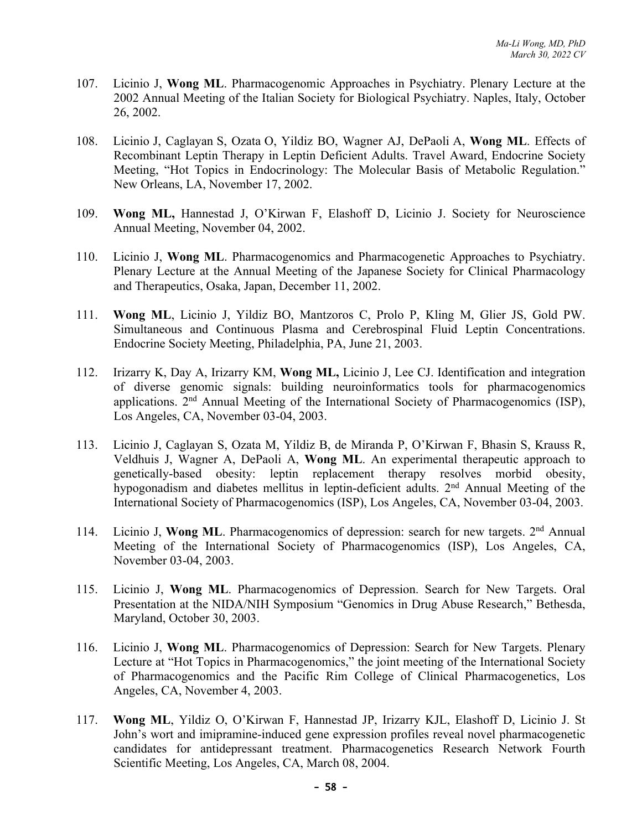- 107. Licinio J, **Wong ML**. Pharmacogenomic Approaches in Psychiatry. Plenary Lecture at the 2002 Annual Meeting of the Italian Society for Biological Psychiatry. Naples, Italy, October 26, 2002.
- 108. Licinio J, Caglayan S, Ozata O, Yildiz BO, Wagner AJ, DePaoli A, **Wong ML**. Effects of Recombinant Leptin Therapy in Leptin Deficient Adults. Travel Award, Endocrine Society Meeting, "Hot Topics in Endocrinology: The Molecular Basis of Metabolic Regulation." New Orleans, LA, November 17, 2002.
- 109. **Wong ML,** Hannestad J, O'Kirwan F, Elashoff D, Licinio J. Society for Neuroscience Annual Meeting, November 04, 2002.
- 110. Licinio J, **Wong ML**. Pharmacogenomics and Pharmacogenetic Approaches to Psychiatry. Plenary Lecture at the Annual Meeting of the Japanese Society for Clinical Pharmacology and Therapeutics, Osaka, Japan, December 11, 2002.
- 111. **Wong ML**, Licinio J, Yildiz BO, Mantzoros C, Prolo P, Kling M, Glier JS, Gold PW. Simultaneous and Continuous Plasma and Cerebrospinal Fluid Leptin Concentrations. Endocrine Society Meeting, Philadelphia, PA, June 21, 2003.
- 112. Irizarry K, Day A, Irizarry KM, **Wong ML,** Licinio J, Lee CJ. Identification and integration of diverse genomic signals: building neuroinformatics tools for pharmacogenomics applications. 2nd Annual Meeting of the International Society of Pharmacogenomics (ISP), Los Angeles, CA, November 03-04, 2003.
- 113. Licinio J, Caglayan S, Ozata M, Yildiz B, de Miranda P, O'Kirwan F, Bhasin S, Krauss R, Veldhuis J, Wagner A, DePaoli A, **Wong ML**. An experimental therapeutic approach to genetically-based obesity: leptin replacement therapy resolves morbid obesity, hypogonadism and diabetes mellitus in leptin-deficient adults. 2nd Annual Meeting of the International Society of Pharmacogenomics (ISP), Los Angeles, CA, November 03-04, 2003.
- 114. Licinio J, Wong ML. Pharmacogenomics of depression: search for new targets. 2<sup>nd</sup> Annual Meeting of the International Society of Pharmacogenomics (ISP), Los Angeles, CA, November 03-04, 2003.
- 115. Licinio J, **Wong ML**. Pharmacogenomics of Depression. Search for New Targets. Oral Presentation at the NIDA/NIH Symposium "Genomics in Drug Abuse Research," Bethesda, Maryland, October 30, 2003.
- 116. Licinio J, **Wong ML**. Pharmacogenomics of Depression: Search for New Targets. Plenary Lecture at "Hot Topics in Pharmacogenomics," the joint meeting of the International Society of Pharmacogenomics and the Pacific Rim College of Clinical Pharmacogenetics, Los Angeles, CA, November 4, 2003.
- 117. **Wong ML**, Yildiz O, O'Kirwan F, Hannestad JP, Irizarry KJL, Elashoff D, Licinio J. St John's wort and imipramine-induced gene expression profiles reveal novel pharmacogenetic candidates for antidepressant treatment. Pharmacogenetics Research Network Fourth Scientific Meeting, Los Angeles, CA, March 08, 2004.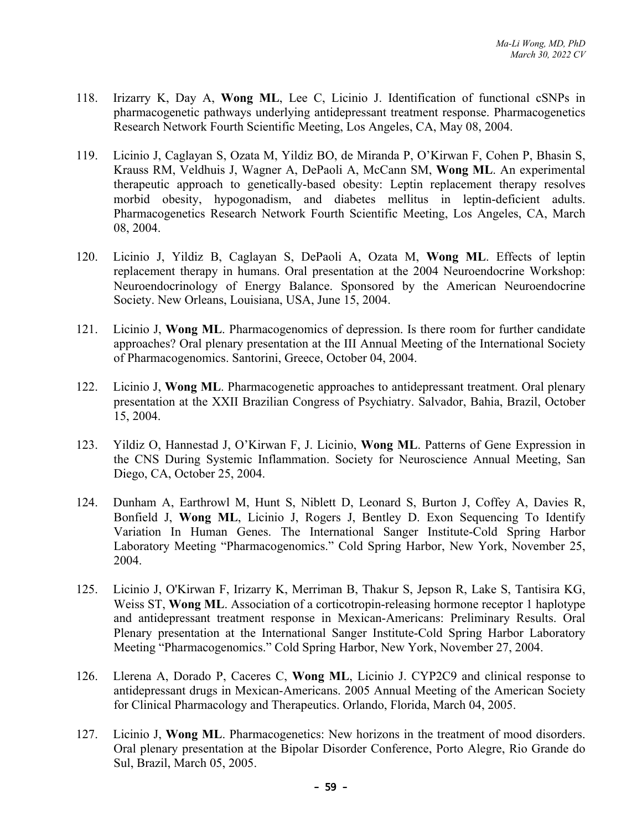- 118. Irizarry K, Day A, **Wong ML**, Lee C, Licinio J. Identification of functional cSNPs in pharmacogenetic pathways underlying antidepressant treatment response. Pharmacogenetics Research Network Fourth Scientific Meeting, Los Angeles, CA, May 08, 2004.
- 119. Licinio J, Caglayan S, Ozata M, Yildiz BO, de Miranda P, O'Kirwan F, Cohen P, Bhasin S, Krauss RM, Veldhuis J, Wagner A, DePaoli A, McCann SM, **Wong ML**. An experimental therapeutic approach to genetically-based obesity: Leptin replacement therapy resolves morbid obesity, hypogonadism, and diabetes mellitus in leptin-deficient adults. Pharmacogenetics Research Network Fourth Scientific Meeting, Los Angeles, CA, March 08, 2004.
- 120. Licinio J, Yildiz B, Caglayan S, DePaoli A, Ozata M, **Wong ML**. Effects of leptin replacement therapy in humans. Oral presentation at the 2004 Neuroendocrine Workshop: Neuroendocrinology of Energy Balance. Sponsored by the American Neuroendocrine Society. New Orleans, Louisiana, USA, June 15, 2004.
- 121. Licinio J, **Wong ML**. Pharmacogenomics of depression. Is there room for further candidate approaches? Oral plenary presentation at the III Annual Meeting of the International Society of Pharmacogenomics. Santorini, Greece, October 04, 2004.
- 122. Licinio J, **Wong ML**. Pharmacogenetic approaches to antidepressant treatment. Oral plenary presentation at the XXII Brazilian Congress of Psychiatry. Salvador, Bahia, Brazil, October 15, 2004.
- 123. Yildiz O, Hannestad J, O'Kirwan F, J. Licinio, **Wong ML**. Patterns of Gene Expression in the CNS During Systemic Inflammation. Society for Neuroscience Annual Meeting, San Diego, CA, October 25, 2004.
- 124. Dunham A, Earthrowl M, Hunt S, Niblett D, Leonard S, Burton J, Coffey A, Davies R, Bonfield J, **Wong ML**, Licinio J, Rogers J, Bentley D. Exon Sequencing To Identify Variation In Human Genes. The International Sanger Institute-Cold Spring Harbor Laboratory Meeting "Pharmacogenomics." Cold Spring Harbor, New York, November 25, 2004.
- 125. Licinio J, O'Kirwan F, Irizarry K, Merriman B, Thakur S, Jepson R, Lake S, Tantisira KG, Weiss ST, **Wong ML**. Association of a corticotropin-releasing hormone receptor 1 haplotype and antidepressant treatment response in Mexican-Americans: Preliminary Results. Oral Plenary presentation at the International Sanger Institute-Cold Spring Harbor Laboratory Meeting "Pharmacogenomics." Cold Spring Harbor, New York, November 27, 2004.
- 126. Llerena A, Dorado P, Caceres C, **Wong ML**, Licinio J. CYP2C9 and clinical response to antidepressant drugs in Mexican-Americans. 2005 Annual Meeting of the American Society for Clinical Pharmacology and Therapeutics. Orlando, Florida, March 04, 2005.
- 127. Licinio J, **Wong ML**. Pharmacogenetics: New horizons in the treatment of mood disorders. Oral plenary presentation at the Bipolar Disorder Conference, Porto Alegre, Rio Grande do Sul, Brazil, March 05, 2005.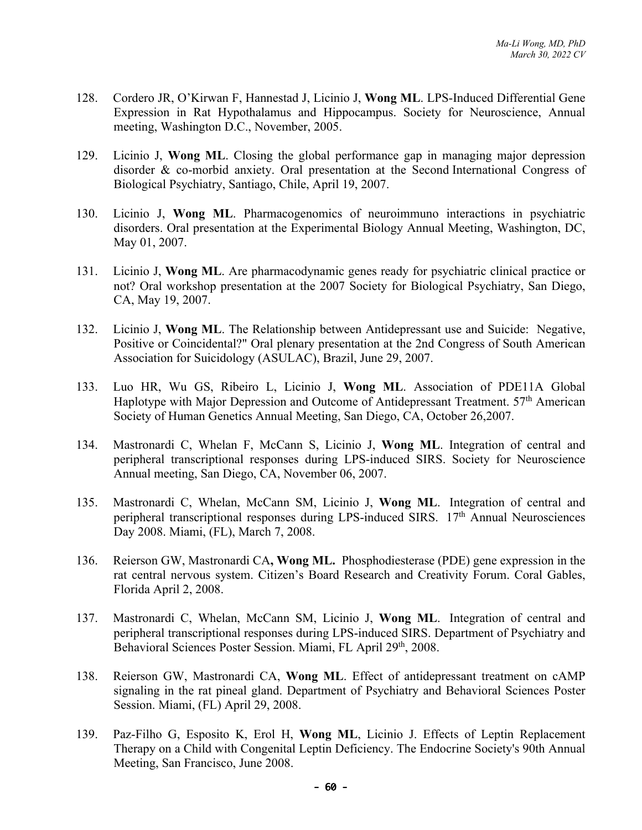- 128. Cordero JR, O'Kirwan F, Hannestad J, Licinio J, **Wong ML**. LPS-Induced Differential Gene Expression in Rat Hypothalamus and Hippocampus. Society for Neuroscience, Annual meeting, Washington D.C., November, 2005.
- 129. Licinio J, **Wong ML**. Closing the global performance gap in managing major depression disorder & co-morbid anxiety. Oral presentation at the Second International Congress of Biological Psychiatry, Santiago, Chile, April 19, 2007.
- 130. Licinio J, **Wong ML**. Pharmacogenomics of neuroimmuno interactions in psychiatric disorders. Oral presentation at the Experimental Biology Annual Meeting, Washington, DC, May 01, 2007.
- 131. Licinio J, **Wong ML**. Are pharmacodynamic genes ready for psychiatric clinical practice or not? Oral workshop presentation at the 2007 Society for Biological Psychiatry, San Diego, CA, May 19, 2007.
- 132. Licinio J, **Wong ML**. The Relationship between Antidepressant use and Suicide: Negative, Positive or Coincidental?" Oral plenary presentation at the 2nd Congress of South American Association for Suicidology (ASULAC), Brazil, June 29, 2007.
- 133. Luo HR, Wu GS, Ribeiro L, Licinio J, **Wong ML**. Association of PDE11A Global Haplotype with Major Depression and Outcome of Antidepressant Treatment. 57<sup>th</sup> American Society of Human Genetics Annual Meeting, San Diego, CA, October 26,2007.
- 134. Mastronardi C, Whelan F, McCann S, Licinio J, **Wong ML**. Integration of central and peripheral transcriptional responses during LPS-induced SIRS. Society for Neuroscience Annual meeting, San Diego, CA, November 06, 2007.
- 135. Mastronardi C, Whelan, McCann SM, Licinio J, **Wong ML**. Integration of central and peripheral transcriptional responses during LPS-induced SIRS. 17<sup>th</sup> Annual Neurosciences Day 2008. Miami, (FL), March 7, 2008.
- 136. Reierson GW, Mastronardi CA**, Wong ML.** Phosphodiesterase (PDE) gene expression in the rat central nervous system. Citizen's Board Research and Creativity Forum. Coral Gables, Florida April 2, 2008.
- 137. Mastronardi C, Whelan, McCann SM, Licinio J, **Wong ML**. Integration of central and peripheral transcriptional responses during LPS-induced SIRS. Department of Psychiatry and Behavioral Sciences Poster Session. Miami, FL April 29th, 2008.
- 138. Reierson GW, Mastronardi CA, **Wong ML**. Effect of antidepressant treatment on cAMP signaling in the rat pineal gland. Department of Psychiatry and Behavioral Sciences Poster Session. Miami, (FL) April 29, 2008.
- 139. Paz-Filho G, Esposito K, Erol H, **Wong ML**, Licinio J. Effects of Leptin Replacement Therapy on a Child with Congenital Leptin Deficiency. The Endocrine Society's 90th Annual Meeting, San Francisco, June 2008.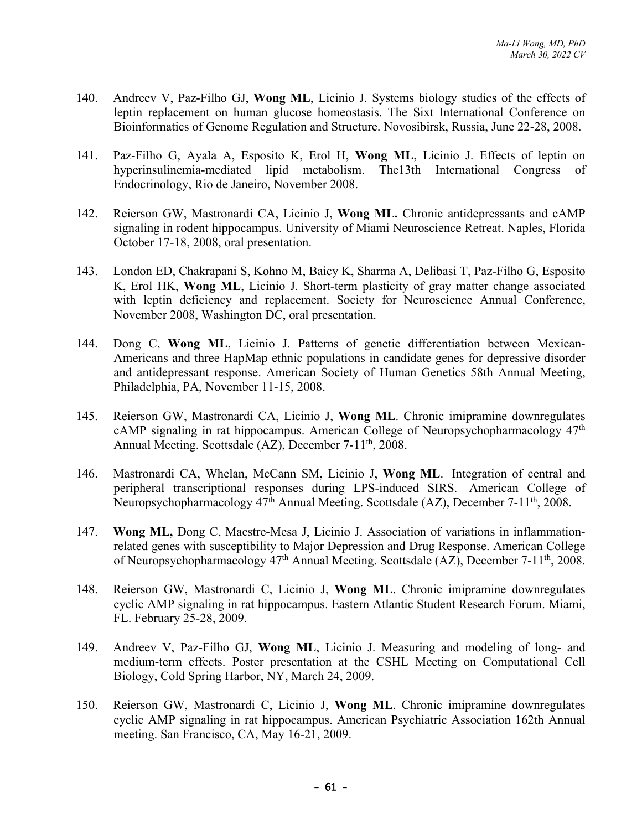- 140. Andreev V, Paz-Filho GJ, **Wong ML**, Licinio J. Systems biology studies of the effects of leptin replacement on human glucose homeostasis. The Sixt International Conference on Bioinformatics of Genome Regulation and Structure. Novosibirsk, Russia, June 22-28, 2008.
- 141. Paz-Filho G, Ayala A, Esposito K, Erol H, **Wong ML**, Licinio J. Effects of leptin on hyperinsulinemia-mediated lipid metabolism. The13th International Congress of Endocrinology, Rio de Janeiro, November 2008.
- 142. Reierson GW, Mastronardi CA, Licinio J, **Wong ML.** Chronic antidepressants and cAMP signaling in rodent hippocampus. University of Miami Neuroscience Retreat. Naples, Florida October 17-18, 2008, oral presentation.
- 143. London ED, Chakrapani S, Kohno M, Baicy K, Sharma A, Delibasi T, Paz-Filho G, Esposito K, Erol HK, **Wong ML**, Licinio J. Short-term plasticity of gray matter change associated with leptin deficiency and replacement. Society for Neuroscience Annual Conference, November 2008, Washington DC, oral presentation.
- 144. Dong C, **Wong ML**, Licinio J. Patterns of genetic differentiation between Mexican-Americans and three HapMap ethnic populations in candidate genes for depressive disorder and antidepressant response. American Society of Human Genetics 58th Annual Meeting, Philadelphia, PA, November 11-15, 2008.
- 145. Reierson GW, Mastronardi CA, Licinio J, **Wong ML**. Chronic imipramine downregulates cAMP signaling in rat hippocampus. American College of Neuropsychopharmacology  $47<sup>th</sup>$ Annual Meeting. Scottsdale (AZ), December 7-11<sup>th</sup>, 2008.
- 146. Mastronardi CA, Whelan, McCann SM, Licinio J, **Wong ML**. Integration of central and peripheral transcriptional responses during LPS-induced SIRS. American College of Neuropsychopharmacology 47<sup>th</sup> Annual Meeting. Scottsdale (AZ), December 7-11<sup>th</sup>, 2008.
- 147. **Wong ML,** Dong C, Maestre-Mesa J, Licinio J. Association of variations in inflammationrelated genes with susceptibility to Major Depression and Drug Response. American College of Neuropsychopharmacology 47th Annual Meeting. Scottsdale (AZ), December 7-11th, 2008.
- 148. Reierson GW, Mastronardi C, Licinio J, **Wong ML**. Chronic imipramine downregulates cyclic AMP signaling in rat hippocampus. Eastern Atlantic Student Research Forum. Miami, FL. February 25-28, 2009.
- 149. Andreev V, Paz-Filho GJ, **Wong ML**, Licinio J. Measuring and modeling of long- and medium-term effects. Poster presentation at the CSHL Meeting on Computational Cell Biology, Cold Spring Harbor, NY, March 24, 2009.
- 150. Reierson GW, Mastronardi C, Licinio J, **Wong ML**. Chronic imipramine downregulates cyclic AMP signaling in rat hippocampus. American Psychiatric Association 162th Annual meeting. San Francisco, CA, May 16-21, 2009.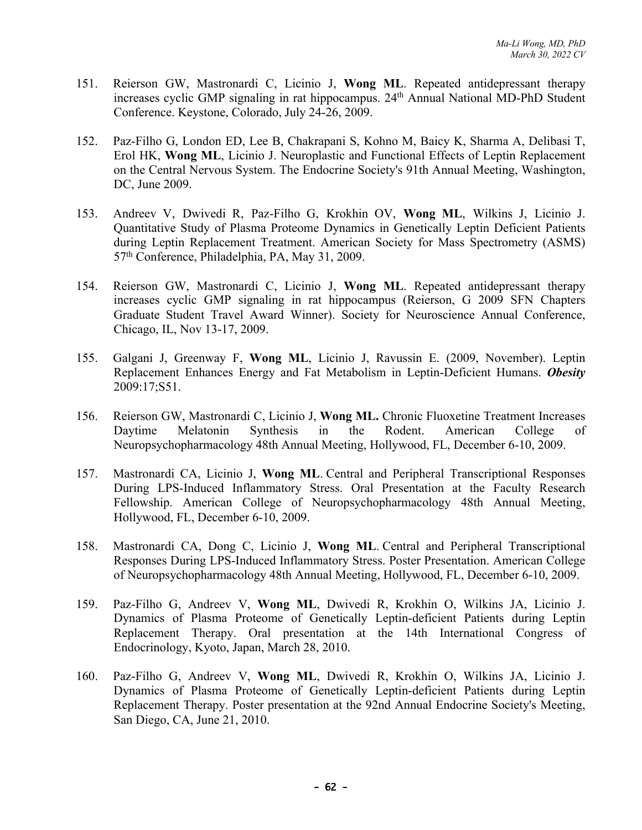- 151. Reierson GW, Mastronardi C, Licinio J, **Wong ML**. Repeated antidepressant therapy increases cyclic GMP signaling in rat hippocampus. 24<sup>th</sup> Annual National MD-PhD Student Conference. Keystone, Colorado, July 24-26, 2009.
- 152. Paz-Filho G, London ED, Lee B, Chakrapani S, Kohno M, Baicy K, Sharma A, Delibasi T, Erol HK, **Wong ML**, Licinio J. Neuroplastic and Functional Effects of Leptin Replacement on the Central Nervous System. The Endocrine Society's 91th Annual Meeting, Washington, DC, June 2009.
- 153. Andreev V, Dwivedi R, Paz-Filho G, Krokhin OV, **Wong ML**, Wilkins J, Licinio J. Quantitative Study of Plasma Proteome Dynamics in Genetically Leptin Deficient Patients during Leptin Replacement Treatment. American Society for Mass Spectrometry (ASMS) 57th Conference, Philadelphia, PA, May 31, 2009.
- 154. Reierson GW, Mastronardi C, Licinio J, **Wong ML**. Repeated antidepressant therapy increases cyclic GMP signaling in rat hippocampus (Reierson, G 2009 SFN Chapters Graduate Student Travel Award Winner). Society for Neuroscience Annual Conference, Chicago, IL, Nov 13-17, 2009.
- 155. Galgani J, Greenway F, **Wong ML**, Licinio J, Ravussin E. (2009, November). Leptin Replacement Enhances Energy and Fat Metabolism in Leptin-Deficient Humans. *Obesity* 2009:17;S51.
- 156. Reierson GW, Mastronardi C, Licinio J, **Wong ML.** Chronic Fluoxetine Treatment Increases Daytime Melatonin Synthesis in the Rodent. American College of Neuropsychopharmacology 48th Annual Meeting, Hollywood, FL, December 6-10, 2009.
- 157. Mastronardi CA, Licinio J, **Wong ML**. Central and Peripheral Transcriptional Responses During LPS-Induced Inflammatory Stress. Oral Presentation at the Faculty Research Fellowship. American College of Neuropsychopharmacology 48th Annual Meeting, Hollywood, FL, December 6-10, 2009.
- 158. Mastronardi CA, Dong C, Licinio J, **Wong ML**. Central and Peripheral Transcriptional Responses During LPS-Induced Inflammatory Stress. Poster Presentation. American College of Neuropsychopharmacology 48th Annual Meeting, Hollywood, FL, December 6-10, 2009.
- 159. Paz-Filho G, Andreev V, **Wong ML**, Dwivedi R, Krokhin O, Wilkins JA, Licinio J. Dynamics of Plasma Proteome of Genetically Leptin-deficient Patients during Leptin Replacement Therapy. Oral presentation at the 14th International Congress of Endocrinology, Kyoto, Japan, March 28, 2010.
- 160. Paz-Filho G, Andreev V, **Wong ML**, Dwivedi R, Krokhin O, Wilkins JA, Licinio J. Dynamics of Plasma Proteome of Genetically Leptin-deficient Patients during Leptin Replacement Therapy. Poster presentation at the 92nd Annual Endocrine Society's Meeting, San Diego, CA, June 21, 2010.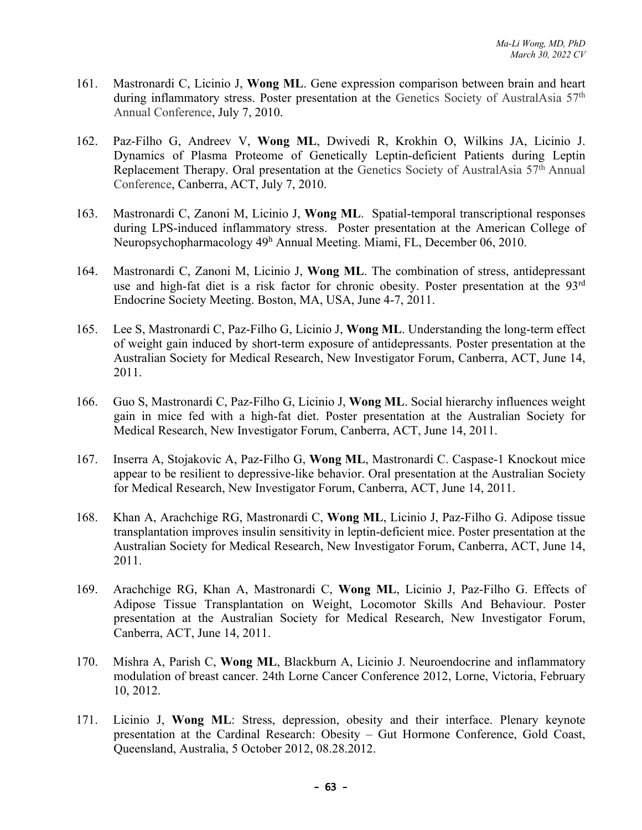- 161. Mastronardi C, Licinio J, **Wong ML**. Gene expression comparison between brain and heart during inflammatory stress. Poster presentation at the Genetics Society of AustralAsia 57<sup>th</sup> Annual Conference, July 7, 2010.
- 162. Paz-Filho G, Andreev V, **Wong ML**, Dwivedi R, Krokhin O, Wilkins JA, Licinio J. Dynamics of Plasma Proteome of Genetically Leptin-deficient Patients during Leptin Replacement Therapy. Oral presentation at the Genetics Society of AustralAsia 57<sup>th</sup> Annual Conference, Canberra, ACT, July 7, 2010.
- 163. Mastronardi C, Zanoni M, Licinio J, **Wong ML**. Spatial-temporal transcriptional responses during LPS-induced inflammatory stress. Poster presentation at the American College of Neuropsychopharmacology 49h Annual Meeting. Miami, FL, December 06, 2010.
- 164. Mastronardi C, Zanoni M, Licinio J, **Wong ML**. The combination of stress, antidepressant use and high-fat diet is a risk factor for chronic obesity. Poster presentation at the 93<sup>rd</sup> Endocrine Society Meeting. Boston, MA, USA, June 4-7, 2011.
- 165. Lee S, Mastronardi C, Paz-Filho G, Licinio J, **Wong ML**. Understanding the long-term effect of weight gain induced by short-term exposure of antidepressants. Poster presentation at the Australian Society for Medical Research, New Investigator Forum, Canberra, ACT, June 14, 2011.
- 166. Guo S, Mastronardi C, Paz-Filho G, Licinio J, **Wong ML**. Social hierarchy influences weight gain in mice fed with a high-fat diet. Poster presentation at the Australian Society for Medical Research, New Investigator Forum, Canberra, ACT, June 14, 2011.
- 167. Inserra A, Stojakovic A, Paz-Filho G, **Wong ML**, Mastronardi C. Caspase-1 Knockout mice appear to be resilient to depressive-like behavior. Oral presentation at the Australian Society for Medical Research, New Investigator Forum, Canberra, ACT, June 14, 2011.
- 168. Khan A, Arachchige RG, Mastronardi C, **Wong ML**, Licinio J, Paz-Filho G. Adipose tissue transplantation improves insulin sensitivity in leptin-deficient mice. Poster presentation at the Australian Society for Medical Research, New Investigator Forum, Canberra, ACT, June 14, 2011.
- 169. Arachchige RG, Khan A, Mastronardi C, **Wong ML**, Licinio J, Paz-Filho G. Effects of Adipose Tissue Transplantation on Weight, Locomotor Skills And Behaviour. Poster presentation at the Australian Society for Medical Research, New Investigator Forum, Canberra, ACT, June 14, 2011.
- 170. Mishra A, Parish C, **Wong ML**, Blackburn A, Licinio J. Neuroendocrine and inflammatory modulation of breast cancer. 24th Lorne Cancer Conference 2012, Lorne, Victoria, February 10, 2012.
- 171. Licinio J, **Wong ML**: Stress, depression, obesity and their interface. Plenary keynote presentation at the Cardinal Research: Obesity – Gut Hormone Conference, Gold Coast, Queensland, Australia, 5 October 2012, 08.28.2012.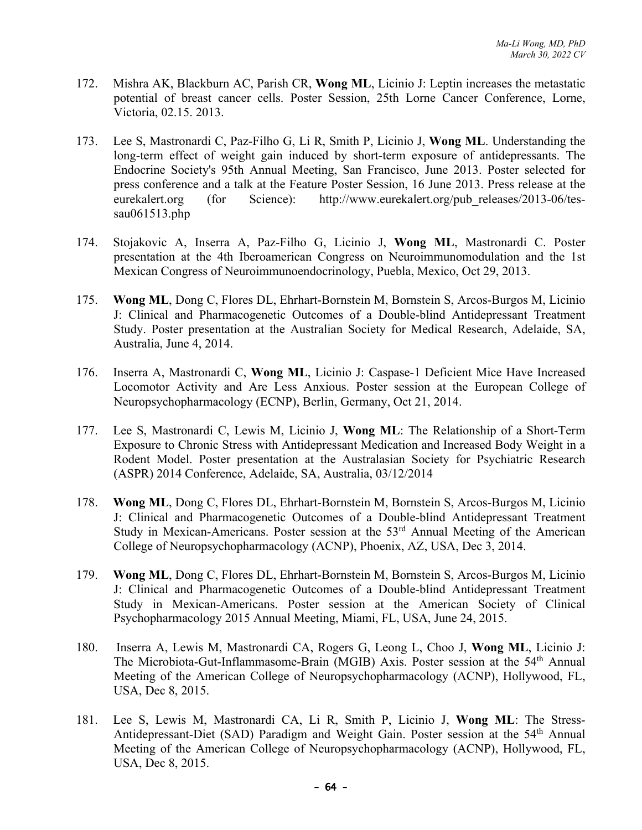- 172. Mishra AK, Blackburn AC, Parish CR, **Wong ML**, Licinio J: Leptin increases the metastatic potential of breast cancer cells. Poster Session, 25th Lorne Cancer Conference, Lorne, Victoria, 02.15. 2013.
- 173. Lee S, Mastronardi C, Paz-Filho G, Li R, Smith P, Licinio J, **Wong ML**. Understanding the long-term effect of weight gain induced by short-term exposure of antidepressants. The Endocrine Society's 95th Annual Meeting, San Francisco, June 2013. Poster selected for press conference and a talk at the Feature Poster Session, 16 June 2013. Press release at the eurekalert.org (for Science): http://www.eurekalert.org/pub\_releases/2013-06/tessau061513.php
- 174. Stojakovic A, Inserra A, Paz-Filho G, Licinio J, **Wong ML**, Mastronardi C. Poster presentation at the 4th Iberoamerican Congress on Neuroimmunomodulation and the 1st Mexican Congress of Neuroimmunoendocrinology, Puebla, Mexico, Oct 29, 2013.
- 175. **Wong ML**, Dong C, Flores DL, Ehrhart-Bornstein M, Bornstein S, Arcos-Burgos M, Licinio J: Clinical and Pharmacogenetic Outcomes of a Double-blind Antidepressant Treatment Study. Poster presentation at the Australian Society for Medical Research, Adelaide, SA, Australia, June 4, 2014.
- 176. Inserra A, Mastronardi C, **Wong ML**, Licinio J: Caspase-1 Deficient Mice Have Increased Locomotor Activity and Are Less Anxious. Poster session at the European College of Neuropsychopharmacology (ECNP), Berlin, Germany, Oct 21, 2014.
- 177. Lee S, Mastronardi C, Lewis M, Licinio J, **Wong ML**: The Relationship of a Short-Term Exposure to Chronic Stress with Antidepressant Medication and Increased Body Weight in a Rodent Model. Poster presentation at the Australasian Society for Psychiatric Research (ASPR) 2014 Conference, Adelaide, SA, Australia, 03/12/2014
- 178. **Wong ML**, Dong C, Flores DL, Ehrhart-Bornstein M, Bornstein S, Arcos-Burgos M, Licinio J: Clinical and Pharmacogenetic Outcomes of a Double-blind Antidepressant Treatment Study in Mexican-Americans. Poster session at the 53<sup>rd</sup> Annual Meeting of the American College of Neuropsychopharmacology (ACNP), Phoenix, AZ, USA, Dec 3, 2014.
- 179. **Wong ML**, Dong C, Flores DL, Ehrhart-Bornstein M, Bornstein S, Arcos-Burgos M, Licinio J: Clinical and Pharmacogenetic Outcomes of a Double-blind Antidepressant Treatment Study in Mexican-Americans. Poster session at the American Society of Clinical Psychopharmacology 2015 Annual Meeting, Miami, FL, USA, June 24, 2015.
- 180. Inserra A, Lewis M, Mastronardi CA, Rogers G, Leong L, Choo J, **Wong ML**, Licinio J: The Microbiota-Gut-Inflammasome-Brain (MGIB) Axis. Poster session at the 54<sup>th</sup> Annual Meeting of the American College of Neuropsychopharmacology (ACNP), Hollywood, FL, USA, Dec 8, 2015.
- 181. Lee S, Lewis M, Mastronardi CA, Li R, Smith P, Licinio J, **Wong ML**: The Stress-Antidepressant-Diet (SAD) Paradigm and Weight Gain. Poster session at the 54<sup>th</sup> Annual Meeting of the American College of Neuropsychopharmacology (ACNP), Hollywood, FL, USA, Dec 8, 2015.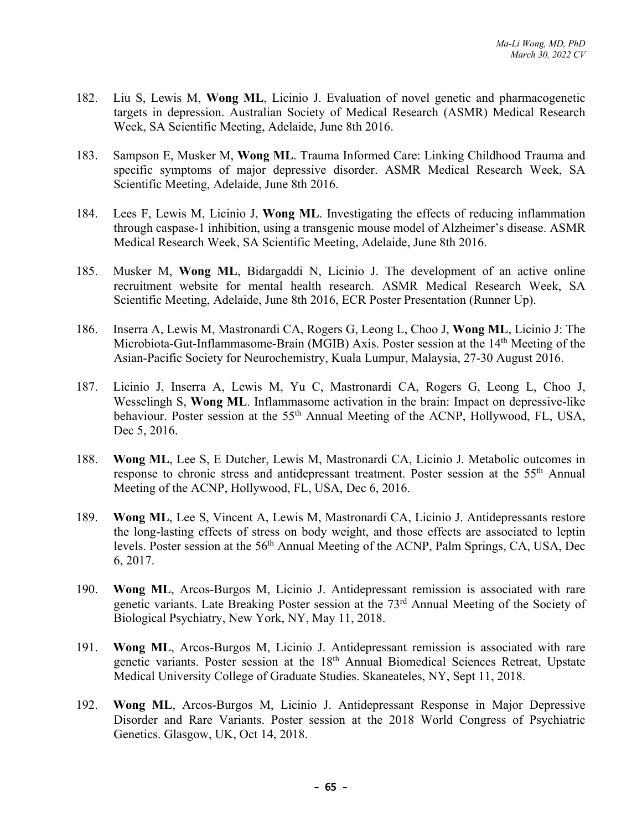- 182. Liu S, Lewis M, **Wong ML**, Licinio J. Evaluation of novel genetic and pharmacogenetic targets in depression. Australian Society of Medical Research (ASMR) Medical Research Week, SA Scientific Meeting, Adelaide, June 8th 2016.
- 183. Sampson E, Musker M, **Wong ML**. Trauma Informed Care: Linking Childhood Trauma and specific symptoms of major depressive disorder. ASMR Medical Research Week, SA Scientific Meeting, Adelaide, June 8th 2016.
- 184. Lees F, Lewis M, Licinio J, **Wong ML**. Investigating the effects of reducing inflammation through caspase-1 inhibition, using a transgenic mouse model of Alzheimer's disease. ASMR Medical Research Week, SA Scientific Meeting, Adelaide, June 8th 2016.
- 185. Musker M, **Wong ML**, Bidargaddi N, Licinio J. The development of an active online recruitment website for mental health research. ASMR Medical Research Week, SA Scientific Meeting, Adelaide, June 8th 2016, ECR Poster Presentation (Runner Up).
- 186. Inserra A, Lewis M, Mastronardi CA, Rogers G, Leong L, Choo J, **Wong ML**, Licinio J: The Microbiota-Gut-Inflammasome-Brain (MGIB) Axis. Poster session at the 14<sup>th</sup> Meeting of the Asian-Pacific Society for Neurochemistry, Kuala Lumpur, Malaysia, 27-30 August 2016.
- 187. Licinio J, Inserra A, Lewis M, Yu C, Mastronardi CA, Rogers G, Leong L, Choo J, Wesselingh S, **Wong ML**. Inflammasome activation in the brain: Impact on depressive-like behaviour. Poster session at the 55<sup>th</sup> Annual Meeting of the ACNP, Hollywood, FL, USA, Dec 5, 2016.
- 188. **Wong ML**, Lee S, E Dutcher, Lewis M, Mastronardi CA, Licinio J. Metabolic outcomes in response to chronic stress and antidepressant treatment. Poster session at the 55<sup>th</sup> Annual Meeting of the ACNP, Hollywood, FL, USA, Dec 6, 2016.
- 189. **Wong ML**, Lee S, Vincent A, Lewis M, Mastronardi CA, Licinio J. Antidepressants restore the long-lasting effects of stress on body weight, and those effects are associated to leptin levels. Poster session at the 56<sup>th</sup> Annual Meeting of the ACNP, Palm Springs, CA, USA, Dec 6, 2017.
- 190. **Wong ML**, Arcos-Burgos M, Licinio J. Antidepressant remission is associated with rare genetic variants. Late Breaking Poster session at the 73rd Annual Meeting of the Society of Biological Psychiatry, New York, NY, May 11, 2018.
- 191. **Wong ML**, Arcos-Burgos M, Licinio J. Antidepressant remission is associated with rare genetic variants. Poster session at the 18<sup>th</sup> Annual Biomedical Sciences Retreat, Upstate Medical University College of Graduate Studies. Skaneateles, NY, Sept 11, 2018.
- 192. **Wong ML**, Arcos-Burgos M, Licinio J. Antidepressant Response in Major Depressive Disorder and Rare Variants. Poster session at the 2018 World Congress of Psychiatric Genetics. Glasgow, UK, Oct 14, 2018.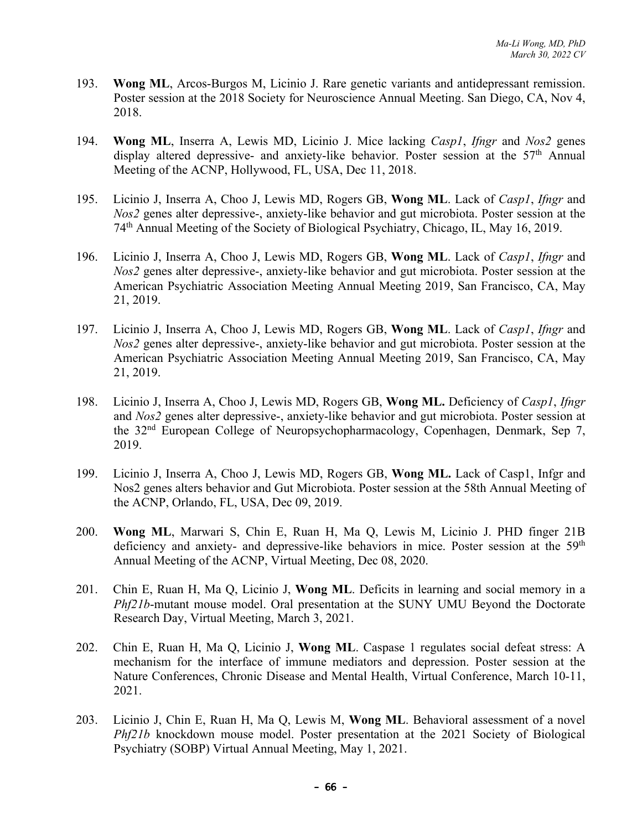- 193. **Wong ML**, Arcos-Burgos M, Licinio J. Rare genetic variants and antidepressant remission. Poster session at the 2018 Society for Neuroscience Annual Meeting. San Diego, CA, Nov 4, 2018.
- 194. **Wong ML**, Inserra A, Lewis MD, Licinio J. Mice lacking *Casp1*, *Ifngr* and *Nos2* genes display altered depressive- and anxiety-like behavior. Poster session at the 57<sup>th</sup> Annual Meeting of the ACNP, Hollywood, FL, USA, Dec 11, 2018.
- 195. Licinio J, Inserra A, Choo J, Lewis MD, Rogers GB, **Wong ML**. Lack of *Casp1*, *Ifngr* and *Nos2* genes alter depressive-, anxiety-like behavior and gut microbiota. Poster session at the 74th Annual Meeting of the Society of Biological Psychiatry, Chicago, IL, May 16, 2019.
- 196. Licinio J, Inserra A, Choo J, Lewis MD, Rogers GB, **Wong ML**. Lack of *Casp1*, *Ifngr* and *Nos2* genes alter depressive-, anxiety-like behavior and gut microbiota. Poster session at the American Psychiatric Association Meeting Annual Meeting 2019, San Francisco, CA, May 21, 2019.
- 197. Licinio J, Inserra A, Choo J, Lewis MD, Rogers GB, **Wong ML**. Lack of *Casp1*, *Ifngr* and *Nos2* genes alter depressive-, anxiety-like behavior and gut microbiota. Poster session at the American Psychiatric Association Meeting Annual Meeting 2019, San Francisco, CA, May 21, 2019.
- 198. Licinio J, Inserra A, Choo J, Lewis MD, Rogers GB, **Wong ML.** Deficiency of *Casp1*, *Ifngr*  and *Nos2* genes alter depressive-, anxiety-like behavior and gut microbiota. Poster session at the 32nd European College of Neuropsychopharmacology, Copenhagen, Denmark, Sep 7, 2019.
- 199. Licinio J, Inserra A, Choo J, Lewis MD, Rogers GB, **Wong ML.** Lack of Casp1, Infgr and Nos2 genes alters behavior and Gut Microbiota. Poster session at the 58th Annual Meeting of the ACNP, Orlando, FL, USA, Dec 09, 2019.
- 200. **Wong ML**, Marwari S, Chin E, Ruan H, Ma Q, Lewis M, Licinio J. PHD finger 21B deficiency and anxiety- and depressive-like behaviors in mice. Poster session at the 59<sup>th</sup> Annual Meeting of the ACNP, Virtual Meeting, Dec 08, 2020.
- 201. Chin E, Ruan H, Ma Q, Licinio J, **Wong ML**. Deficits in learning and social memory in a *Phf21b*-mutant mouse model. Oral presentation at the SUNY UMU Beyond the Doctorate Research Day, Virtual Meeting, March 3, 2021.
- 202. Chin E, Ruan H, Ma Q, Licinio J, **Wong ML**. Caspase 1 regulates social defeat stress: A mechanism for the interface of immune mediators and depression. Poster session at the Nature Conferences, Chronic Disease and Mental Health, Virtual Conference, March 10-11, 2021.
- 203. Licinio J, Chin E, Ruan H, Ma Q, Lewis M, **Wong ML**. Behavioral assessment of a novel *Phf21b* knockdown mouse model. Poster presentation at the 2021 Society of Biological Psychiatry (SOBP) Virtual Annual Meeting, May 1, 2021.